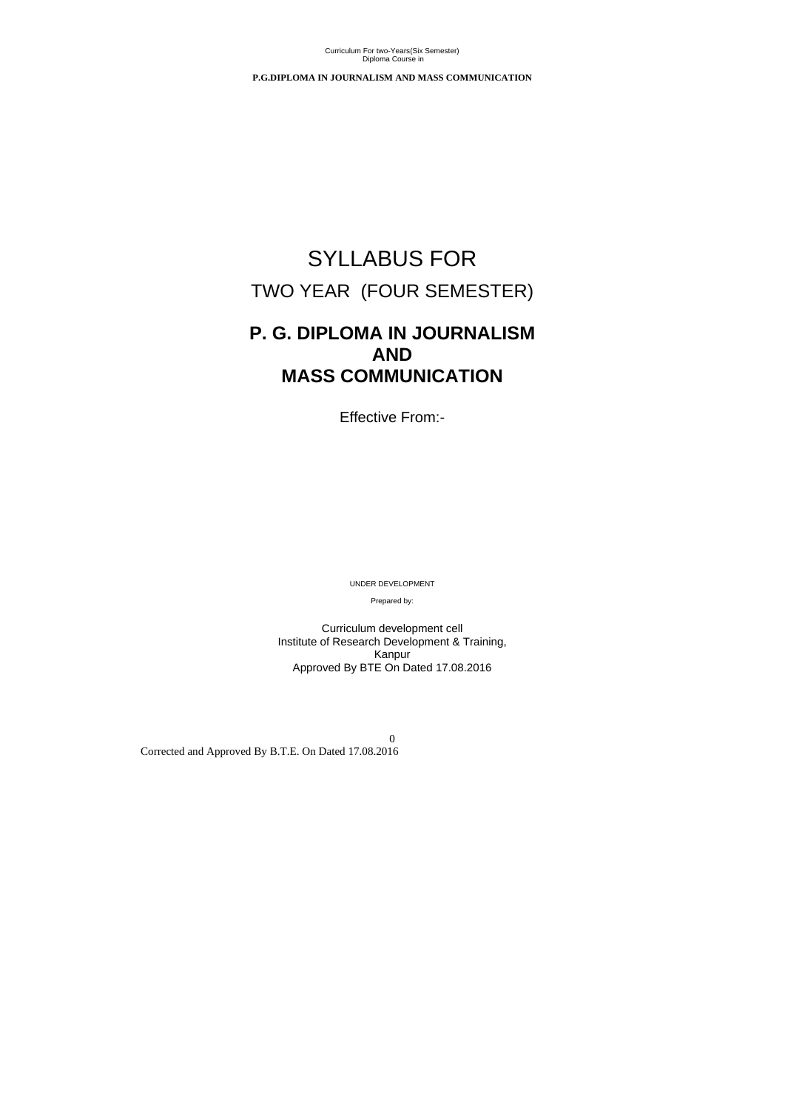0 Corrected and Approved By B.T.E. On Dated 17.08.2016

**P.G.DIPLOMA IN JOURNALISM AND MASS COMMUNICATION**

# SYLLABUS FOR TWO YEAR (FOUR SEMESTER)

# **P. G. DIPLOMA IN JOURNALISM AND MASS COMMUNICATION**

Effective From:-

UNDER DEVELOPMENT

Prepared by:

Curriculum development cell Institute of Research Development & Training, Kanpur Approved By BTE On Dated 17.08.2016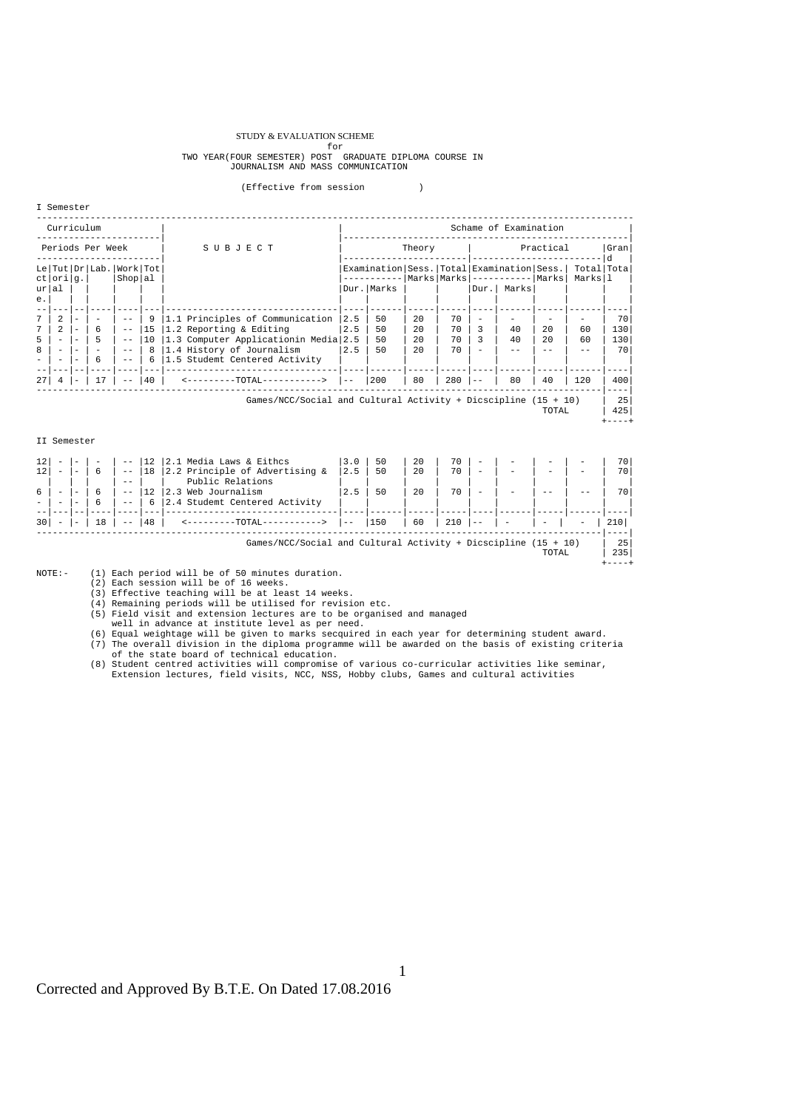#### STUDY & EVALUATION SCHEME

# for<br>TWO YEAR(FOUR SEMESTER) POST GRADUATE DIPLOMA COURSE IN<br>JOURNALISM AND MASS COMMUNICATION

#### (Effective from session )

I Semester

| Curriculum       |                          |                          |                          |                                    | Schame of Examination |                                                                |                                                   |              |     |     |                              |             |              |                       |              |
|------------------|--------------------------|--------------------------|--------------------------|------------------------------------|-----------------------|----------------------------------------------------------------|---------------------------------------------------|--------------|-----|-----|------------------------------|-------------|--------------|-----------------------|--------------|
| Periods Per Week |                          |                          |                          |                                    |                       | SUBJECT                                                        | Theory<br>Practical                               |              |     |     |                              | Gran<br>A.  |              |                       |              |
|                  | ct orig.                 |                          |                          | Le Tut Dr Lab. Work Tot<br>Shop al |                       |                                                                | Examination   Sess.   Total   Examination   Sess. |              |     |     | Marks Marks ---------- Marks |             |              | Total Tota<br>Marksll |              |
| ur al<br>$e$ .   |                          |                          |                          |                                    |                       |                                                                |                                                   | Dur.   Marks |     |     |                              | Dur.  Marks |              |                       |              |
| $7\overline{ }$  | 2                        | $\overline{\phantom{0}}$ | $\overline{\phantom{0}}$ | $ -$                               | -9                    | 1.1 Principles of Communication                                | 12.5                                              | 50           | 2.0 | 70  | $\overline{\phantom{a}}$     |             |              |                       | 70           |
|                  | $\overline{a}$           |                          | 6                        | $ -$                               | 15                    | 1.2 Reporting & Editing                                        | $ 2.5\rangle$                                     | 50           | 2.0 | 70  | 3                            | 40          | 2.0          | 60                    | 130          |
| 5                |                          |                          | 5                        | $ -$                               | 10                    | 1.3 Computer Applicationin Media 2.5                           |                                                   | 50           | 2.0 | 70  | 3                            | 40          | $20^{\circ}$ | 60                    | 130          |
| 8                | $\overline{\phantom{0}}$ |                          |                          | $- -$                              | - 8                   | 1.4 History of Journalism                                      | 12.5                                              | 50           | 2.0 | 70  |                              | $- -$       |              |                       | 70           |
|                  |                          |                          | 6                        | $- -$                              | -6                    | 1.5 Studemt Centered Activity                                  |                                                   |              |     |     |                              |             |              |                       |              |
|                  |                          |                          |                          |                                    |                       |                                                                |                                                   |              |     |     |                              |             |              |                       |              |
| 27 <sup>1</sup>  |                          |                          | 17                       |                                    | 140                   | <---------TOTAL----------->                                    | $1 - -$                                           | 200          | 80  | 280 |                              | 80          | 40           | 120                   | 400          |
|                  |                          |                          |                          |                                    |                       |                                                                |                                                   |              |     |     |                              |             |              |                       |              |
|                  |                          |                          |                          |                                    |                       | Games/NCC/Social and Cultural Activity + Dicscipline (15 + 10) |                                                   |              |     |     |                              |             |              |                       | 25           |
|                  |                          |                          |                          |                                    |                       |                                                                |                                                   |              |     |     |                              |             | TOTAL        |                       | 425<br>----+ |
|                  |                          |                          |                          |                                    |                       |                                                                |                                                   |              |     |     |                              |             |              |                       |              |

#### II Semester

| 12  |                          |                          |                | $- -$ |    | 12   2.1 Media Laws & Eithcs                                     | 3.0   | 50  | 20 | 70  | $\qquad \qquad$          |                          |                          |                   | 70  |
|-----|--------------------------|--------------------------|----------------|-------|----|------------------------------------------------------------------|-------|-----|----|-----|--------------------------|--------------------------|--------------------------|-------------------|-----|
| 12  | $\overline{\phantom{0}}$ | -                        | 6              | $ -$  | 18 | 2.2 Principle of Advertising &                                   | 2.5   | 50  | 20 | 70  | $\overline{\phantom{0}}$ | $\overline{\phantom{0}}$ | $\overline{\phantom{0}}$ |                   | 70  |
|     |                          |                          |                | $- -$ |    | Public Relations                                                 |       |     |    |     |                          |                          |                          |                   |     |
|     |                          | $\overline{\phantom{0}}$ |                | $ -$  | 12 | 2.3 Web Journalism                                               | 2.5   | 50  | 20 | 70  | $\overline{\phantom{0}}$ |                          |                          |                   | 70. |
|     | -                        | $\overline{\phantom{0}}$ | $\mathfrak{b}$ | $- -$ | 61 | 2.4 Studemt Centered Activity                                    |       |     |    |     |                          |                          |                          |                   |     |
|     |                          |                          |                |       |    |                                                                  |       |     |    |     |                          |                          |                          |                   |     |
| 301 | $\overline{\phantom{0}}$ | $\overline{\phantom{0}}$ | 18             | $ -$  | 48 | $-TOTAL-$                                                        | $- -$ | 150 | 60 | 210 | $ -$                     |                          | $\overline{\phantom{0}}$ | $\qquad \qquad -$ | 210 |
|     |                          |                          |                |       |    |                                                                  |       |     |    |     |                          |                          |                          |                   |     |
|     |                          |                          |                |       |    | Games/NCC/Social and Cultural Activity + Dicscipline $(15 + 10)$ |       |     |    |     |                          |                          |                          |                   | -25 |
|     |                          |                          |                |       |    |                                                                  |       |     |    |     |                          |                          | TOTAL                    |                   | 235 |

+----+ NOTE:- (1) Each period will be of 50 minutes duration.

(2) Each session will be of 16 weeks.

(3) Effective teaching will be at least 14 weeks. (4) Remaining periods will be utilised for revision etc.

(5) Field visit and extension lectures are to be organised and managed

well in advance at institute level as per need.<br>(6) Equal weightage will be given to marks secquired in each year for determining student award.<br>(7) The overall division in the diploma programme will be awarded on the basi of the state board of technical education.

(8) Student centred activities will compromise of various co-curricular activities like seminar, Extension lectures, field visits, NCC, NSS, Hobby clubs, Games and cultural activities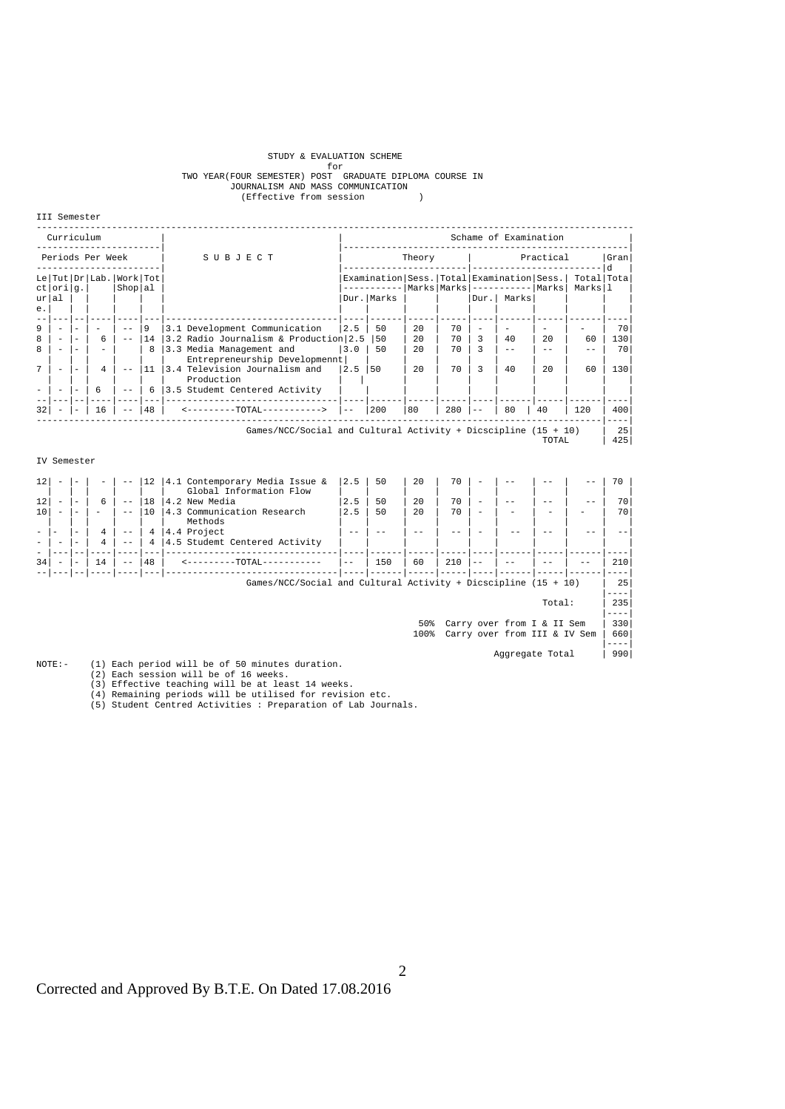# STUDY & EVALUATION SCHEME for

# for for SEAR(FOUR SEMESTER) POST GRADUATE DIPLOMA COURSE IN<br>JOURNALISM AND MASS COMMUNICATION<br>(Effective from session )

III Semester

| Curriculum       |                                                                                        |                          |                                   |                |              |                                                           |               |                                                                                                 |     |           | Schame of Examination    |             |     |                       |     |
|------------------|----------------------------------------------------------------------------------------|--------------------------|-----------------------------------|----------------|--------------|-----------------------------------------------------------|---------------|-------------------------------------------------------------------------------------------------|-----|-----------|--------------------------|-------------|-----|-----------------------|-----|
| Periods Per Week |                                                                                        |                          |                                   |                |              | SUBJECT                                                   | Theory        |                                                                                                 |     | Practical |                          |             |     | Gran<br>l d           |     |
|                  | ctlorilg.l                                                                             |                          | Le   Tut   Dr   Lab.   Work   Tot | Shop al        |              |                                                           |               | Examination   Sess.   Total   Examination   Sess.  <br>----------- Marks Marks ---------- Marks |     |           |                          |             |     | Total Tota<br>Marksll |     |
| $e$ .            | urlal                                                                                  |                          |                                   |                |              |                                                           |               | Dur.   Marks                                                                                    |     |           |                          | Dur.  Marks |     |                       |     |
| 9                | $\overline{\phantom{0}}$                                                               | $\overline{\phantom{0}}$ | $\overline{\phantom{a}}$          | $ -$           | 9            | 3.1 Development Communication                             | 12.5          | 50                                                                                              | 2.0 | 70        | $\overline{\phantom{a}}$ |             |     |                       | 70  |
| 8                | $\overline{a}$                                                                         | $\sim$                   | 6                                 | $- -$          | 14           | 3.2 Radio Journalism & Production 2.5                     |               | 150                                                                                             | 20  | 70        | 3                        | 40          | 2.0 | 60                    | 130 |
| $\mathsf{R}$     |                                                                                        |                          |                                   |                | $\mathsf{R}$ | 3.3 Media Management and<br>Entrepreneurship Developmennt | 13.0          | 50                                                                                              | 20  | 70        | 3                        |             |     |                       | 70  |
| 7                | $\overline{a}$                                                                         |                          | 4                                 | $ -$           | 11           | 3.4 Television Journalism and<br>Production               | $ 2.5\rangle$ | 150                                                                                             | 2.0 | 70        | 3                        | 40          | 2.0 | 60                    | 130 |
|                  |                                                                                        | $\overline{\phantom{m}}$ | 6                                 | $- -$          |              | 6   3.5 Studemt Centered Activity                         |               |                                                                                                 |     |           |                          |             |     |                       |     |
| 32               |                                                                                        |                          | 16                                |                | 48           | <---------TOTAL----------->                               | $- -$         | 200                                                                                             | 80  | 280       |                          | 80          | 40  | 120                   | 400 |
|                  | Games/NCC/Social and Cultural Activity + Dicscipline $(15 + 10)$<br>25<br>425<br>TOTAL |                          |                                   |                |              |                                                           |               |                                                                                                 |     |           |                          |             |     |                       |     |
|                  | TV Semester                                                                            |                          |                                   |                |              |                                                           |               |                                                                                                 |     |           |                          |             |     |                       |     |
| 12               |                                                                                        |                          |                                   |                | 12           | 4.1 Contemporary Media Issue &<br>Global Information Flow | 2.5           | 50                                                                                              | 2.0 | 70        |                          |             |     |                       | 70  |
| 12               | $\overline{\phantom{a}}$                                                               | $\sim$                   | 6                                 | $  \,$         | 18           | 4.2 New Media                                             | 2.5           | 50                                                                                              | 2.0 | 70        | $\sim$                   |             |     |                       | 70  |
| 10               | $\overline{\phantom{0}}$                                                               |                          |                                   | $  \,$         | 110          | 4.3 Communication Research<br>Methods                     | 2.5           | 50                                                                                              | 2.0 | 70        |                          |             |     |                       | 70  |
|                  |                                                                                        | $\overline{\phantom{a}}$ | $\overline{4}$<br>4               | $- -$<br>$- -$ |              | $4 \mid 4.4$ Project<br>4   4.5 Studemt Centered Activity | $- -$         |                                                                                                 |     |           |                          |             |     |                       |     |
|                  |                                                                                        |                          |                                   |                |              |                                                           |               |                                                                                                 |     |           |                          |             |     |                       |     |

34| - |- | 14 | -- |48 | <---------TOTAL----------- |-- | 150 | 60 | 210 |-- | -- | -- | -- | 210| --|---|--|----|----|---|--------------------------------|----|------|-----|-----|----|------|-----|------|----| Games/NCC/Social and Cultural Activity + Dicscipline  $(15 + 10)$  | 25 |----|  $\begin{array}{|c|c|c|c|}\hline \text{Total:} & | & 235| \\\hline \end{array}$ 

|----|

 50% Carry over from I & II Sem | 330| 100% Carry over from III & IV Sem | 660|

|----|

NOTE:- (1) Each period will be of 50 minutes duration. Aggregate Total | 990|<br>(2) Each session will be of 16 weeks.<br>(3) Effective teaching will be at least 14 weeks.<br>(4) Remaining periods will be utilised for revision etc.

(5) Student Centred Activities : Preparation of Lab Journals.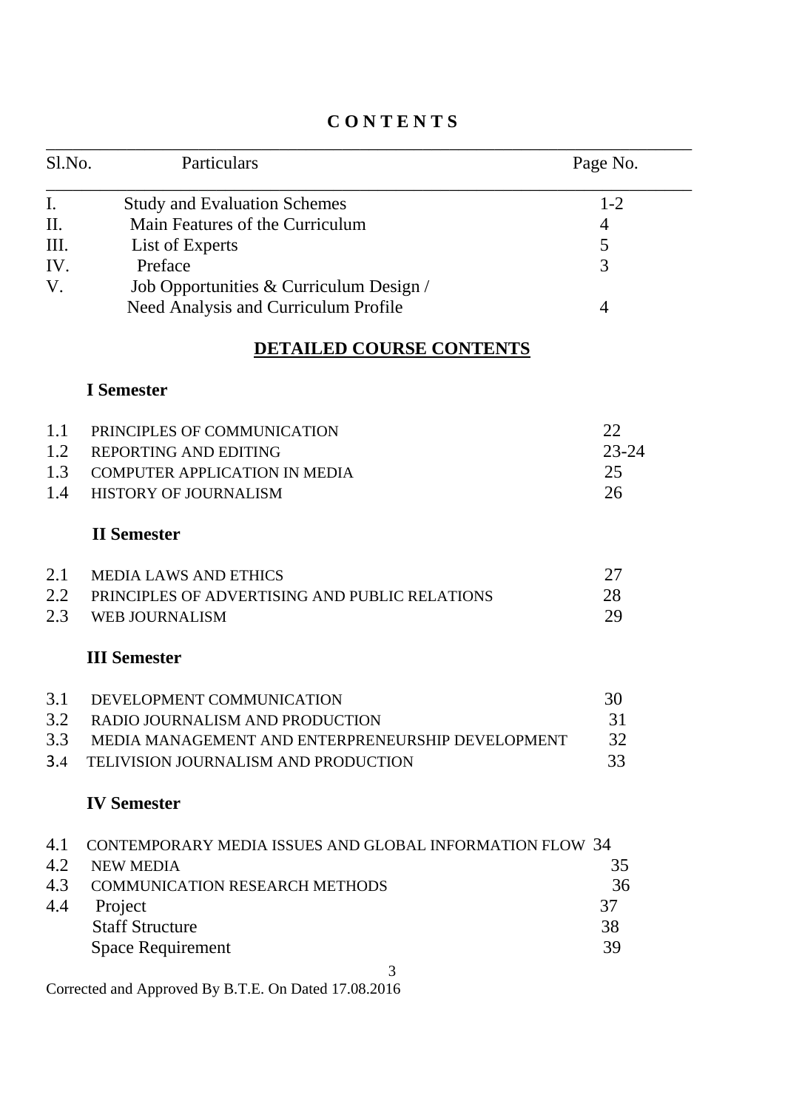| Sl.No. | Particulars                                               | Page No.       |
|--------|-----------------------------------------------------------|----------------|
| I.     | <b>Study and Evaluation Schemes</b>                       | $1 - 2$        |
| II.    | Main Features of the Curriculum                           | 4              |
| Ш.     | List of Experts                                           | 5              |
| IV.    | Preface                                                   | $\overline{3}$ |
| V.     | Job Opportunities & Curriculum Design /                   |                |
|        | Need Analysis and Curriculum Profile                      | $\overline{4}$ |
|        | <b>DETAILED COURSE CONTENTS</b>                           |                |
|        | <b>I</b> Semester                                         |                |
| 1.1    | PRINCIPLES OF COMMUNICATION                               | 22             |
| 1.2    | <b>REPORTING AND EDITING</b>                              | $23 - 24$      |
| 1.3    | <b>COMPUTER APPLICATION IN MEDIA</b>                      | 25             |
| 1.4    | HISTORY OF JOURNALISM                                     | 26             |
|        | <b>II</b> Semester                                        |                |
| 2.1    | <b>MEDIA LAWS AND ETHICS</b>                              | 27             |
| 2.2    | PRINCIPLES OF ADVERTISING AND PUBLIC RELATIONS            | 28             |
| 2.3    | <b>WEB JOURNALISM</b>                                     | 29             |
|        | <b>III Semester</b>                                       |                |
| 3.1    | DEVELOPMENT COMMUNICATION                                 | 30             |
| 3.2    | RADIO JOURNALISM AND PRODUCTION                           | 31             |
| 3.3    | MEDIA MANAGEMENT AND ENTERPRENEURSHIP DEVELOPMENT         | 32             |
| 3.4    | TELIVISION JOURNALISM AND PRODUCTION                      | 33             |
|        | <b>IV Semester</b>                                        |                |
| 4.1    | CONTEMPORARY MEDIA ISSUES AND GLOBAL INFORMATION FLOW 34  |                |
| 4.2    | <b>NEW MEDIA</b>                                          | 35             |
| 4.3    | <b>COMMUNICATION RESEARCH METHODS</b>                     | 36             |
| 4.4    | Project                                                   | 37             |
|        | <b>Staff Structure</b>                                    | 38             |
|        | <b>Space Requirement</b>                                  | 39             |
|        | 3<br>Corrected and Approved By B.T.E. On Dated 17.08.2016 |                |

# **C O N T E N T S**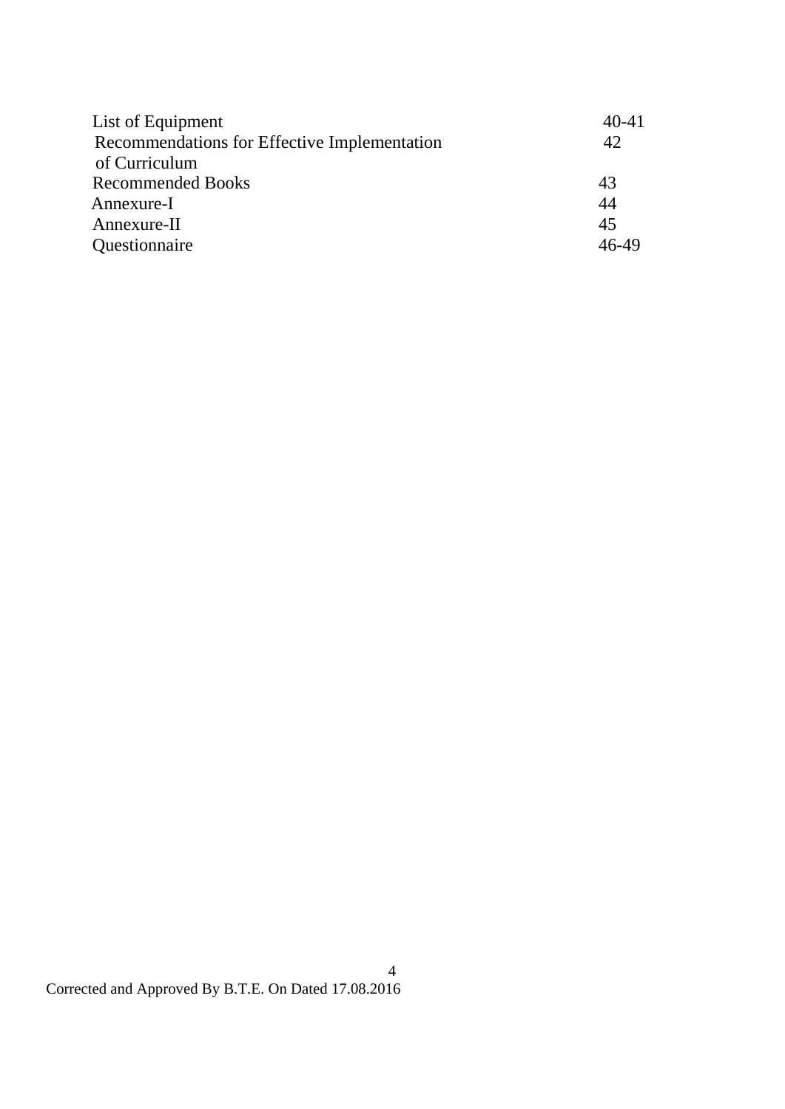| 40-41   |
|---------|
| 42      |
|         |
| 43      |
| 44      |
| 45      |
| $46-49$ |
|         |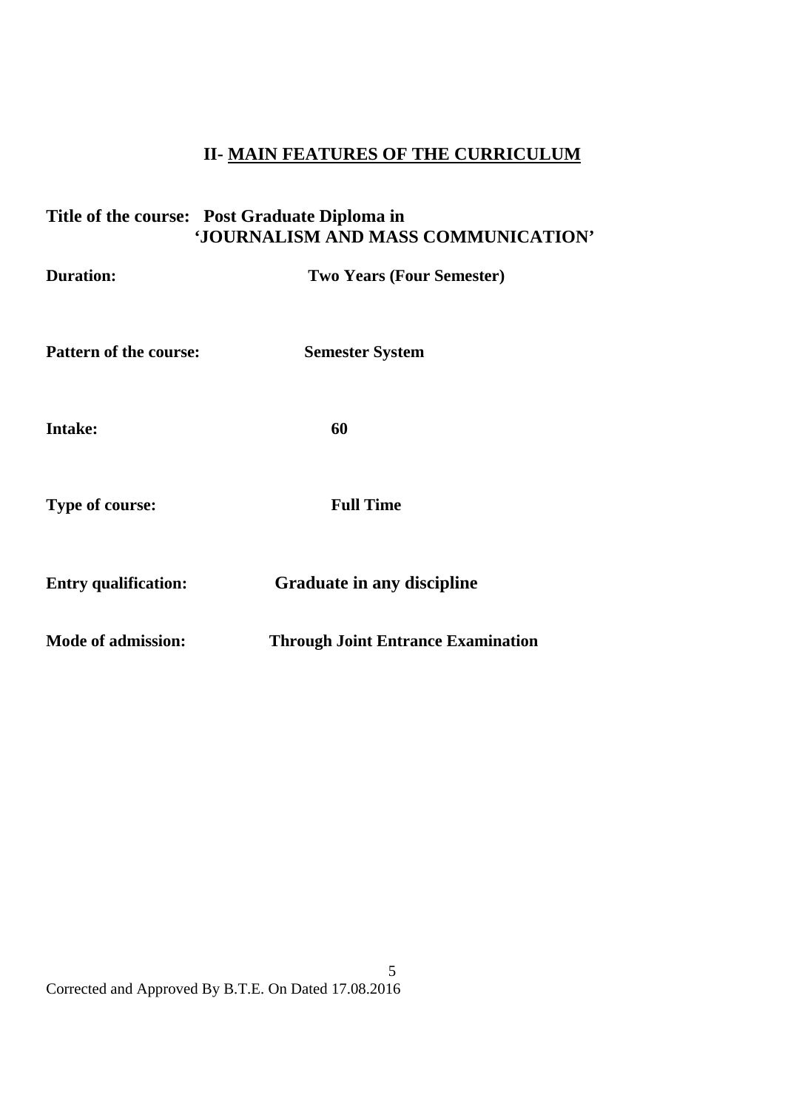# **II- MAIN FEATURES OF THE CURRICULUM**

# **Title of the course: Post Graduate Diploma in 'JOURNALISM AND MASS COMMUNICATION'**

| <b>Duration:</b>            | <b>Two Years (Four Semester)</b>          |
|-----------------------------|-------------------------------------------|
| Pattern of the course:      | <b>Semester System</b>                    |
| <b>Intake:</b>              | 60                                        |
| <b>Type of course:</b>      | <b>Full Time</b>                          |
| <b>Entry qualification:</b> | <b>Graduate in any discipline</b>         |
| <b>Mode of admission:</b>   | <b>Through Joint Entrance Examination</b> |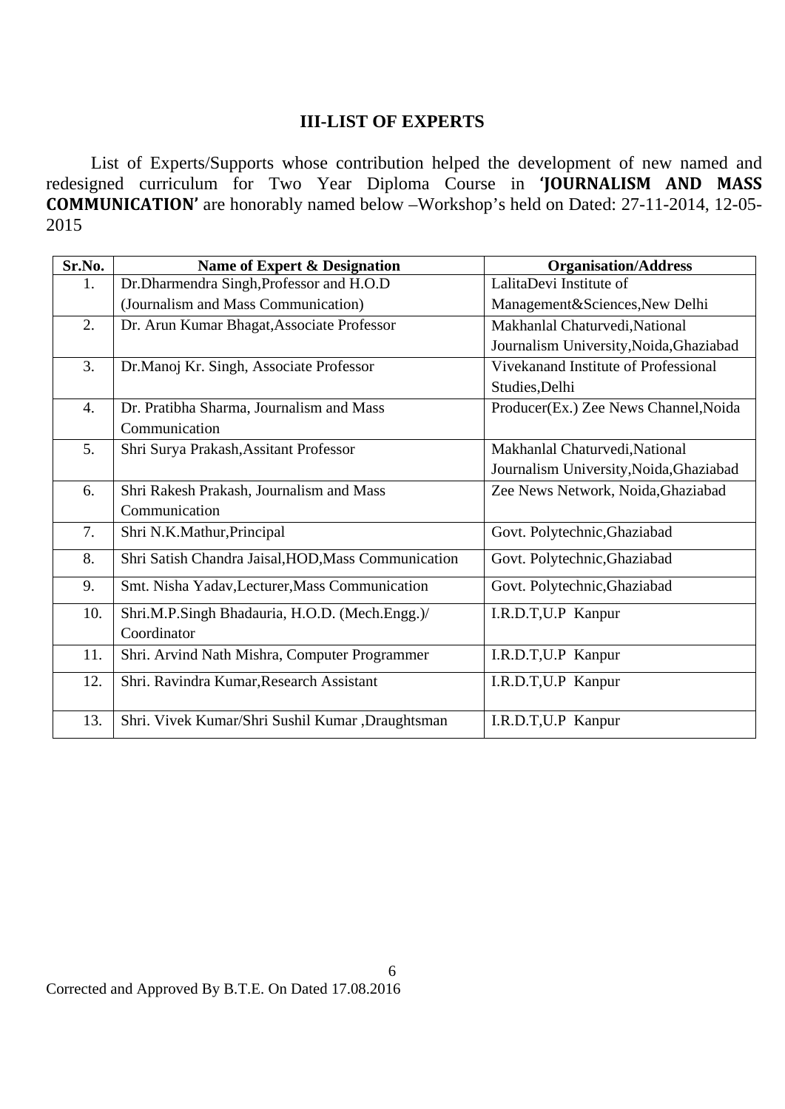## **III-LIST OF EXPERTS**

 List of Experts/Supports whose contribution helped the development of new named and redesigned curriculum for Two Year Diploma Course in **'JOURNALISM AND MASS COMMUNICATION'** are honorably named below –Workshop's held on Dated: 27-11-2014, 12-05- 2015

| Sr.No.           | Name of Expert & Designation                        | <b>Organisation/Address</b>             |
|------------------|-----------------------------------------------------|-----------------------------------------|
| 1.               | Dr.Dharmendra Singh, Professor and H.O.D            | LalitaDevi Institute of                 |
|                  | (Journalism and Mass Communication)                 | Management&Sciences, New Delhi          |
| 2.               | Dr. Arun Kumar Bhagat, Associate Professor          | Makhanlal Chaturvedi, National          |
|                  |                                                     | Journalism University, Noida, Ghaziabad |
| 3.               | Dr.Manoj Kr. Singh, Associate Professor             | Vivekanand Institute of Professional    |
|                  |                                                     | Studies, Delhi                          |
| $\overline{4}$ . | Dr. Pratibha Sharma, Journalism and Mass            | Producer(Ex.) Zee News Channel, Noida   |
|                  | Communication                                       |                                         |
| 5.               | Shri Surya Prakash, Assitant Professor              | Makhanlal Chaturvedi, National          |
|                  |                                                     | Journalism University, Noida, Ghaziabad |
| 6.               | Shri Rakesh Prakash, Journalism and Mass            | Zee News Network, Noida, Ghaziabad      |
|                  | Communication                                       |                                         |
| 7.               | Shri N.K.Mathur, Principal                          | Govt. Polytechnic, Ghaziabad            |
| 8.               | Shri Satish Chandra Jaisal, HOD, Mass Communication | Govt. Polytechnic, Ghaziabad            |
| 9.               | Smt. Nisha Yadav, Lecturer, Mass Communication      | Govt. Polytechnic, Ghaziabad            |
| 10.              | Shri.M.P.Singh Bhadauria, H.O.D. (Mech.Engg.)/      | I.R.D.T, U.P Kanpur                     |
|                  | Coordinator                                         |                                         |
| 11.              | Shri. Arvind Nath Mishra, Computer Programmer       | I.R.D.T, U.P Kanpur                     |
| 12.              | Shri. Ravindra Kumar, Research Assistant            | I.R.D.T, U.P Kanpur                     |
|                  |                                                     |                                         |
| 13.              | Shri. Vivek Kumar/Shri Sushil Kumar ,Draughtsman    | I.R.D.T, U.P Kanpur                     |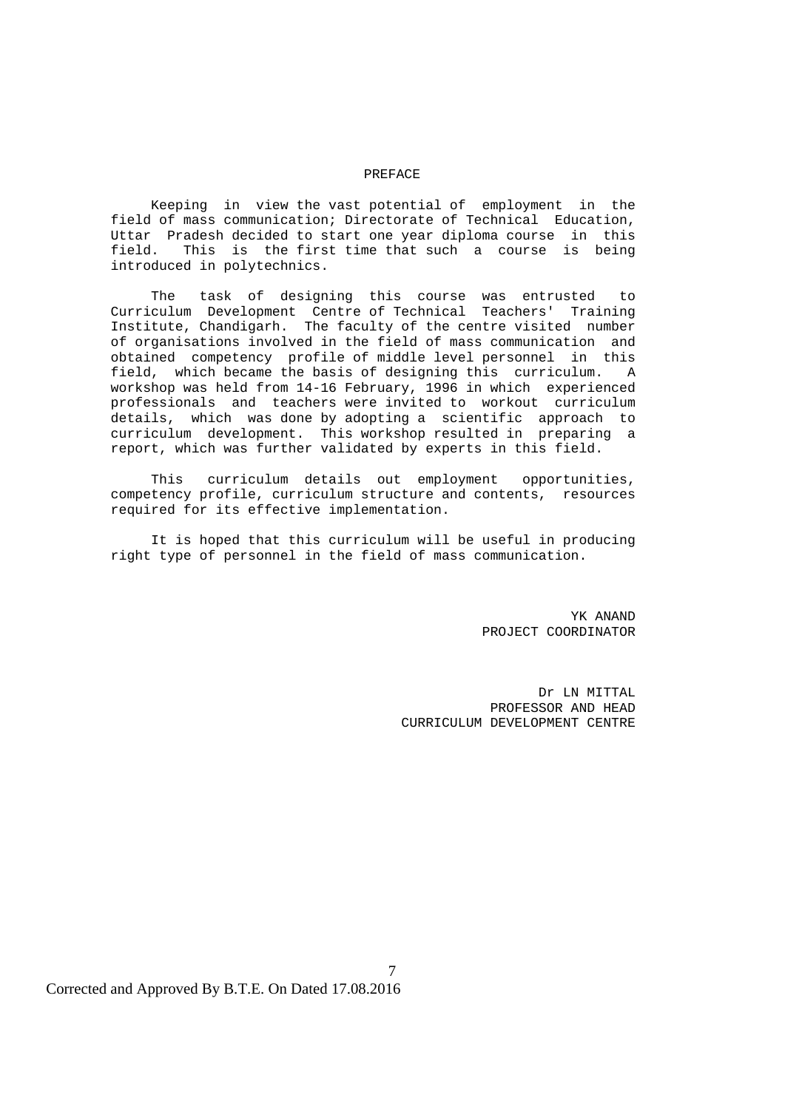#### PREFACE

 Keeping in view the vast potential of employment in the field of mass communication; Directorate of Technical Education, Uttar Pradesh decided to start one year diploma course in this field. This is the first time that such a course is being introduced in polytechnics.

 The task of designing this course was entrusted to Curriculum Development Centre of Technical Teachers' Training Institute, Chandigarh. The faculty of the centre visited number of organisations involved in the field of mass communication and obtained competency profile of middle level personnel in this field, which became the basis of designing this curriculum. A workshop was held from 14-16 February, 1996 in which experienced professionals and teachers were invited to workout curriculum details, which was done by adopting a scientific approach to curriculum development. This workshop resulted in preparing a report, which was further validated by experts in this field.

 This curriculum details out employment opportunities, competency profile, curriculum structure and contents, resources required for its effective implementation.

 It is hoped that this curriculum will be useful in producing right type of personnel in the field of mass communication.

7

 YK ANAND PROJECT COORDINATOR

> Dr LN MITTAL PROFESSOR AND HEAD CURRICULUM DEVELOPMENT CENTRE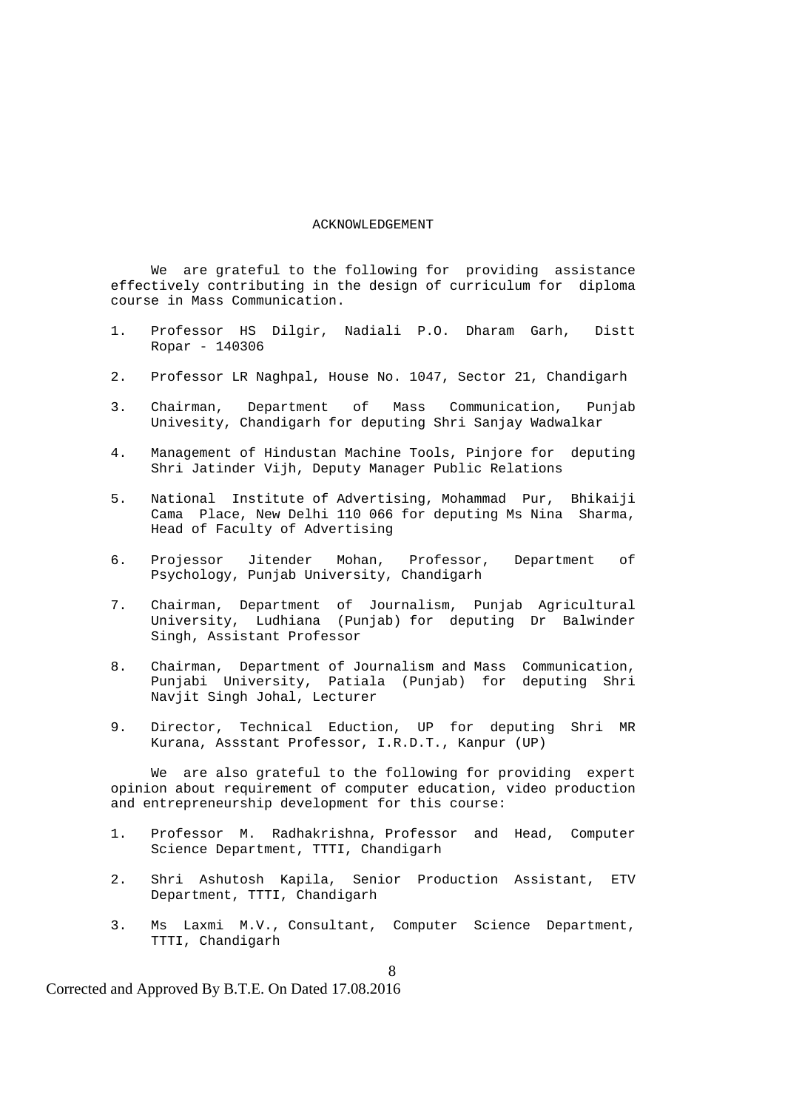#### ACKNOWLEDGEMENT

 We are grateful to the following for providing assistance effectively contributing in the design of curriculum for diploma course in Mass Communication.

- 1. Professor HS Dilgir, Nadiali P.O. Dharam Garh, Distt Ropar - 140306
- 2. Professor LR Naghpal, House No. 1047, Sector 21, Chandigarh
- 3. Chairman, Department of Mass Communication, Punjab Univesity, Chandigarh for deputing Shri Sanjay Wadwalkar
- 4. Management of Hindustan Machine Tools, Pinjore for deputing Shri Jatinder Vijh, Deputy Manager Public Relations
- 5. National Institute of Advertising, Mohammad Pur, Bhikaiji Cama Place, New Delhi 110 066 for deputing Ms Nina Sharma, Head of Faculty of Advertising
- 6. Projessor Jitender Mohan, Professor, Department of Psychology, Punjab University, Chandigarh
- 7. Chairman, Department of Journalism, Punjab Agricultural University, Ludhiana (Punjab) for deputing Dr Balwinder Singh, Assistant Professor
	- 8. Chairman, Department of Journalism and Mass Communication, Punjabi University, Patiala (Punjab) for deputing Shri Navjit Singh Johal, Lecturer
	- 9. Director, Technical Eduction, UP for deputing Shri MR Kurana, Assstant Professor, I.R.D.T., Kanpur (UP)

 We are also grateful to the following for providing expert opinion about requirement of computer education, video production and entrepreneurship development for this course:

- 1. Professor M. Radhakrishna, Professor and Head, Computer Science Department, TTTI, Chandigarh
- 2. Shri Ashutosh Kapila, Senior Production Assistant, ETV Department, TTTI, Chandigarh
- 3. Ms Laxmi M.V., Consultant, Computer Science Department, TTTI, Chandigarh

Corrected and Approved By B.T.E. On Dated 17.08.2016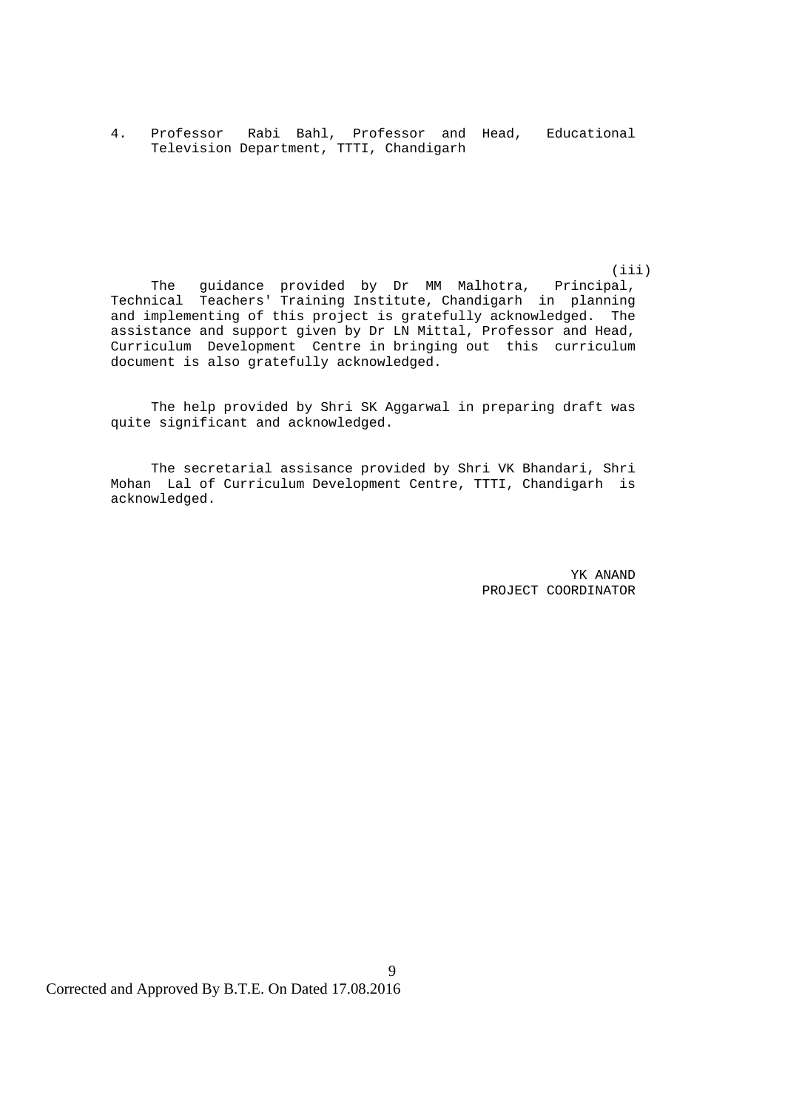4. Professor Rabi Bahl, Professor and Head, Educational Television Department, TTTI, Chandigarh

 (iii) The guidance provided by Dr MM Malhotra, Principal, Technical Teachers' Training Institute, Chandigarh in planning and implementing of this project is gratefully acknowledged. The assistance and support given by Dr LN Mittal, Professor and Head, Curriculum Development Centre in bringing out this curriculum document is also gratefully acknowledged.

> The help provided by Shri SK Aggarwal in preparing draft was quite significant and acknowledged.

> The secretarial assisance provided by Shri VK Bhandari, Shri Mohan Lal of Curriculum Development Centre, TTTI, Chandigarh is acknowledged.

> > 9

 YK ANAND PROJECT COORDINATOR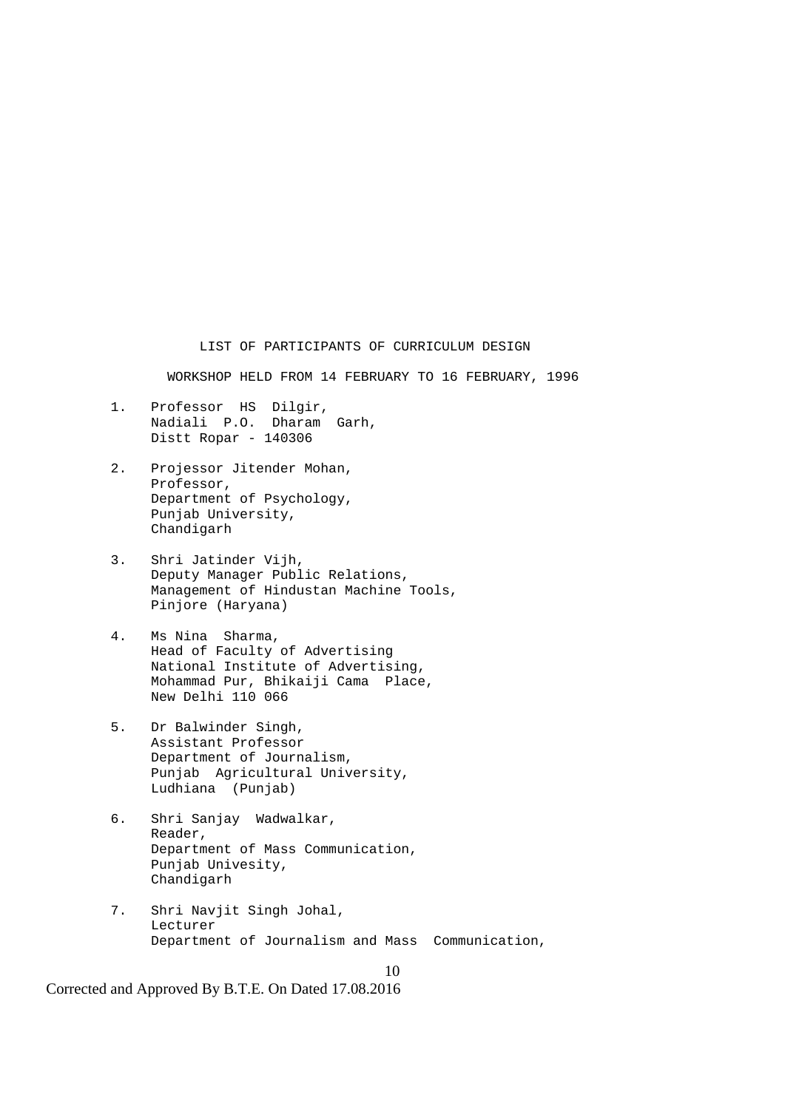LIST OF PARTICIPANTS OF CURRICULUM DESIGN

WORKSHOP HELD FROM 14 FEBRUARY TO 16 FEBRUARY, 1996

- 1. Professor HS Dilgir, Nadiali P.O. Dharam Garh, Distt Ropar - 140306
- 2. Projessor Jitender Mohan, Professor, Department of Psychology, Punjab University, Chandigarh
- 3. Shri Jatinder Vijh, Deputy Manager Public Relations, Management of Hindustan Machine Tools, Pinjore (Haryana)
- 4. Ms Nina Sharma, Head of Faculty of Advertising National Institute of Advertising, Mohammad Pur, Bhikaiji Cama Place, New Delhi 110 066
- 5. Dr Balwinder Singh, Assistant Professor Department of Journalism, Punjab Agricultural University, Ludhiana (Punjab)
- 6. Shri Sanjay Wadwalkar, Reader, Department of Mass Communication, Punjab Univesity, Chandigarh
- 7. Shri Navjit Singh Johal, Lecturer Department of Journalism and Mass Communication,

10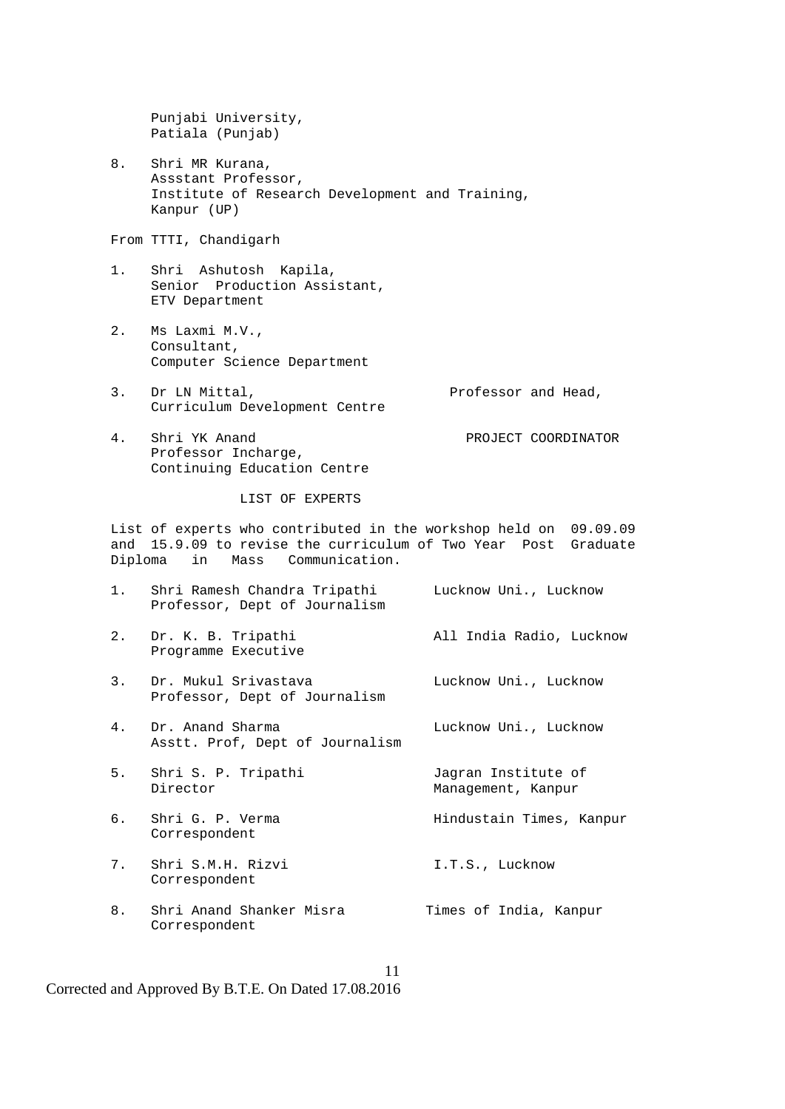Punjabi University, Patiala (Punjab)

 8. Shri MR Kurana, Assstant Professor, Institute of Research Development and Training, Kanpur (UP)

From TTTI, Chandigarh

- 1. Shri Ashutosh Kapila, Senior Production Assistant, ETV Department
- 2. Ms Laxmi M.V., Consultant, Computer Science Department
- 3. Dr LN Mittal, Professor and Head, Curriculum Development Centre
- 4. Shri YK Anand PROJECT COORDINATOR Professor Incharge, Continuing Education Centre

LIST OF EXPERTS

 List of experts who contributed in the workshop held on 09.09.09 and 15.9.09 to revise the curriculum of Two Year Post Graduate Diploma in Mass Communication.

- 1. Shri Ramesh Chandra Tripathi Lucknow Uni., Lucknow Professor, Dept of Journalism 2. Dr. K. B. Tripathi All India Radio, Lucknow Programme Executive 3. Dr. Mukul Srivastava Lucknow Uni., Lucknow Professor, Dept of Journalism 4. Dr. Anand Sharma Lucknow Uni., Lucknow Asstt. Prof, Dept of Journalism 5. Shri S. P. Tripathi Jagran Institute of Director Management, Kanpur 6. Shri G. P. Verma et al. Hindustain Times, Kanpur Correspondent
- 7. Shri S.M.H. Rizvi **I.T.S., Lucknow** Correspondent
- 8. Shri Anand Shanker Misra Times of India, Kanpur Correspondent

Corrected and Approved By B.T.E. On Dated 17.08.2016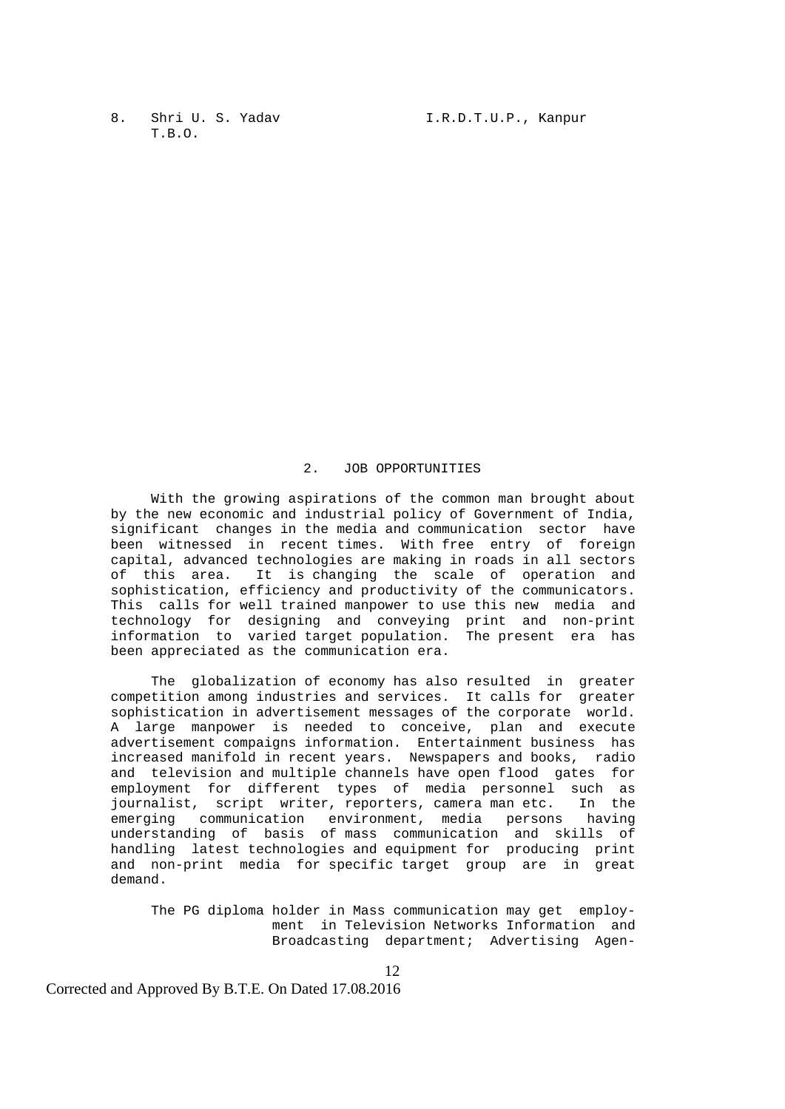T.B.O.

#### 2. JOB OPPORTUNITIES

 With the growing aspirations of the common man brought about by the new economic and industrial policy of Government of India, significant changes in the media and communication sector have been witnessed in recent times. With free entry of foreign capital, advanced technologies are making in roads in all sectors of this area. It is changing the scale of operation and sophistication, efficiency and productivity of the communicators. This calls for well trained manpower to use this new media and technology for designing and conveying print and non-print information to varied target population. The present era has been appreciated as the communication era.

> The globalization of economy has also resulted in greater competition among industries and services. It calls for greater sophistication in advertisement messages of the corporate world. A large manpower is needed to conceive, plan and execute advertisement compaigns information. Entertainment business has increased manifold in recent years. Newspapers and books, radio and television and multiple channels have open flood gates for employment for different types of media personnel such as journalist, script writer, reporters, camera man etc. In the emerging communication environment, media persons having understanding of basis of mass communication and skills of handling latest technologies and equipment for producing print and non-print media for specific target group are in great demand.

 The PG diploma holder in Mass communication may get employ ment in Television Networks Information and Broadcasting department; Advertising Agen-

12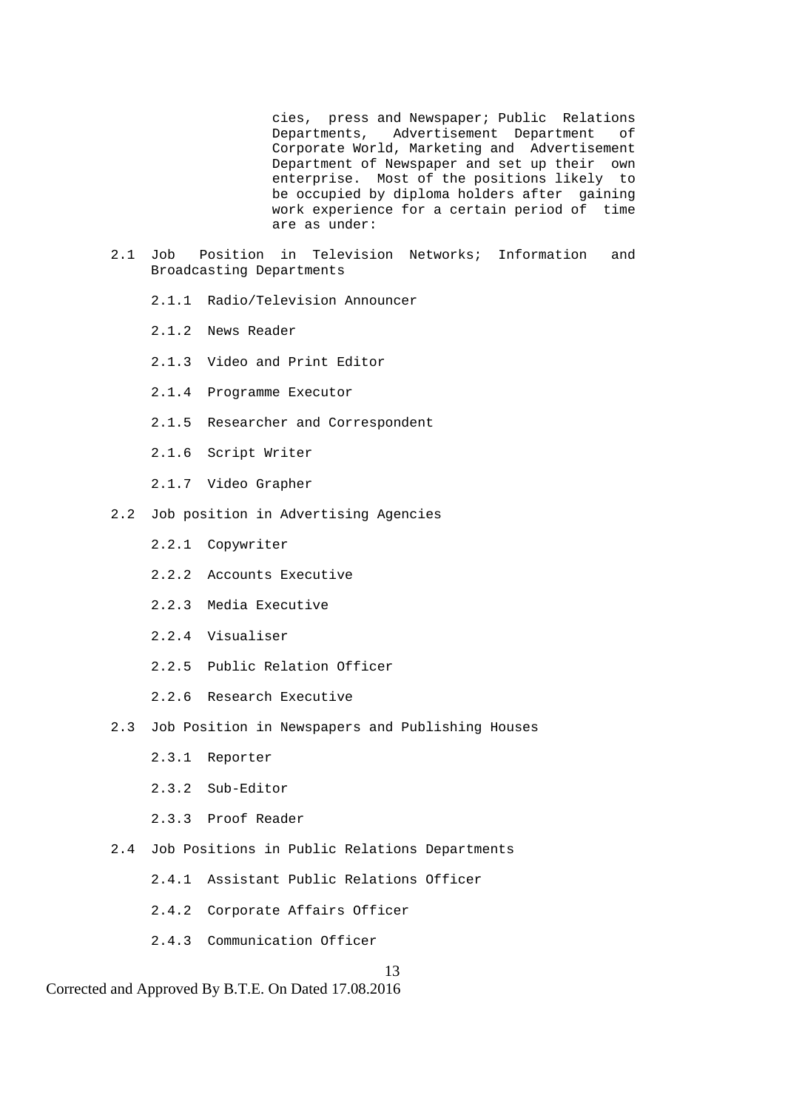cies, press and Newspaper; Public Relations Departments, Advertisement Department of Corporate World, Marketing and Advertisement Department of Newspaper and set up their own enterprise. Most of the positions likely to be occupied by diploma holders after gaining work experience for a certain period of time are as under:

- 2.1 Job Position in Television Networks; Information and Broadcasting Departments
	- 2.1.1 Radio/Television Announcer
	- 2.1.2 News Reader
	- 2.1.3 Video and Print Editor
	- 2.1.4 Programme Executor
	- 2.1.5 Researcher and Correspondent
	- 2.1.6 Script Writer
	- 2.1.7 Video Grapher
- 2.2 Job position in Advertising Agencies
	- 2.2.1 Copywriter
	- 2.2.2 Accounts Executive
	- 2.2.3 Media Executive
	- 2.2.4 Visualiser
	- 2.2.5 Public Relation Officer
	- 2.2.6 Research Executive
- 2.3 Job Position in Newspapers and Publishing Houses
	- 2.3.1 Reporter
	- 2.3.2 Sub-Editor
	- 2.3.3 Proof Reader
- 2.4 Job Positions in Public Relations Departments
	- 2.4.1 Assistant Public Relations Officer
	- 2.4.2 Corporate Affairs Officer
	- 2.4.3 Communication Officer

13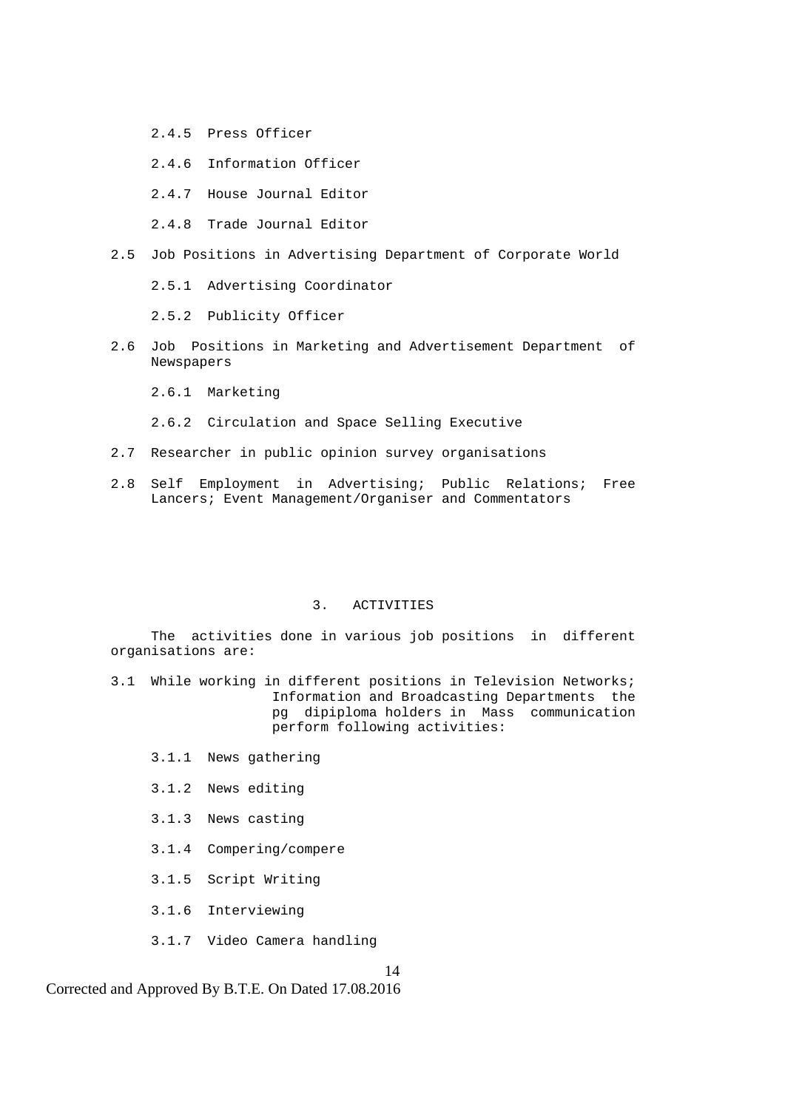- 2.4.5 Press Officer
- 2.4.6 Information Officer
- 2.4.7 House Journal Editor
- 2.4.8 Trade Journal Editor
- 2.5 Job Positions in Advertising Department of Corporate World
	- 2.5.1 Advertising Coordinator

2.5.2 Publicity Officer

- 2.6 Job Positions in Marketing and Advertisement Department of Newspapers
	- 2.6.1 Marketing
	- 2.6.2 Circulation and Space Selling Executive
- 2.7 Researcher in public opinion survey organisations
- 2.8 Self Employment in Advertising; Public Relations; Free Lancers; Event Management/Organiser and Commentators

#### 3. ACTIVITIES

 The activities done in various job positions in different organisations are:

- 3.1 While working in different positions in Television Networks; Information and Broadcasting Departments the pg dipiploma holders in Mass communication perform following activities:
	- 3.1.1 News gathering
	- 3.1.2 News editing
	- 3.1.3 News casting
	- 3.1.4 Compering/compere
	- 3.1.5 Script Writing
	- 3.1.6 Interviewing
	- 3.1.7 Video Camera handling

14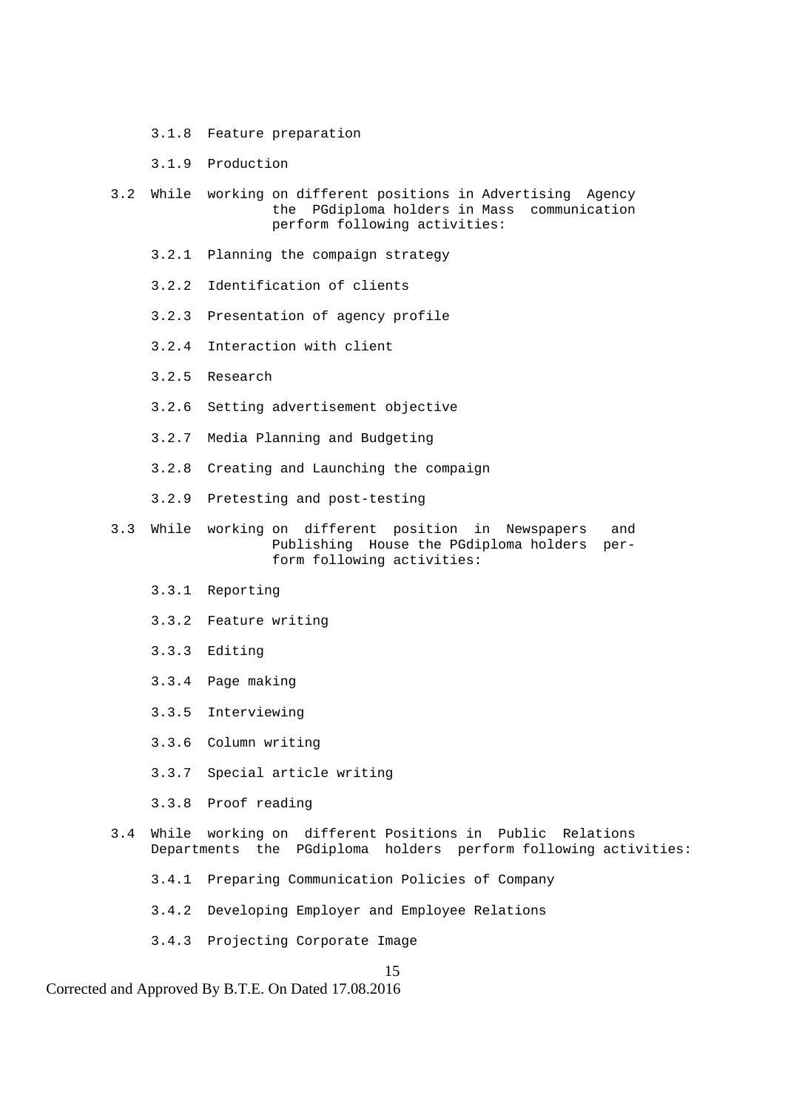- 3.1.8 Feature preparation
- 3.1.9 Production
- 3.2 While working on different positions in Advertising Agency the PGdiploma holders in Mass communication perform following activities:
	- 3.2.1 Planning the compaign strategy
	- 3.2.2 Identification of clients
	- 3.2.3 Presentation of agency profile
	- 3.2.4 Interaction with client
	- 3.2.5 Research
	- 3.2.6 Setting advertisement objective
	- 3.2.7 Media Planning and Budgeting
	- 3.2.8 Creating and Launching the compaign
	- 3.2.9 Pretesting and post-testing
- 3.3 While working on different position in Newspapers and Publishing House the PGdiploma holders per form following activities:
	- 3.3.1 Reporting
	- 3.3.2 Feature writing
	- 3.3.3 Editing
	- 3.3.4 Page making
	- 3.3.5 Interviewing
	- 3.3.6 Column writing
	- 3.3.7 Special article writing
	- 3.3.8 Proof reading
- 3.4 While working on different Positions in Public Relations Departments the PGdiploma holders perform following activities:
	- 3.4.1 Preparing Communication Policies of Company
	- 3.4.2 Developing Employer and Employee Relations
	- 3.4.3 Projecting Corporate Image

#### 15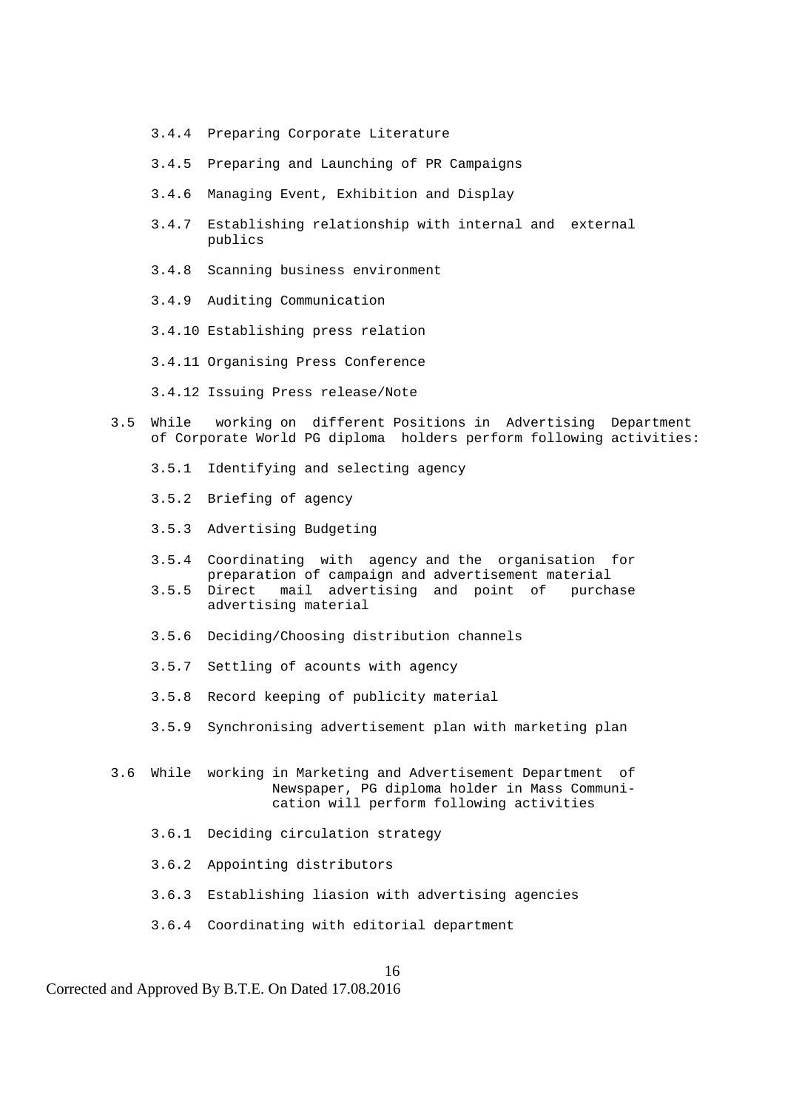- 3.4.4 Preparing Corporate Literature
- 3.4.5 Preparing and Launching of PR Campaigns
- 3.4.6 Managing Event, Exhibition and Display
- 3.4.7 Establishing relationship with internal and external publics
- 3.4.8 Scanning business environment
- 3.4.9 Auditing Communication
- 3.4.10 Establishing press relation
- 3.4.11 Organising Press Conference
- 3.4.12 Issuing Press release/Note
- 3.5 While working on different Positions in Advertising Department of Corporate World PG diploma holders perform following activities:
	- 3.5.1 Identifying and selecting agency
	- 3.5.2 Briefing of agency
	- 3.5.3 Advertising Budgeting
	- 3.5.4 Coordinating with agency and the organisation for preparation of campaign and advertisement material
	- 3.5.5 Direct mail advertising and point of purchase advertising material
	- 3.5.6 Deciding/Choosing distribution channels
	- 3.5.7 Settling of acounts with agency
	- 3.5.8 Record keeping of publicity material
	- 3.5.9 Synchronising advertisement plan with marketing plan
- 3.6 While working in Marketing and Advertisement Department of Newspaper, PG diploma holder in Mass Communi cation will perform following activities
	- 3.6.1 Deciding circulation strategy
	- 3.6.2 Appointing distributors
	- 3.6.3 Establishing liasion with advertising agencies

16

3.6.4 Coordinating with editorial department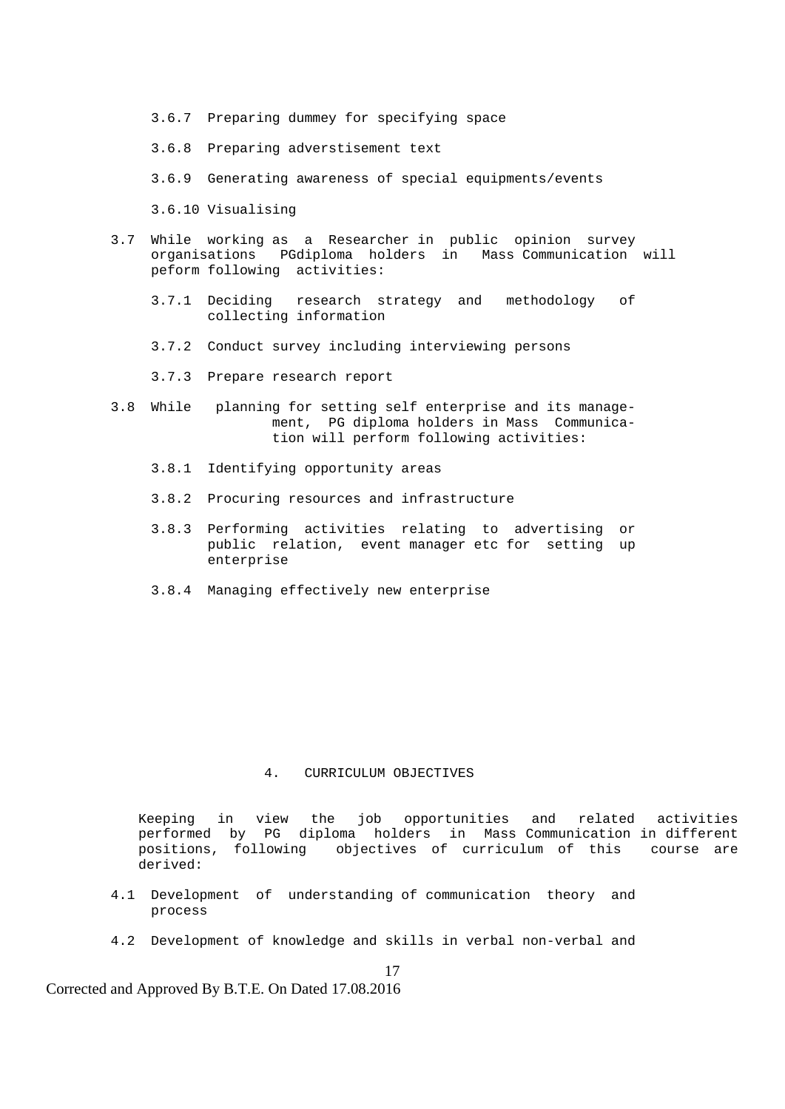- 3.6.7 Preparing dummey for specifying space
- 3.6.8 Preparing adverstisement text
- 3.6.9 Generating awareness of special equipments/events

3.6.10 Visualising

- 3.7 While working as a Researcher in public opinion survey organisations PGdiploma holders in Mass Communication will peform following activities:
	- 3.7.1 Deciding research strategy and methodology of collecting information
	- 3.7.2 Conduct survey including interviewing persons
	- 3.7.3 Prepare research report
- 3.8 While planning for setting self enterprise and its manage ment, PG diploma holders in Mass Communica tion will perform following activities:
	- 3.8.1 Identifying opportunity areas
	- 3.8.2 Procuring resources and infrastructure
	- 3.8.3 Performing activities relating to advertising or public relation, event manager etc for setting up enterprise
	- 3.8.4 Managing effectively new enterprise

#### 4. CURRICULUM OBJECTIVES

Keeping in view the job opportunities and related activities performed by PG diploma holders in Mass Communication in different positions, following objectives of curriculum of this course are derived:

- 4.1 Development of understanding of communication theory and process
- 4.2 Development of knowledge and skills in verbal non-verbal and

17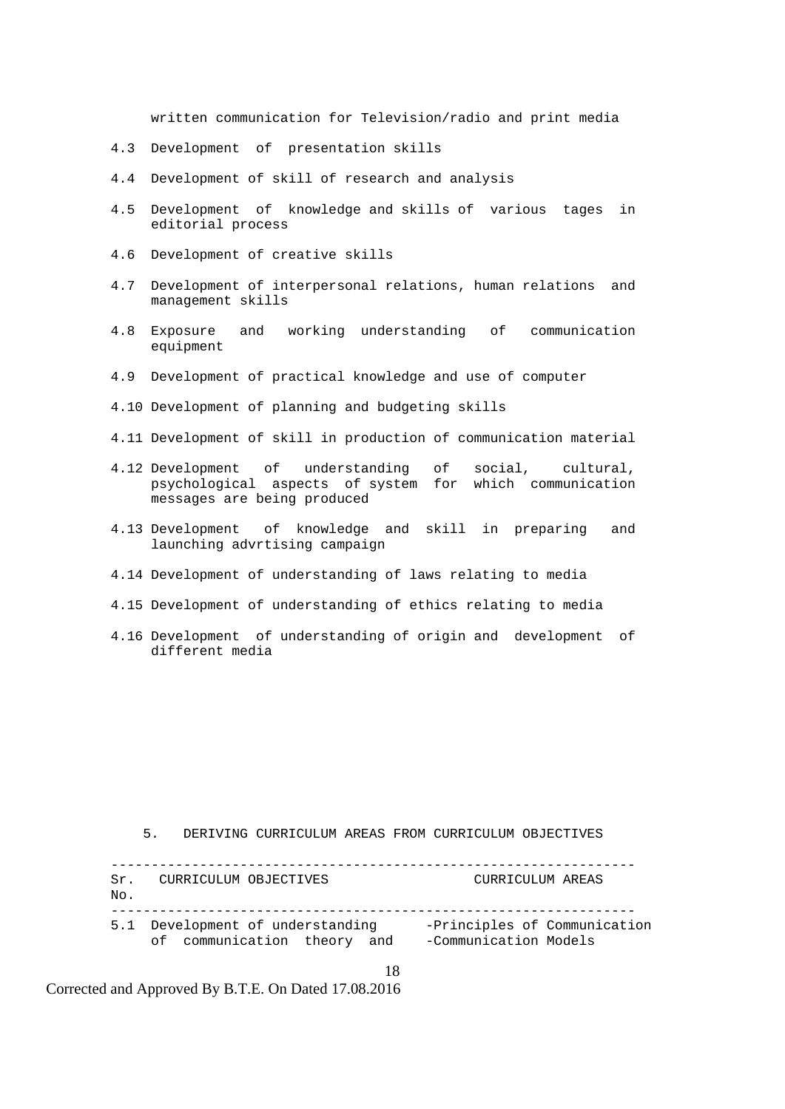written communication for Television/radio and print media

- 4.3 Development of presentation skills
- 4.4 Development of skill of research and analysis
- 4.5 Development of knowledge and skills of various tages in editorial process
- 4.6 Development of creative skills
- 4.7 Development of interpersonal relations, human relations and management skills
- 4.8 Exposure and working understanding of communication equipment
- 4.9 Development of practical knowledge and use of computer
- 4.10 Development of planning and budgeting skills
- 4.11 Development of skill in production of communication material
- 4.12 Development of understanding of social, cultural, psychological aspects of system for which communication messages are being produced
- 4.13 Development of knowledge and skill in preparing and launching advrtising campaign
- 4.14 Development of understanding of laws relating to media
- 4.15 Development of understanding of ethics relating to media
- 4.16 Development of understanding of origin and development of different media

5. DERIVING CURRICULUM AREAS FROM CURRICULUM OBJECTIVES

| Sr.<br>No. | CURRICULUM OBJECTIVES                                           | CURRICULUM AREAS                                      |
|------------|-----------------------------------------------------------------|-------------------------------------------------------|
|            | 5.1 Development of understanding<br>of communication theory and | -Principles of Communication<br>-Communication Models |

18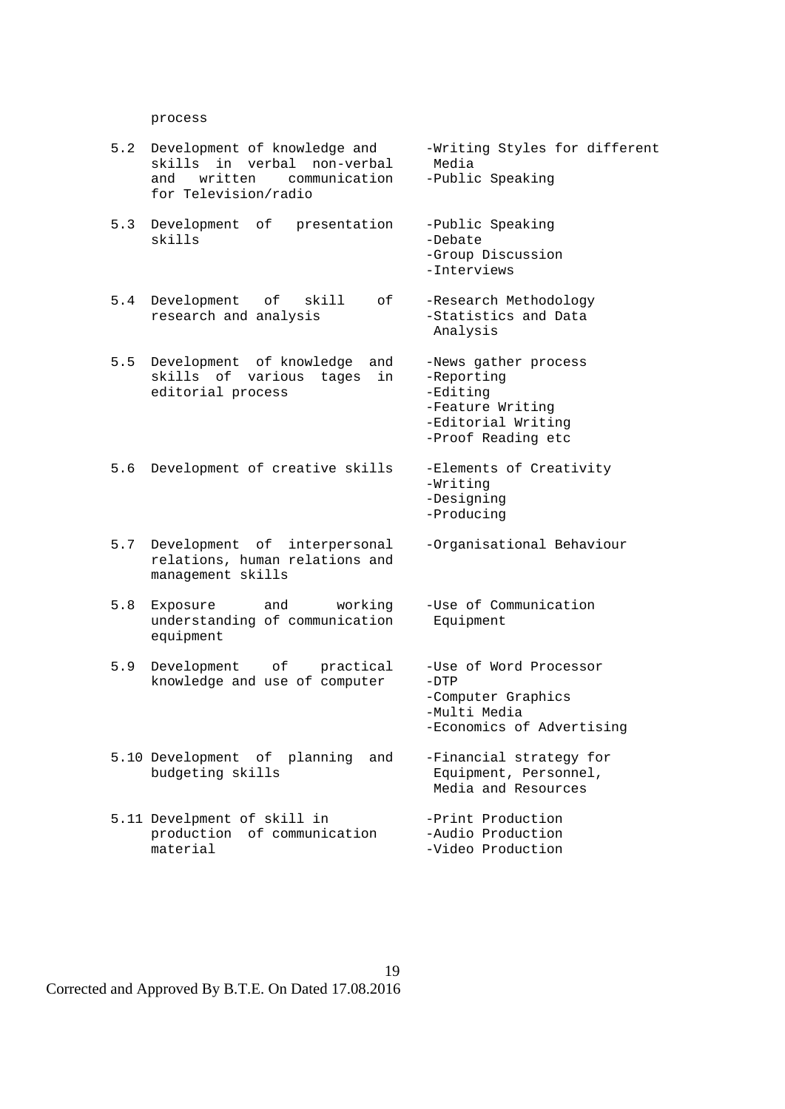process

- 5.2 Development of knowledge and -Writing Styles for different skills in verbal non-verbal Media and written communication -Public Speaking for Television/radio
- 5.3 Development of presentation -Public Speaking skills -Debate
	- 5.4 Development of skill of -Research Methodology<br>research and analysis -Statistics and Data research and analysis
	- 5.5 Development of knowledge and -News gather process skills of various tages in -Reporting editorial process -Editing
	-
	- relations, human relations and management skills
	- understanding of communication Equipment equipment
	- knowledge and use of computer -DTP
	- 5.10 Development of planning and -Financial strategy for<br>budgeting skills budgeting stills
	- 5.11 Develpment of skill in the print Production<br>production of communication -Audio Production production of communication material  $-V$ ideo Production

19

 -Group Discussion -Interviews Analysis -Feature Writing -Editorial Writing -Proof Reading etc 5.6 Development of creative skills -Elements of Creativity -Writing -Designing -Producing 5.7 Development of interpersonal -Organisational Behaviour 5.8 Exposure and working -Use of Communication 5.9 Development of practical -Use of Word Processor -Computer Graphics -Multi Media -Economics of Advertising Equipment, Personnel, Media and Resources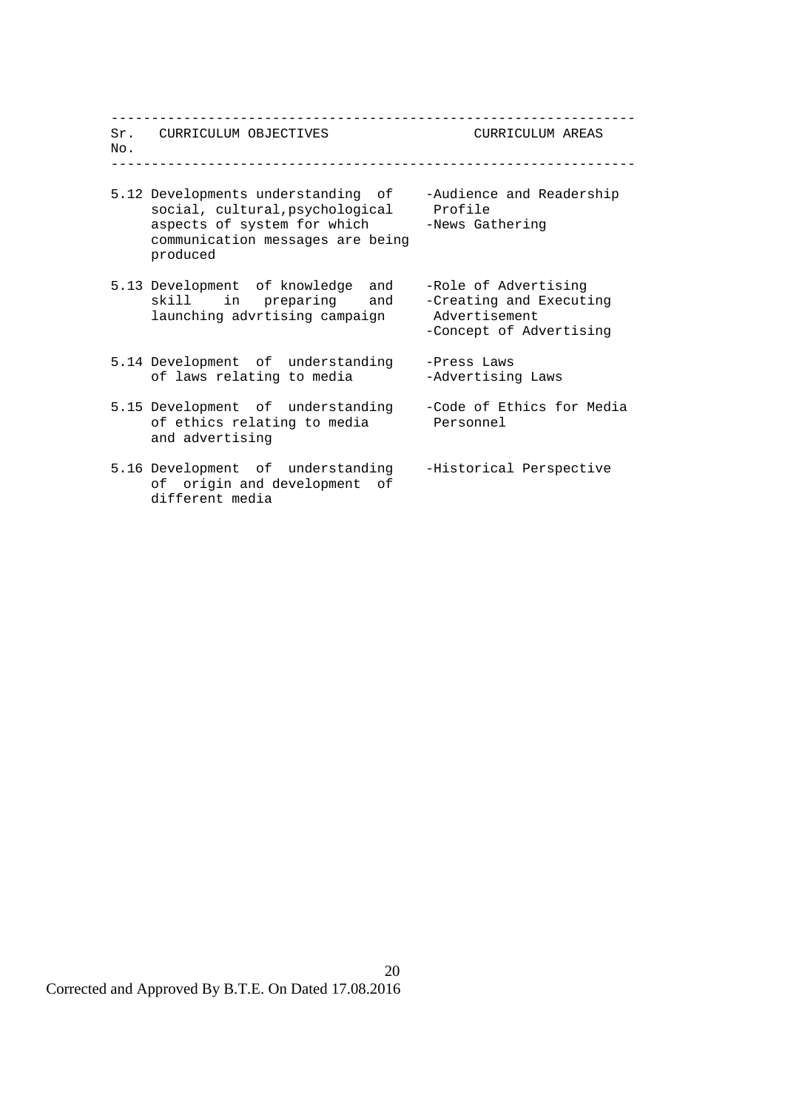| No. | Sr. CURRICULUM OBJECTIVES                                                                                                                                    | CURRICULUM AREAS                                                                            |
|-----|--------------------------------------------------------------------------------------------------------------------------------------------------------------|---------------------------------------------------------------------------------------------|
|     | 5.12 Developments understanding of<br>social, cultural, psychological Profile<br>aspects of system for which<br>communication messages are being<br>produced | -Audience and Readership<br>-News Gathering                                                 |
|     | 5.13 Development of knowledge and<br>skill in preparing and<br>launching advrtising campaign                                                                 | -Role of Advertising<br>-Creating and Executing<br>Advertisement<br>-Concept of Advertising |
|     | 5.14 Development of understanding<br>of laws relating to media                                                                                               | -Press Laws<br>-Advertising Laws                                                            |
|     | 5.15 Development of understanding<br>of ethics relating to media<br>and advertising                                                                          | -Code of Ethics for Media<br>Personnel                                                      |
|     | 5.16 Development of understanding<br>of origin and development of<br>different media                                                                         | -Historical Perspective                                                                     |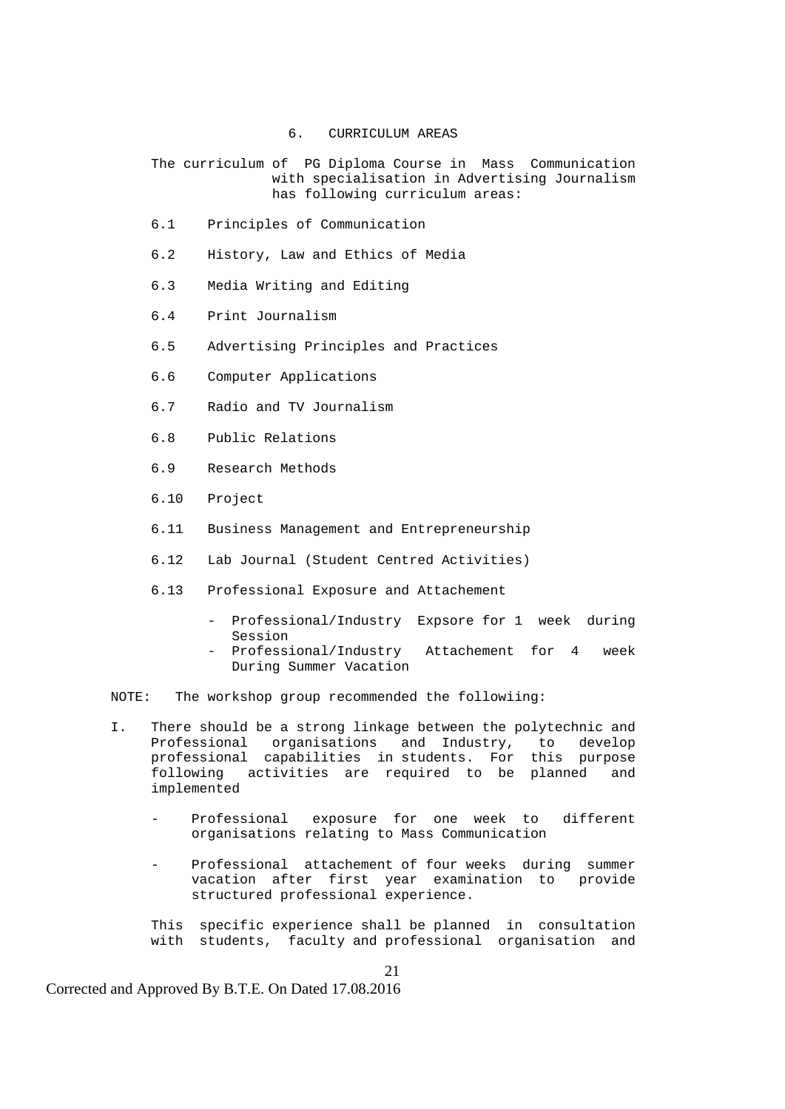- 6. CURRICULUM AREAS
- The curriculum of PG Diploma Course in Mass Communication with specialisation in Advertising Journalism has following curriculum areas:
- 6.1 Principles of Communication
- 6.2 History, Law and Ethics of Media
- 6.3 Media Writing and Editing
- 6.4 Print Journalism
- 6.5 Advertising Principles and Practices
- 6.6 Computer Applications
- 6.7 Radio and TV Journalism
- 6.8 Public Relations
- 6.9 Research Methods
- 6.10 Project
- 6.11 Business Management and Entrepreneurship
- 6.12 Lab Journal (Student Centred Activities)
- 6.13 Professional Exposure and Attachement
	- Professional/Industry Expsore for 1 week during Session
	- Professional/Industry Attachement for 4 week During Summer Vacation

NOTE: The workshop group recommended the followiing:

- I. There should be a strong linkage between the polytechnic and Professional organisations and Industry, to develop professional capabilities in students. For this purpose following activities are required to be planned and implemented
	- Professional exposure for one week to different organisations relating to Mass Communication
	- Professional attachement of four weeks during summer vacation after first year examination to provide structured professional experience.
	- This specific experience shall be planned in consultation with students, faculty and professional organisation and

Corrected and Approved By B.T.E. On Dated 17.08.2016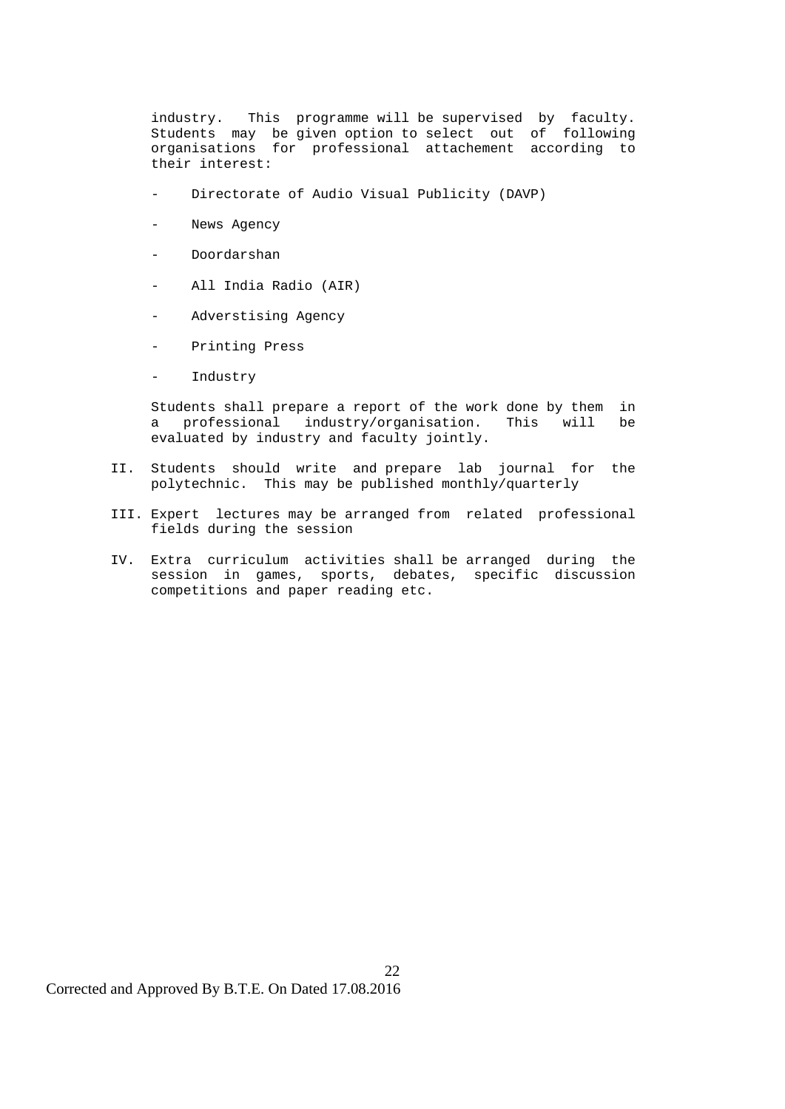industry. This programme will be supervised by faculty. Students may be given option to select out of following organisations for professional attachement according to their interest:

- Directorate of Audio Visual Publicity (DAVP)
- News Agency
- Doordarshan
- All India Radio (AIR)
- Adverstising Agency
- Printing Press
- Industry

 Students shall prepare a report of the work done by them in a professional industry/organisation. This will be evaluated by industry and faculty jointly.

- II. Students should write and prepare lab journal for the polytechnic. This may be published monthly/quarterly
- III. Expert lectures may be arranged from related professional fields during the session
- IV. Extra curriculum activities shall be arranged during the session in games, sports, debates, specific discussion competitions and paper reading etc.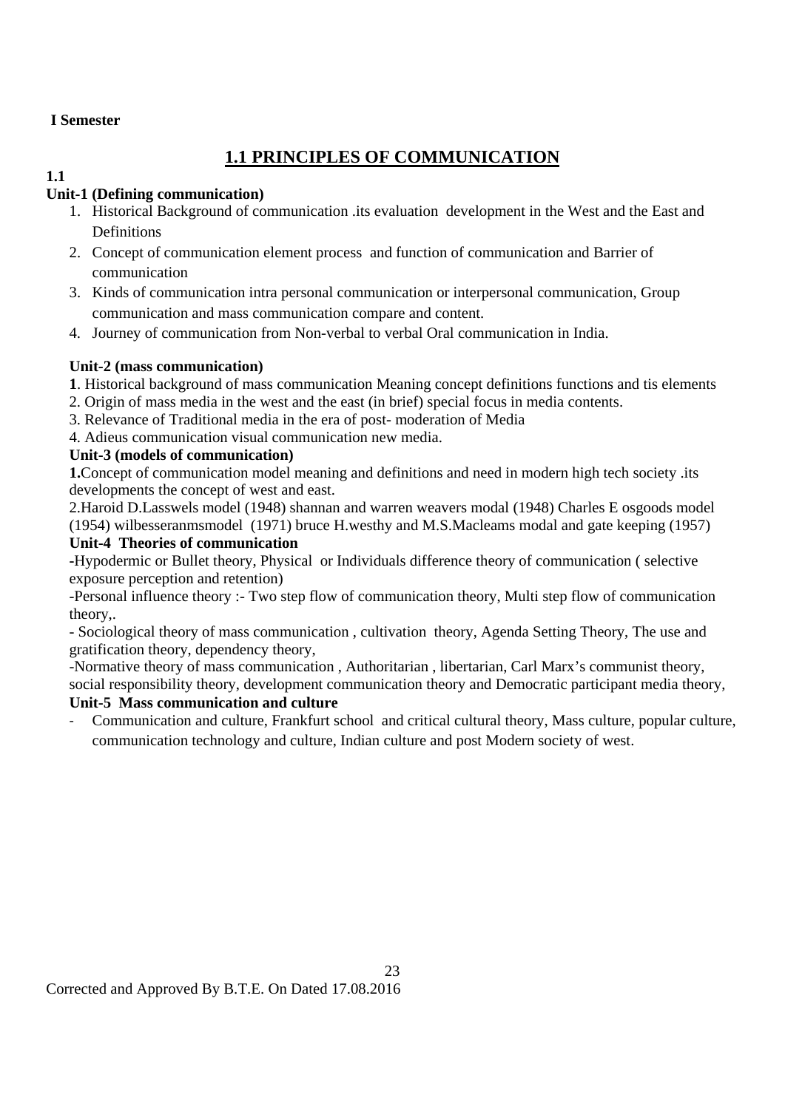## **I Semester**

# **1.1 PRINCIPLES OF COMMUNICATION**

#### **1.1 Unit-1 (Defining communication)**

- 1. Historical Background of communication .its evaluation development in the West and the East and Definitions
- 2. Concept of communication element process and function of communication and Barrier of communication
- 3. Kinds of communication intra personal communication or interpersonal communication, Group communication and mass communication compare and content.
- 4. Journey of communication from Non-verbal to verbal Oral communication in India.

## **Unit-2 (mass communication)**

- **1**. Historical background of mass communication Meaning concept definitions functions and tis elements
- 2. Origin of mass media in the west and the east (in brief) special focus in media contents.
- 3. Relevance of Traditional media in the era of post- moderation of Media
- 4. Adieus communication visual communication new media.

## **Unit-3 (models of communication)**

**1.**Concept of communication model meaning and definitions and need in modern high tech society .its developments the concept of west and east.

2.Haroid D.Lasswels model (1948) shannan and warren weavers modal (1948) Charles E osgoods model (1954) wilbesseranmsmodel (1971) bruce H.westhy and M.S.Macleams modal and gate keeping (1957)

## **Unit-4 Theories of communication**

**-**Hypodermic or Bullet theory, Physical or Individuals difference theory of communication ( selective exposure perception and retention)

-Personal influence theory :- Two step flow of communication theory, Multi step flow of communication theory,.

- Sociological theory of mass communication , cultivation theory, Agenda Setting Theory, The use and gratification theory, dependency theory,

-Normative theory of mass communication , Authoritarian , libertarian, Carl Marx's communist theory, social responsibility theory, development communication theory and Democratic participant media theory,

## **Unit-5 Mass communication and culture**

‐ Communication and culture, Frankfurt school and critical cultural theory, Mass culture, popular culture, communication technology and culture, Indian culture and post Modern society of west.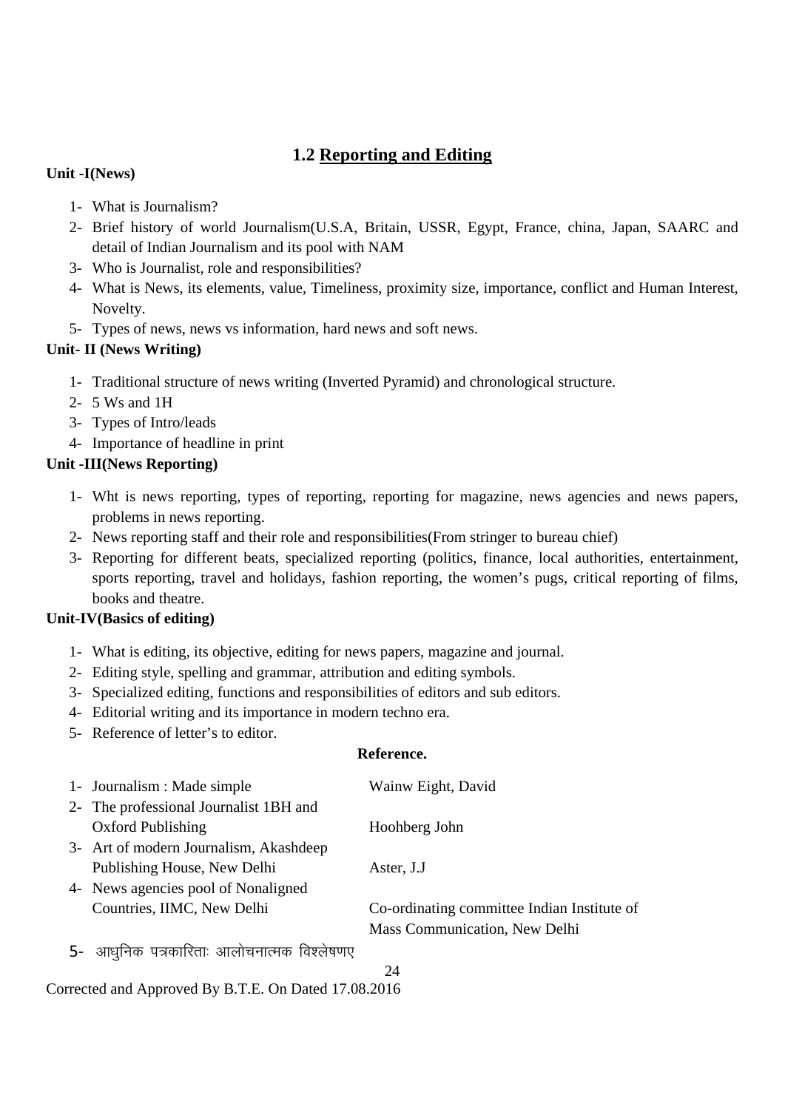# **1.2 Reporting and Editing**

## **Unit -I(News)**

- 1- What is Journalism?
- 2- Brief history of world Journalism(U.S.A, Britain, USSR, Egypt, France, china, Japan, SAARC and detail of Indian Journalism and its pool with NAM
- 3- Who is Journalist, role and responsibilities?
- 4- What is News, its elements, value, Timeliness, proximity size, importance, conflict and Human Interest, Novelty.
- 5- Types of news, news vs information, hard news and soft news.

## **Unit- II (News Writing)**

- 1- Traditional structure of news writing (Inverted Pyramid) and chronological structure.
- 2- 5 Ws and 1H
- 3- Types of Intro/leads
- 4- Importance of headline in print

## **Unit -III(News Reporting)**

- 1- Wht is news reporting, types of reporting, reporting for magazine, news agencies and news papers, problems in news reporting.
- 2- News reporting staff and their role and responsibilities(From stringer to bureau chief)
- 3- Reporting for different beats, specialized reporting (politics, finance, local authorities, entertainment, sports reporting, travel and holidays, fashion reporting, the women's pugs, critical reporting of films, books and theatre.

#### **Unit-IV(Basics of editing)**

- 1- What is editing, its objective, editing for news papers, magazine and journal.
- 2- Editing style, spelling and grammar, attribution and editing symbols.
- 3- Specialized editing, functions and responsibilities of editors and sub editors.
- 4- Editorial writing and its importance in modern techno era.
- 5- Reference of letter's to editor.

#### **Reference.**

|      | 1- Journalism : Made simple             | Wainw Eight, David                          |
|------|-----------------------------------------|---------------------------------------------|
|      | 2- The professional Journalist 1BH and  |                                             |
|      | <b>Oxford Publishing</b>                | Hoohberg John                               |
|      | 3- Art of modern Journalism, Akashdeep  |                                             |
|      | Publishing House, New Delhi             | Aster, J.J                                  |
|      | 4- News agencies pool of Nonaligned     |                                             |
|      | Countries, IIMC, New Delhi              | Co-ordinating committee Indian Institute of |
|      |                                         | Mass Communication, New Delhi               |
| $5-$ | आधुनिक पत्रकारिताः आलोचनात्मक विश्लेषणए |                                             |
|      |                                         | 24                                          |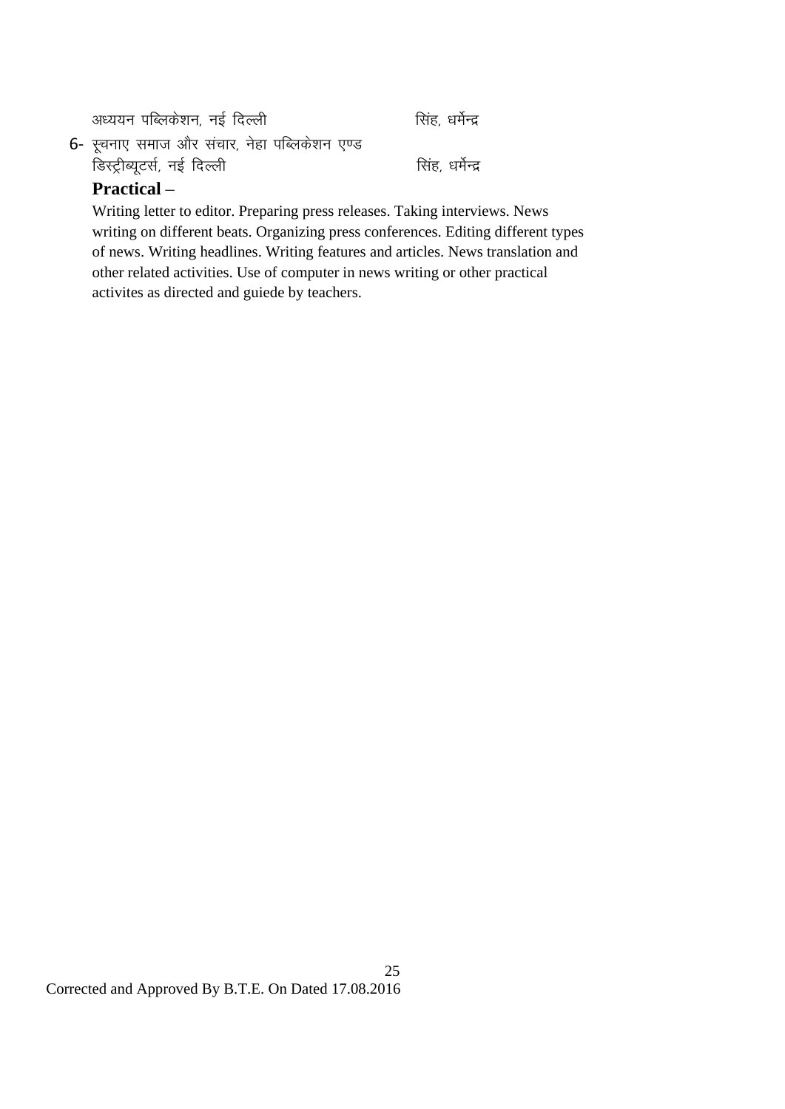| अध्ययन पब्लिकेशन, नई दिल्ली                        | सिंह, धर्मेन्द्र |
|----------------------------------------------------|------------------|
| 6-  स्चनाए  समाज और  संचार,  नेहा  पब्लिकेशन  एण्ड |                  |
| डिस्ट्रीब्यूटर्स, नई दिल्ली                        | सिंह, धर्मेन्द्र |
| $Practical \_$                                     |                  |

## **Practical** –

Writing letter to editor. Preparing press releases. Taking interviews. News writing on different beats. Organizing press conferences. Editing different types of news. Writing headlines. Writing features and articles. News translation and other related activities. Use of computer in news writing or other practical activites as directed and guiede by teachers.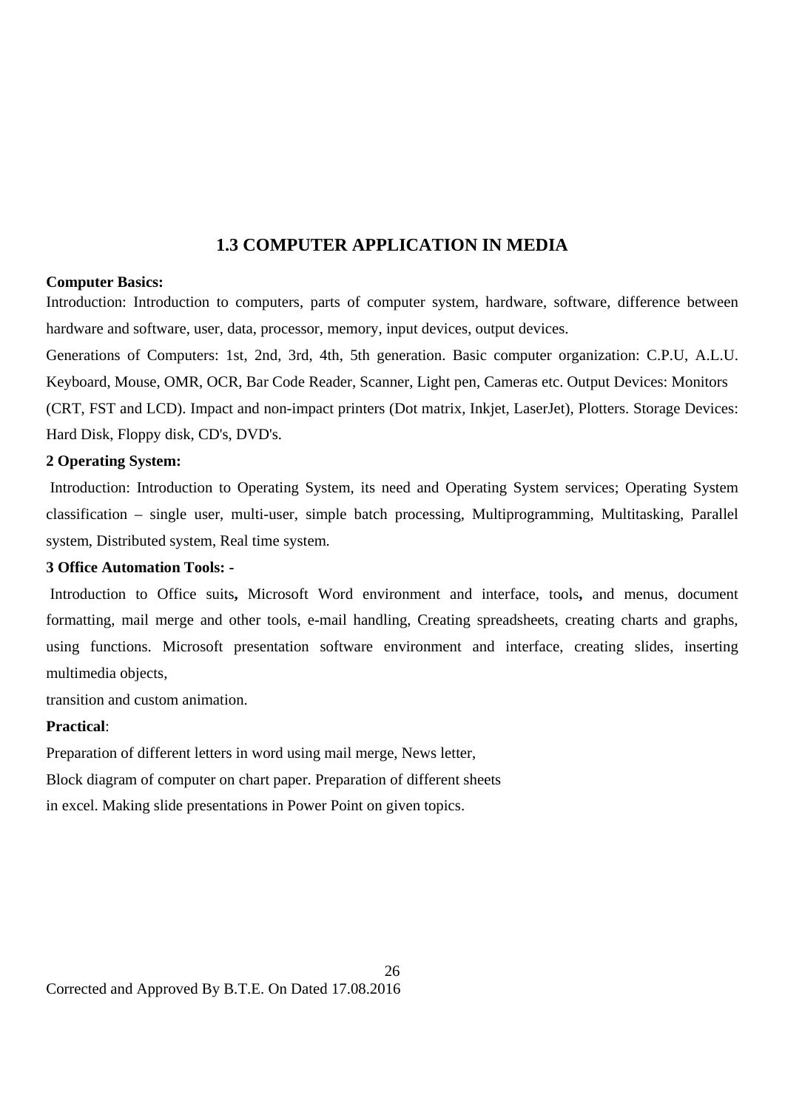# **1.3 COMPUTER APPLICATION IN MEDIA**

#### **Computer Basics:**

Introduction: Introduction to computers, parts of computer system, hardware, software, difference between hardware and software, user, data, processor, memory, input devices, output devices.

Generations of Computers: 1st, 2nd, 3rd, 4th, 5th generation. Basic computer organization: C.P.U, A.L.U. Keyboard, Mouse, OMR, OCR, Bar Code Reader, Scanner, Light pen, Cameras etc. Output Devices: Monitors (CRT, FST and LCD). Impact and non-impact printers (Dot matrix, Inkjet, LaserJet), Plotters. Storage Devices: Hard Disk, Floppy disk, CD's, DVD's.

#### **2 Operating System:**

Introduction: Introduction to Operating System, its need and Operating System services; Operating System classification – single user, multi-user, simple batch processing, Multiprogramming, Multitasking, Parallel system, Distributed system, Real time system.

#### **3 Office Automation Tools: -**

Introduction to Office suits**,** Microsoft Word environment and interface, tools**,** and menus, document formatting, mail merge and other tools, e-mail handling, Creating spreadsheets, creating charts and graphs, using functions. Microsoft presentation software environment and interface, creating slides, inserting multimedia objects,

transition and custom animation.

#### **Practical**:

Preparation of different letters in word using mail merge, News letter,

Block diagram of computer on chart paper. Preparation of different sheets

in excel. Making slide presentations in Power Point on given topics.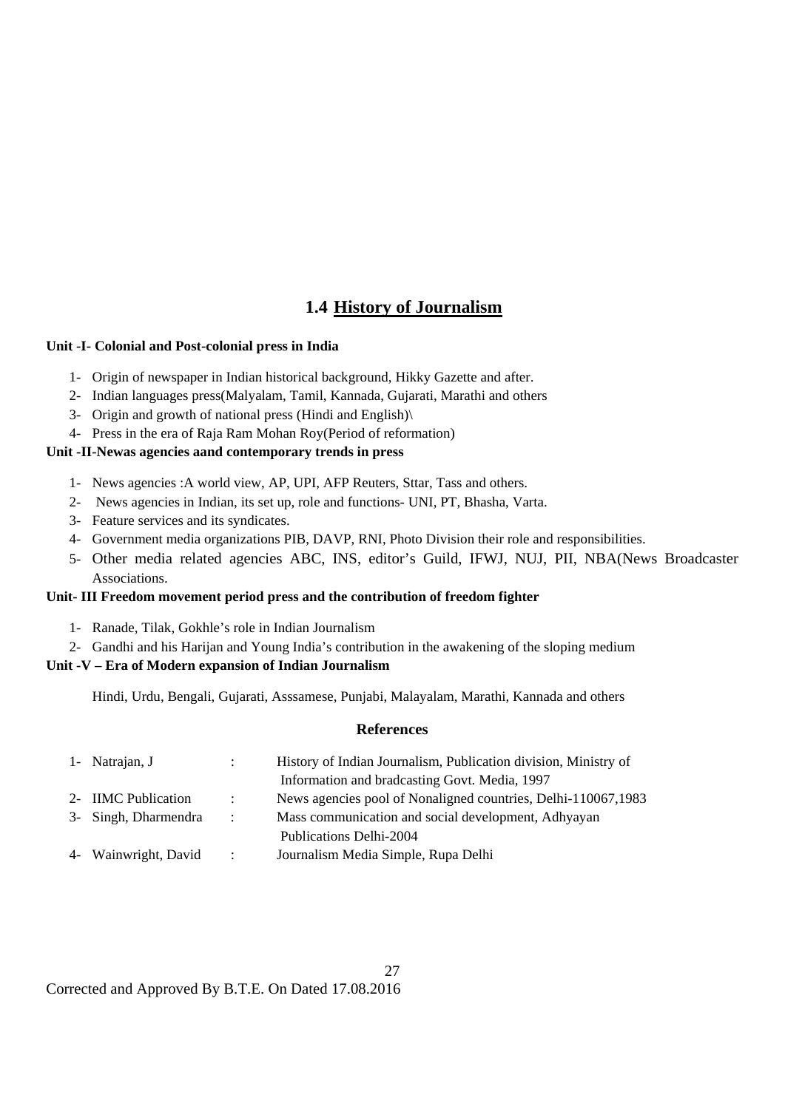# **1.4 History of Journalism**

#### **Unit -I- Colonial and Post-colonial press in India**

- 1- Origin of newspaper in Indian historical background, Hikky Gazette and after.
- 2- Indian languages press(Malyalam, Tamil, Kannada, Gujarati, Marathi and others
- 3- Origin and growth of national press (Hindi and English)\
- 4- Press in the era of Raja Ram Mohan Roy(Period of reformation)

#### **Unit -II-Newas agencies aand contemporary trends in press**

- 1- News agencies :A world view, AP, UPI, AFP Reuters, Sttar, Tass and others.
- 2- News agencies in Indian, its set up, role and functions- UNI, PT, Bhasha, Varta.
- 3- Feature services and its syndicates.
- 4- Government media organizations PIB, DAVP, RNI, Photo Division their role and responsibilities.
- 5- Other media related agencies ABC, INS, editor's Guild, IFWJ, NUJ, PII, NBA(News Broadcaster Associations.

#### **Unit- III Freedom movement period press and the contribution of freedom fighter**

- 1- Ranade, Tilak, Gokhle's role in Indian Journalism
- 2- Gandhi and his Harijan and Young India's contribution in the awakening of the sloping medium

#### **Unit -V – Era of Modern expansion of Indian Journalism**

Hindi, Urdu, Bengali, Gujarati, Asssamese, Punjabi, Malayalam, Marathi, Kannada and others

#### **References**

| 1- Natrajan, J       |                   | History of Indian Journalism, Publication division, Ministry of |
|----------------------|-------------------|-----------------------------------------------------------------|
|                      |                   | Information and bradcasting Govt. Media, 1997                   |
| 2- IIMC Publication  | $\mathcal{L}$     | News agencies pool of Nonaligned countries, Delhi-110067,1983   |
| 3- Singh, Dharmendra | $\sim$ 100 $\sim$ | Mass communication and social development, Adhyayan             |
|                      |                   | Publications Delhi-2004                                         |
| 4- Wainwright, David | $\mathcal{L}$     | Journalism Media Simple, Rupa Delhi                             |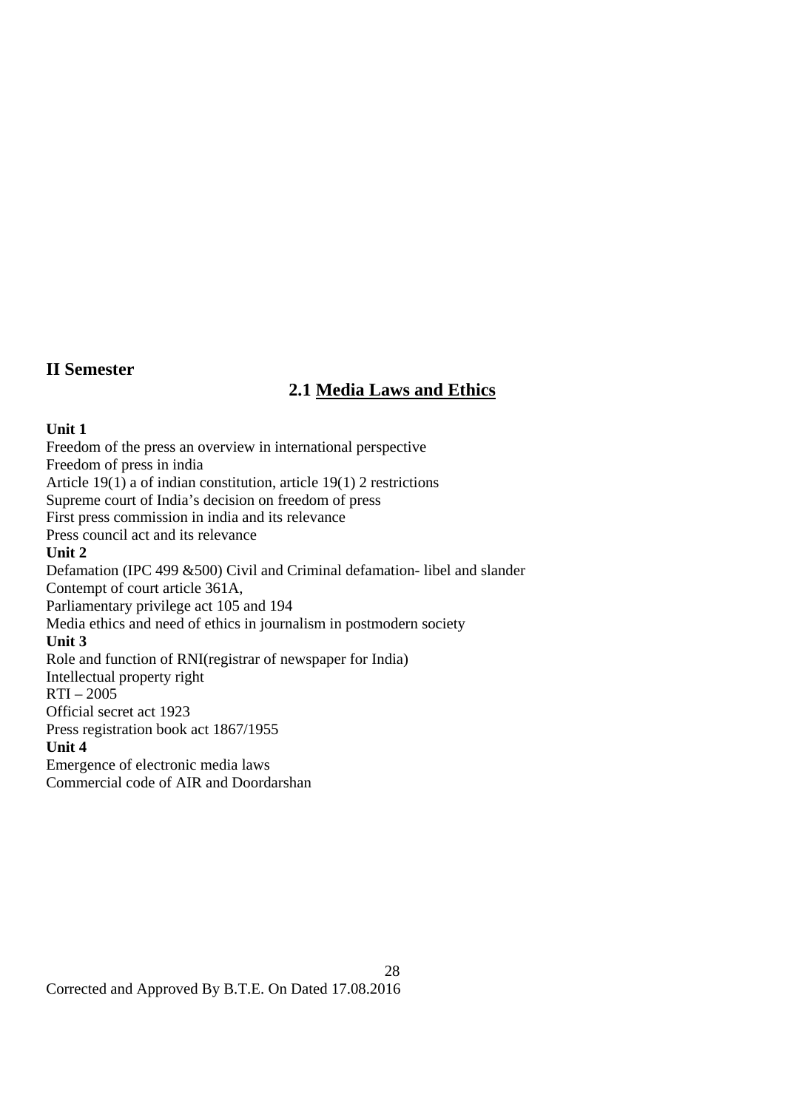## **II Semester**

## **2.1 Media Laws and Ethics**

#### **Unit 1**

Freedom of the press an overview in international perspective Freedom of press in india Article 19(1) a of indian constitution, article 19(1) 2 restrictions Supreme court of India's decision on freedom of press First press commission in india and its relevance Press council act and its relevance **Unit 2**  Defamation (IPC 499 &500) Civil and Criminal defamation- libel and slander Contempt of court article 361A, Parliamentary privilege act 105 and 194 Media ethics and need of ethics in journalism in postmodern society **Unit 3**  Role and function of RNI(registrar of newspaper for India) Intellectual property right  $RTI - 2005$ Official secret act 1923 Press registration book act 1867/1955 **Unit 4**  Emergence of electronic media laws Commercial code of AIR and Doordarshan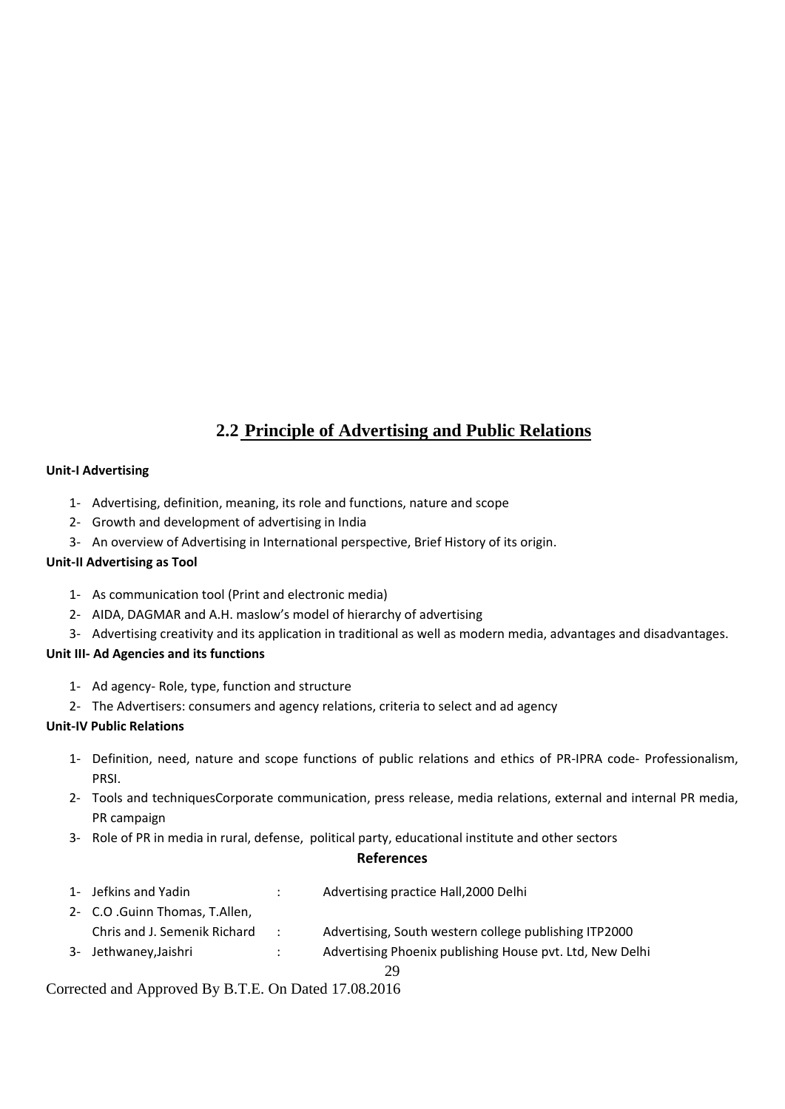# **2.2 Principle of Advertising and Public Relations**

#### **Unit‐I Advertising**

- 1‐ Advertising, definition, meaning, its role and functions, nature and scope
- 2‐ Growth and development of advertising in India
- 3‐ An overview of Advertising in International perspective, Brief History of its origin.

#### **Unit‐II Advertising as Tool**

- 1‐ As communication tool (Print and electronic media)
- 2‐ AIDA, DAGMAR and A.H. maslow's model of hierarchy of advertising
- 3‐ Advertising creativity and its application in traditional as well as modern media, advantages and disadvantages.

#### **Unit III‐ Ad Agencies and its functions**

- 1‐ Ad agency‐ Role, type, function and structure
- 2‐ The Advertisers: consumers and agency relations, criteria to select and ad agency

#### **Unit‐IV Public Relations**

- 1‐ Definition, need, nature and scope functions of public relations and ethics of PR‐IPRA code‐ Professionalism, PRSI.
- 2‐ Tools and techniquesCorporate communication, press release, media relations, external and internal PR media, PR campaign
- 3‐ Role of PR in media in rural, defense, political party, educational institute and other sectors

#### **References**

| 1- Jefkins and Yadin           |               | Advertising practice Hall, 2000 Delhi                    |
|--------------------------------|---------------|----------------------------------------------------------|
| 2- C.O .Guinn Thomas, T.Allen, |               |                                                          |
| Chris and J. Semenik Richard   | $\mathcal{L}$ | Advertising, South western college publishing ITP2000    |
| 3- Jethwaney, Jaishri          | $\mathcal{L}$ | Advertising Phoenix publishing House pvt. Ltd, New Delhi |
|                                |               | 29                                                       |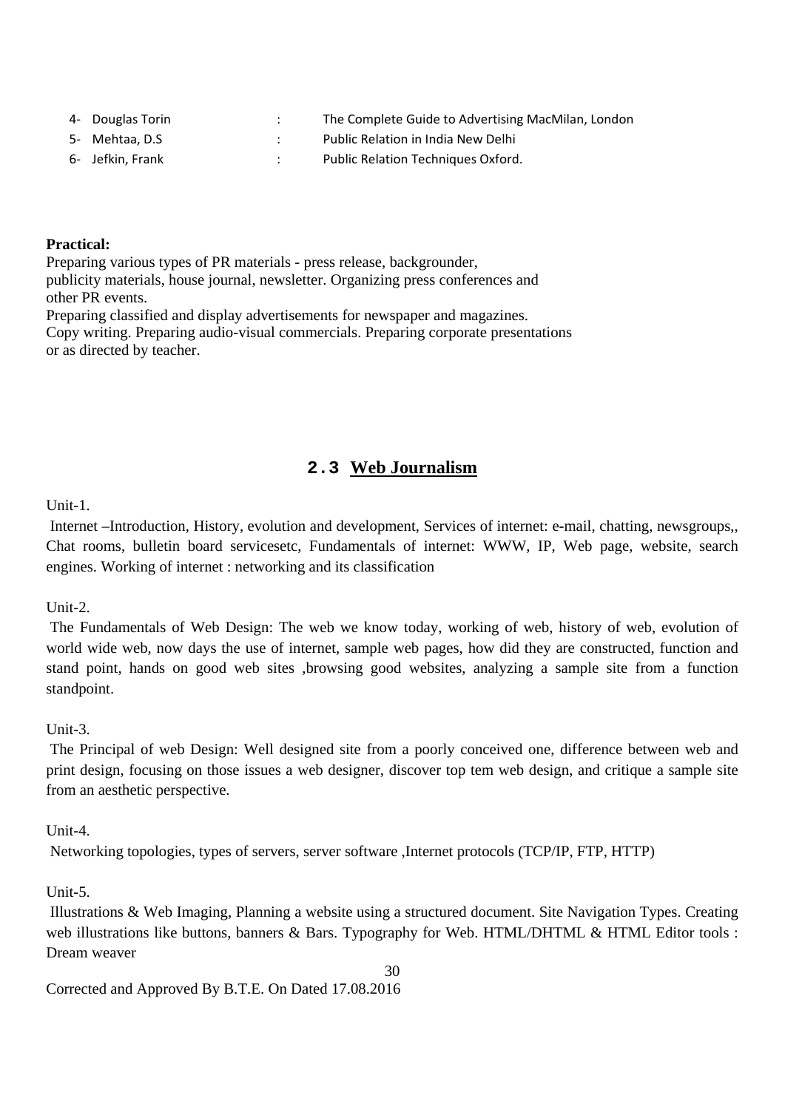| 4- Douglas Torin | The Complete Guide to Advertising MacMilan, London |
|------------------|----------------------------------------------------|
| 5- Mehtaa. D.S   | Public Relation in India New Delhi                 |
| 6- Jefkin. Frank | Public Relation Techniques Oxford.                 |

#### **Practical:**

Preparing various types of PR materials - press release, backgrounder, publicity materials, house journal, newsletter. Organizing press conferences and other PR events.

Preparing classified and display advertisements for newspaper and magazines. Copy writing. Preparing audio-visual commercials. Preparing corporate presentations or as directed by teacher.

# **2.3 Web Journalism**

Unit-1.

 Internet –Introduction, History, evolution and development, Services of internet: e-mail, chatting, newsgroups,, Chat rooms, bulletin board servicesetc, Fundamentals of internet: WWW, IP, Web page, website, search engines. Working of internet : networking and its classification

 $Unit-2$ .

 The Fundamentals of Web Design: The web we know today, working of web, history of web, evolution of world wide web, now days the use of internet, sample web pages, how did they are constructed, function and stand point, hands on good web sites ,browsing good websites, analyzing a sample site from a function standpoint.

#### Unit-3.

 The Principal of web Design: Well designed site from a poorly conceived one, difference between web and print design, focusing on those issues a web designer, discover top tem web design, and critique a sample site from an aesthetic perspective.

 $Unit-4$ .

Networking topologies, types of servers, server software ,Internet protocols (TCP/IP, FTP, HTTP)

 $Unit-5$ 

 Illustrations & Web Imaging, Planning a website using a structured document. Site Navigation Types. Creating web illustrations like buttons, banners & Bars. Typography for Web. HTML/DHTML & HTML Editor tools : Dream weaver

30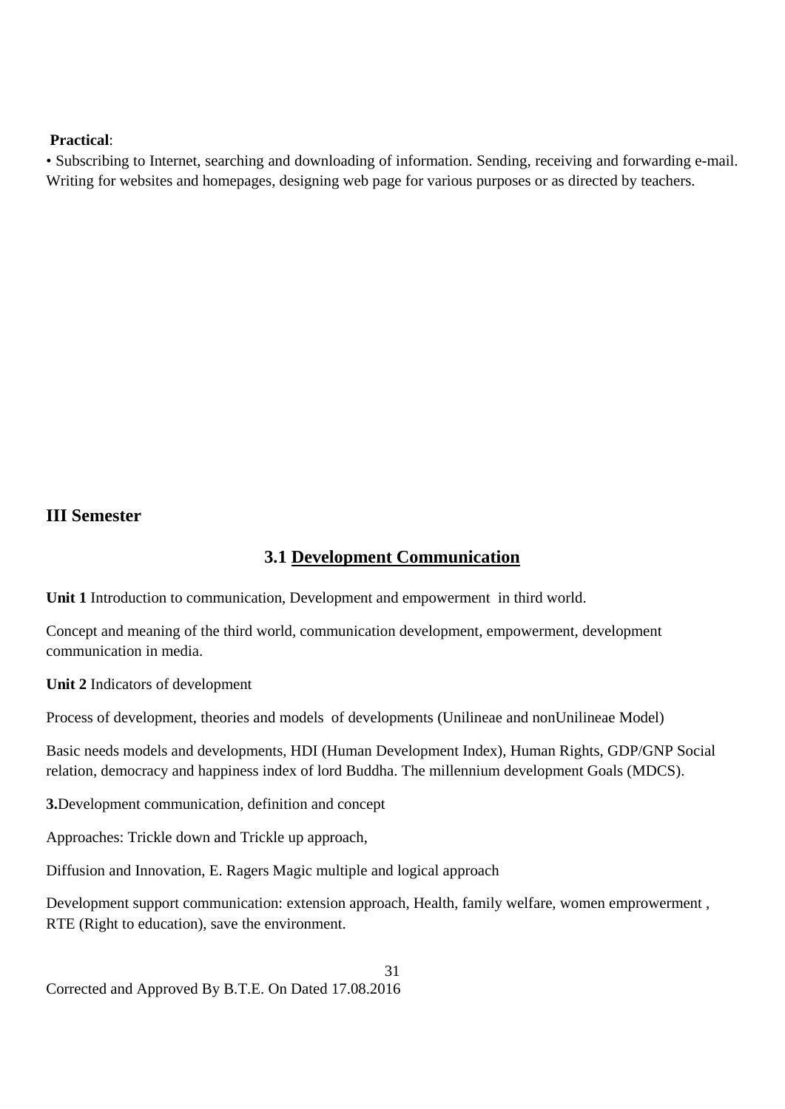#### **Practical**:

• Subscribing to Internet, searching and downloading of information. Sending, receiving and forwarding e-mail. Writing for websites and homepages, designing web page for various purposes or as directed by teachers.

## **III Semester**

## **3.1 Development Communication**

**Unit 1** Introduction to communication, Development and empowerment in third world.

Concept and meaning of the third world, communication development, empowerment, development communication in media.

**Unit 2** Indicators of development

Process of development, theories and models of developments (Unilineae and nonUnilineae Model)

Basic needs models and developments, HDI (Human Development Index), Human Rights, GDP/GNP Social relation, democracy and happiness index of lord Buddha. The millennium development Goals (MDCS).

**3.**Development communication, definition and concept

Approaches: Trickle down and Trickle up approach,

Diffusion and Innovation, E. Ragers Magic multiple and logical approach

Development support communication: extension approach, Health, family welfare, women emprowerment , RTE (Right to education), save the environment.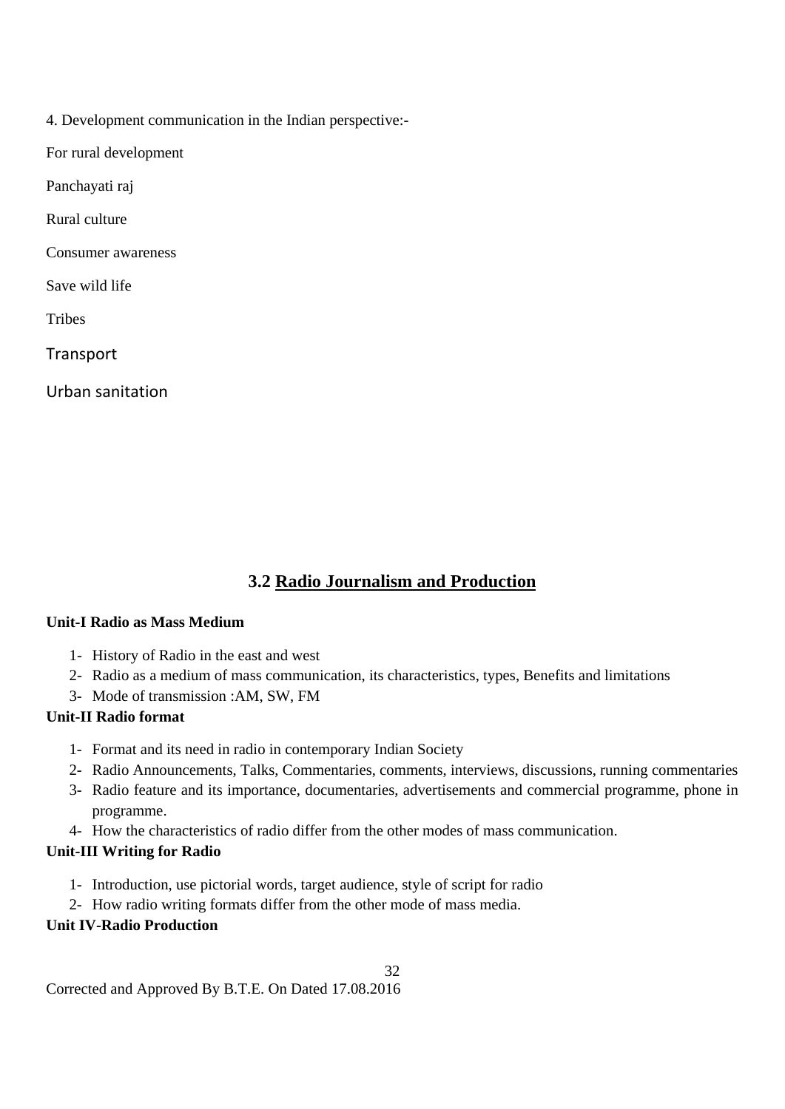4. Development communication in the Indian perspective:-

For rural development

Panchayati raj

Rural culture

Consumer awareness

Save wild life

**Tribes** 

**Transport** 

Urban sanitation

# **3.2 Radio Journalism and Production**

#### **Unit-I Radio as Mass Medium**

- 1- History of Radio in the east and west
- 2- Radio as a medium of mass communication, its characteristics, types, Benefits and limitations
- 3- Mode of transmission :AM, SW, FM

## **Unit-II Radio format**

- 1- Format and its need in radio in contemporary Indian Society
- 2- Radio Announcements, Talks, Commentaries, comments, interviews, discussions, running commentaries
- 3- Radio feature and its importance, documentaries, advertisements and commercial programme, phone in programme.
- 4- How the characteristics of radio differ from the other modes of mass communication.

#### **Unit-III Writing for Radio**

- 1- Introduction, use pictorial words, target audience, style of script for radio
- 2- How radio writing formats differ from the other mode of mass media.

#### **Unit IV-Radio Production**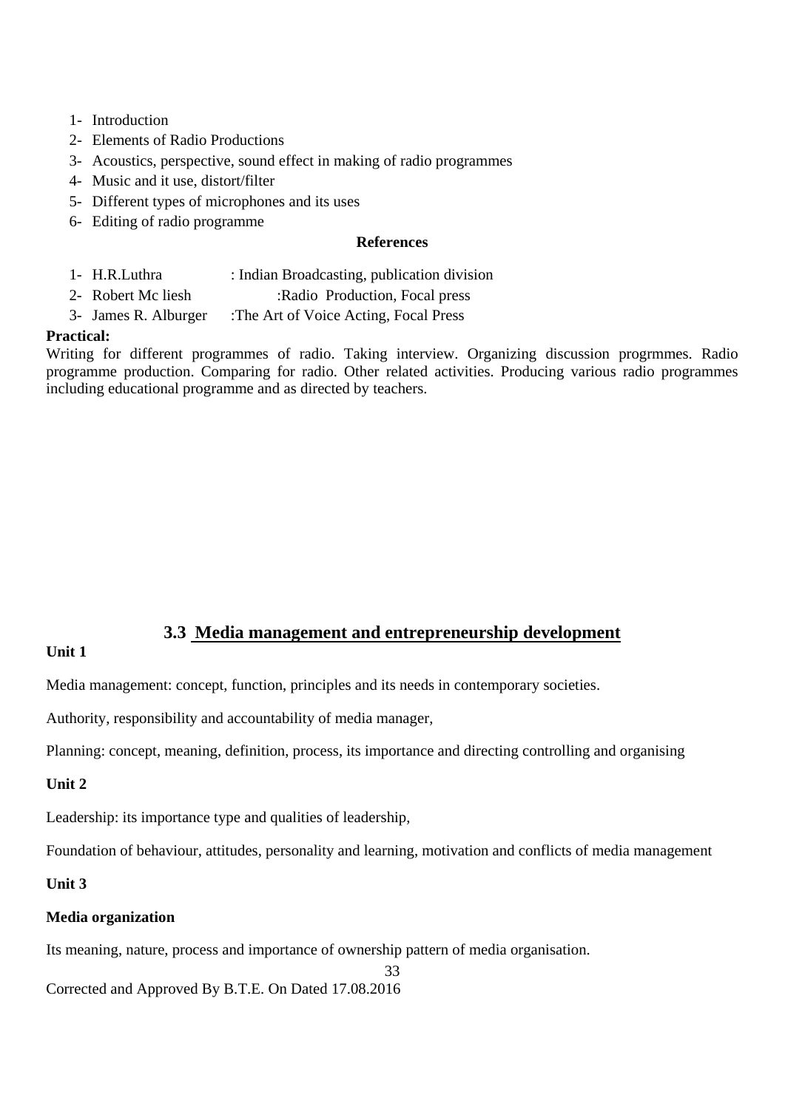- 1- Introduction
- 2- Elements of Radio Productions
- 3- Acoustics, perspective, sound effect in making of radio programmes
- 4- Music and it use, distort/filter
- 5- Different types of microphones and its uses
- 6- Editing of radio programme

#### **References**

- 1- H.R.Luthra : Indian Broadcasting, publication division
- 2- Robert Mc liesh :Radio Production, Focal press
- 3- James R. Alburger :The Art of Voice Acting, Focal Press

#### **Practical:**

Writing for different programmes of radio. Taking interview. Organizing discussion progrmmes. Radio programme production. Comparing for radio. Other related activities. Producing various radio programmes including educational programme and as directed by teachers.

#### **3.3 Media management and entrepreneurship development**

#### **Unit 1**

Media management: concept, function, principles and its needs in contemporary societies.

Authority, responsibility and accountability of media manager,

Planning: concept, meaning, definition, process, its importance and directing controlling and organising

#### **Unit 2**

Leadership: its importance type and qualities of leadership,

Foundation of behaviour, attitudes, personality and learning, motivation and conflicts of media management

#### **Unit 3**

#### **Media organization**

Its meaning, nature, process and importance of ownership pattern of media organisation.

33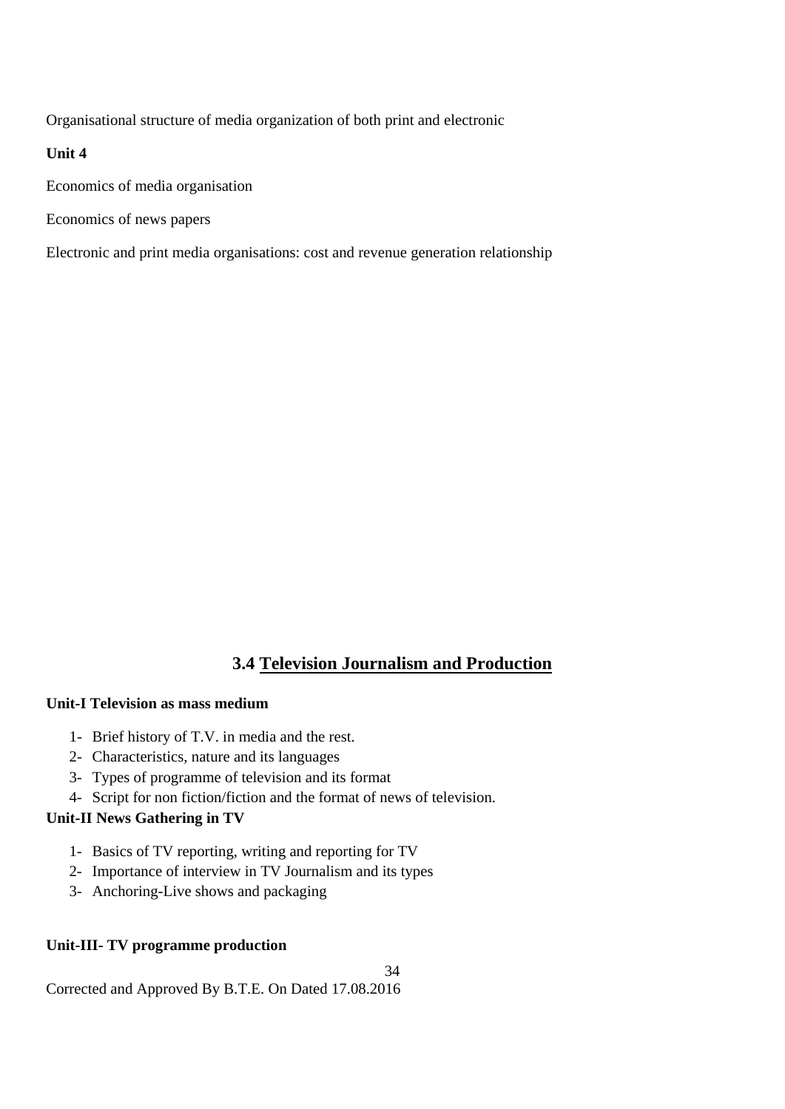Organisational structure of media organization of both print and electronic

#### **Unit 4**

Economics of media organisation

Economics of news papers

Electronic and print media organisations: cost and revenue generation relationship

# **3.4 Television Journalism and Production**

#### **Unit-I Television as mass medium**

- 1- Brief history of T.V. in media and the rest.
- 2- Characteristics, nature and its languages
- 3- Types of programme of television and its format
- 4- Script for non fiction/fiction and the format of news of television.

#### **Unit-II News Gathering in TV**

- 1- Basics of TV reporting, writing and reporting for TV
- 2- Importance of interview in TV Journalism and its types
- 3- Anchoring-Live shows and packaging

#### **Unit-III- TV programme production**

34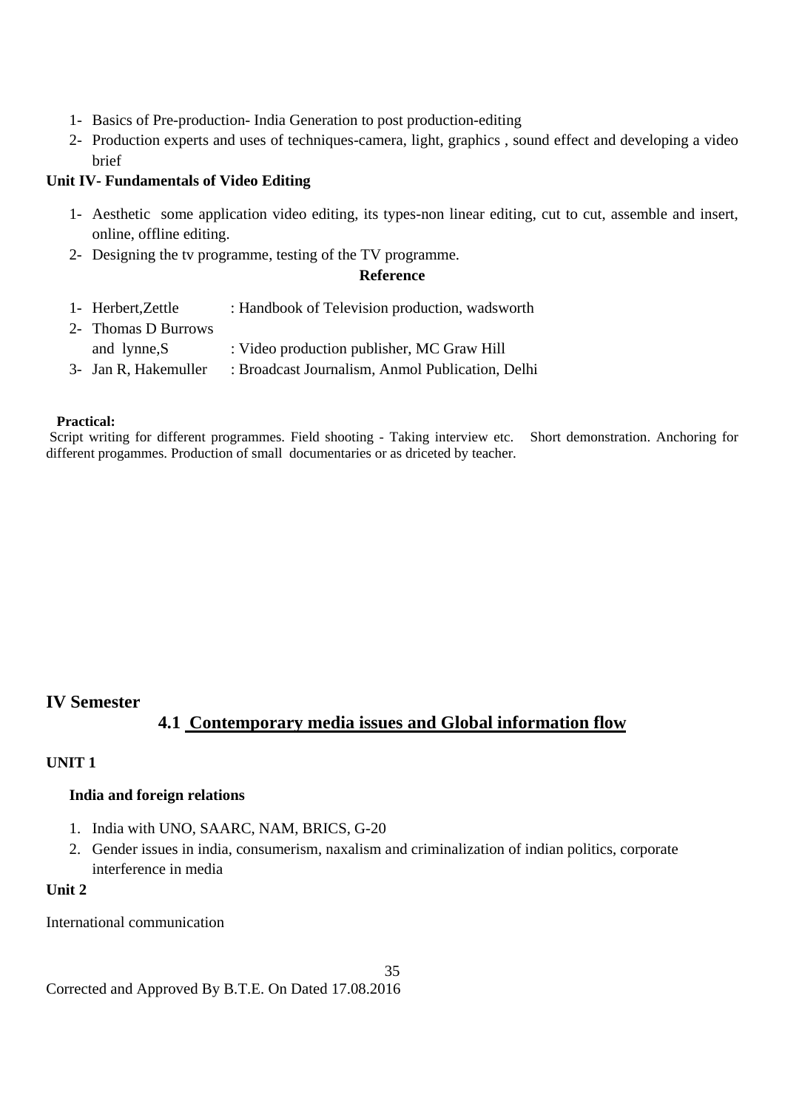- 1- Basics of Pre-production- India Generation to post production-editing
- 2- Production experts and uses of techniques-camera, light, graphics , sound effect and developing a video brief

#### **Unit IV- Fundamentals of Video Editing**

- 1- Aesthetic some application video editing, its types-non linear editing, cut to cut, assemble and insert, online, offline editing.
- 2- Designing the tv programme, testing of the TV programme.

#### **Reference**

- 1- Herbert,Zettle : Handbook of Television production, wadsworth
- 2- Thomas D Burrows and lynne, S : Video production publisher, MC Graw Hill 3- Jan R, Hakemuller : Broadcast Journalism, Anmol Publication, Delhi

#### **Practical:**

Script writing for different programmes. Field shooting - Taking interview etc. Short demonstration. Anchoring for different progammes. Production of small documentaries or as driceted by teacher.

#### **IV Semester**

## **4.1 Contemporary media issues and Global information flow**

#### **UNIT 1**

#### **India and foreign relations**

- 1. India with UNO, SAARC, NAM, BRICS, G-20
- 2. Gender issues in india, consumerism, naxalism and criminalization of indian politics, corporate interference in media

## **Unit 2**

#### International communication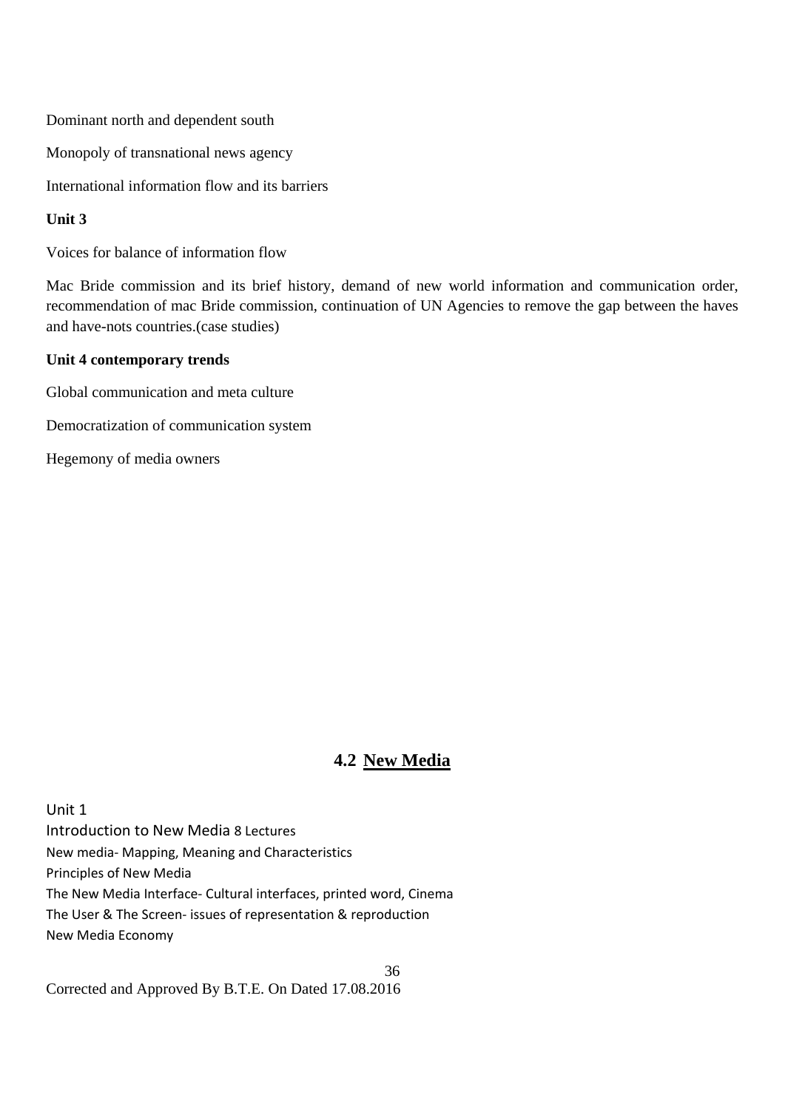Dominant north and dependent south

Monopoly of transnational news agency

International information flow and its barriers

#### **Unit 3**

Voices for balance of information flow

Mac Bride commission and its brief history, demand of new world information and communication order, recommendation of mac Bride commission, continuation of UN Agencies to remove the gap between the haves and have-nots countries.(case studies)

#### **Unit 4 contemporary trends**

Global communication and meta culture

Democratization of communication system

Hegemony of media owners

# **4.2 New Media**

Unit 1 Introduction to New Media 8 Lectures New media‐ Mapping, Meaning and Characteristics Principles of New Media The New Media Interface‐ Cultural interfaces, printed word, Cinema The User & The Screen‐ issues of representation & reproduction New Media Economy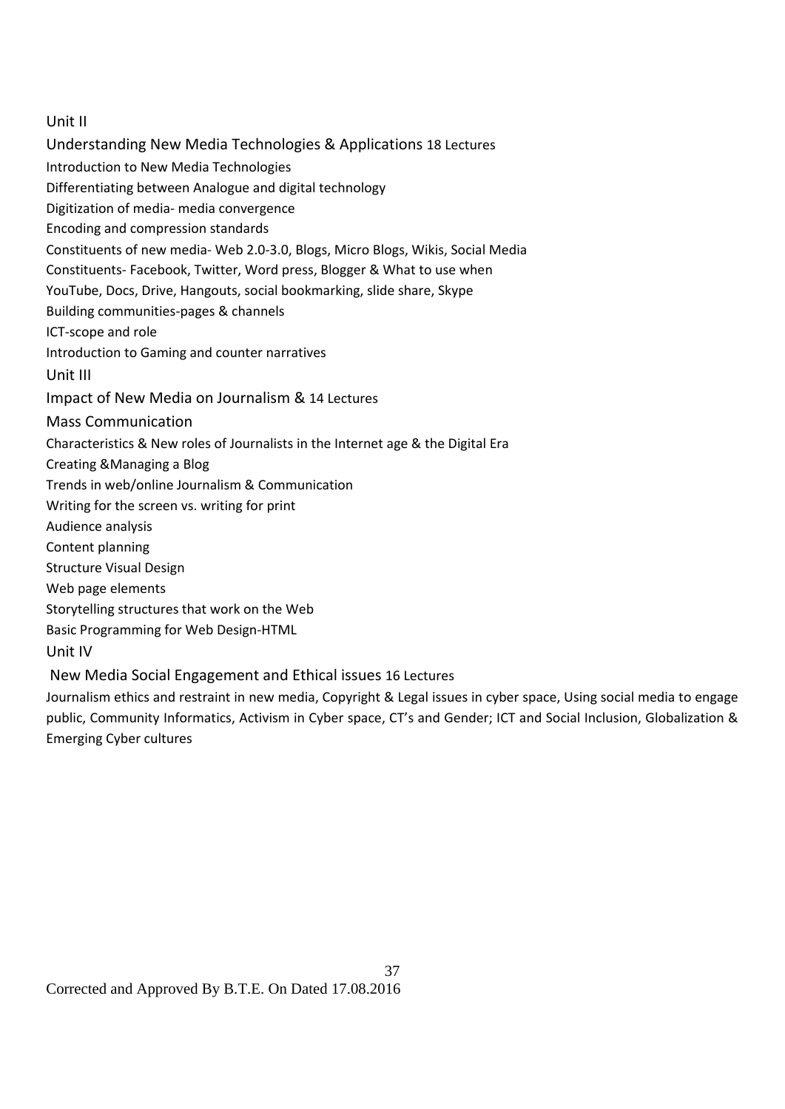#### Unit II

Understanding New Media Technologies & Applications 18 Lectures Introduction to New Media Technologies Differentiating between Analogue and digital technology Digitization of media‐ media convergence Encoding and compression standards Constituents of new media‐ Web 2.0‐3.0, Blogs, Micro Blogs, Wikis, Social Media Constituents‐ Facebook, Twitter, Word press, Blogger & What to use when YouTube, Docs, Drive, Hangouts, social bookmarking, slide share, Skype Building communities‐pages & channels ICT‐scope and role Introduction to Gaming and counter narratives Unit III Impact of New Media on Journalism & 14 Lectures Mass Communication Characteristics & New roles of Journalists in the Internet age & the Digital Era Creating &Managing a Blog Trends in web/online Journalism & Communication Writing for the screen vs. writing for print Audience analysis Content planning Structure Visual Design Web page elements Storytelling structures that work on the Web Basic Programming for Web Design‐HTML Unit IV New Media Social Engagement and Ethical issues 16 Lectures

Journalism ethics and restraint in new media, Copyright & Legal issues in cyber space, Using social media to engage public, Community Informatics, Activism in Cyber space, CT's and Gender; ICT and Social Inclusion, Globalization & Emerging Cyber cultures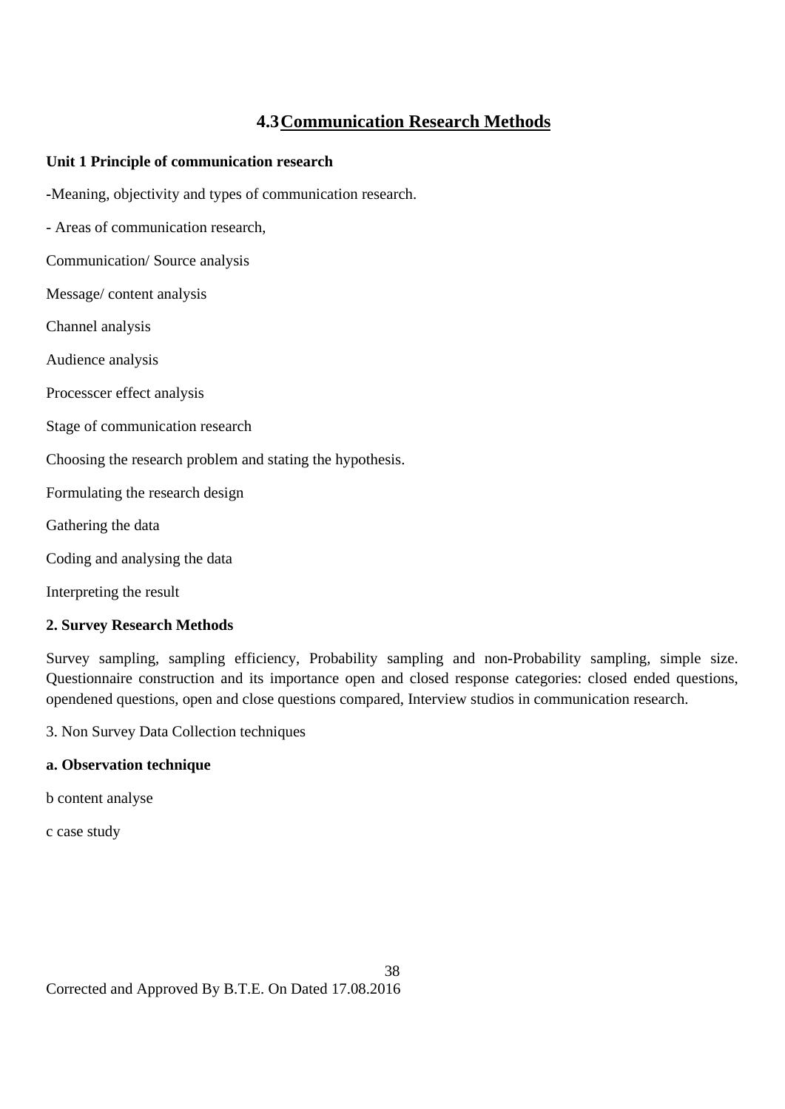# **4.3Communication Research Methods**

#### **Unit 1 Principle of communication research**

**-**Meaning, objectivity and types of communication research.

- Areas of communication research,

Communication/ Source analysis

Message/ content analysis

Channel analysis

Audience analysis

Processcer effect analysis

Stage of communication research

Choosing the research problem and stating the hypothesis.

Formulating the research design

Gathering the data

Coding and analysing the data

Interpreting the result

#### **2. Survey Research Methods**

Survey sampling, sampling efficiency, Probability sampling and non-Probability sampling, simple size. Questionnaire construction and its importance open and closed response categories: closed ended questions, opendened questions, open and close questions compared, Interview studios in communication research.

3. Non Survey Data Collection techniques

#### **a. Observation technique**

b content analyse

c case study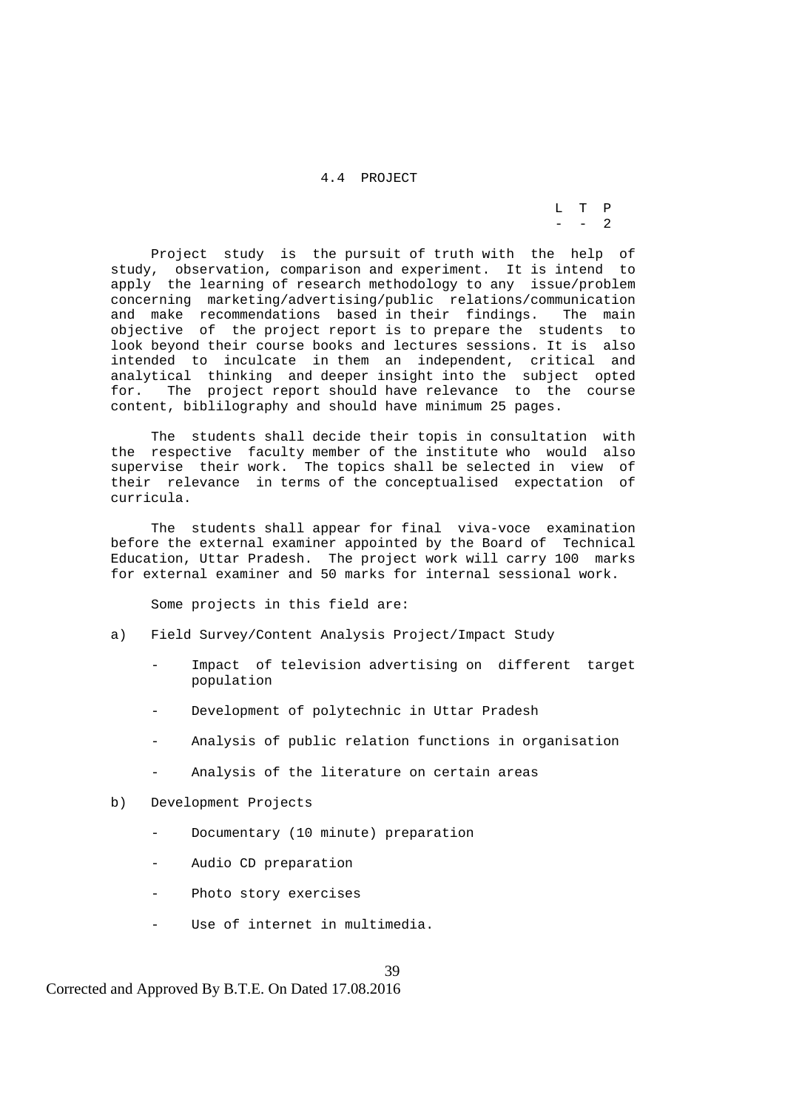4.4 PROJECT

 L T P  $-$  - 2

> Project study is the pursuit of truth with the help of study, observation, comparison and experiment. It is intend to apply the learning of research methodology to any issue/problem concerning marketing/advertising/public relations/communication and make recommendations based in their findings. The main objective of the project report is to prepare the students to look beyond their course books and lectures sessions. It is also intended to inculcate in them an independent, critical and analytical thinking and deeper insight into the subject opted for. The project report should have relevance to the course content, biblilography and should have minimum 25 pages.

> The students shall decide their topis in consultation with the respective faculty member of the institute who would also supervise their work. The topics shall be selected in view of their relevance in terms of the conceptualised expectation of curricula.

> The students shall appear for final viva-voce examination before the external examiner appointed by the Board of Technical Education, Uttar Pradesh. The project work will carry 100 marks for external examiner and 50 marks for internal sessional work.

Some projects in this field are:

- a) Field Survey/Content Analysis Project/Impact Study
	- Impact of television advertising on different target population
	- Development of polytechnic in Uttar Pradesh
	- Analysis of public relation functions in organisation
	- Analysis of the literature on certain areas
- b) Development Projects
	- Documentary (10 minute) preparation
	- Audio CD preparation
	- Photo story exercises
	- Use of internet in multimedia.

Corrected and Approved By B.T.E. On Dated 17.08.2016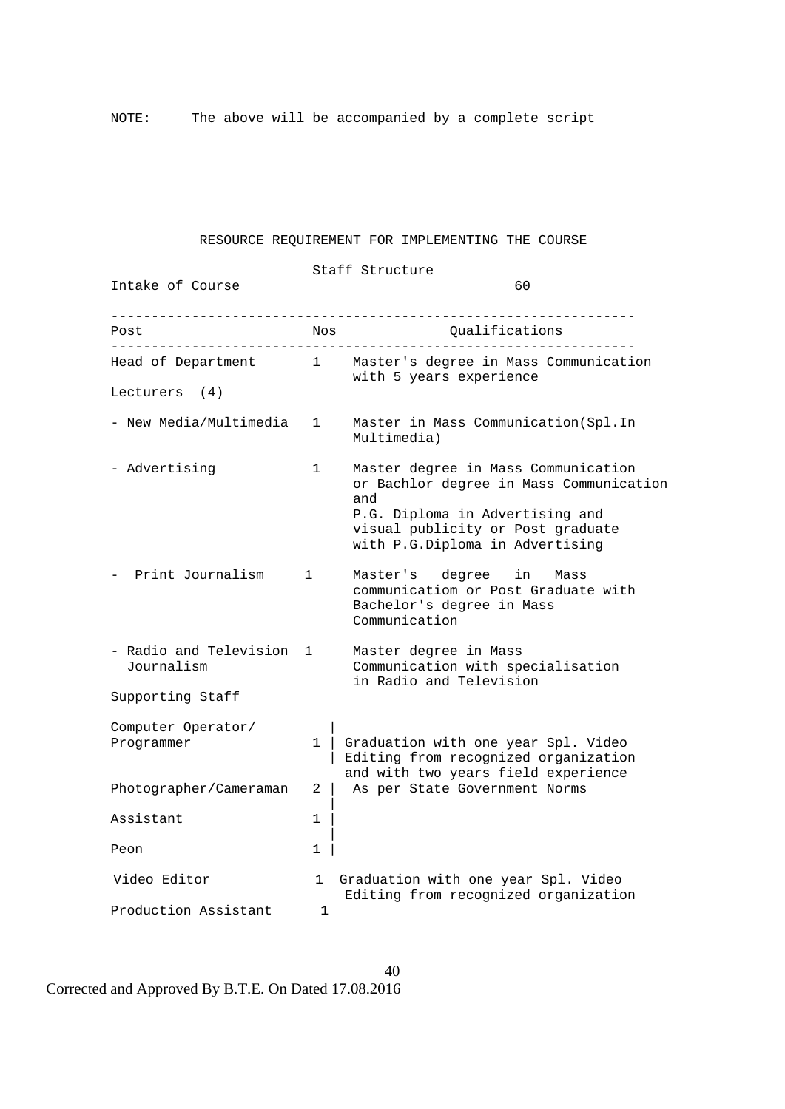NOTE: The above will be accompanied by a complete script

#### RESOURCE REQUIREMENT FOR IMPLEMENTING THE COURSE

 Staff Structure Intake of Course 60  $-$ Post Nos Nos Qualifications  $-$  Head of Department 1 Master's degree in Mass Communication with 5 years experience Lecturers (4) - New Media/Multimedia 1 Master in Mass Communication(Spl.In Multimedia) - Advertising 1 Master degree in Mass Communication or Bachlor degree in Mass Communication and the contract of the contract of the contract of the contract of the contract of the contract of the contract of the contract of the contract of the contract of the contract of the contract of the contract of the contra P.G. Diploma in Advertising and visual publicity or Post graduate with P.G.Diploma in Advertising - Print Journalism 1 Master's degree in Mass communicatiom or Post Graduate with Bachelor's degree in Mass Communication - Radio and Television 1 Master degree in Mass Journalism Communication with specialisation in Radio and Television Supporting Staff Computer Operator/ | Programmer  $1 \mid$  Graduation with one year Spl. Video | Editing from recognized organization and with two years field experience Photographer/Cameraman 2 | As per State Government Norms | Assistant 1 | Peon 1 Video Editor 1 Graduation with one year Spl. Video Editing from recognized organization Production Assistant 1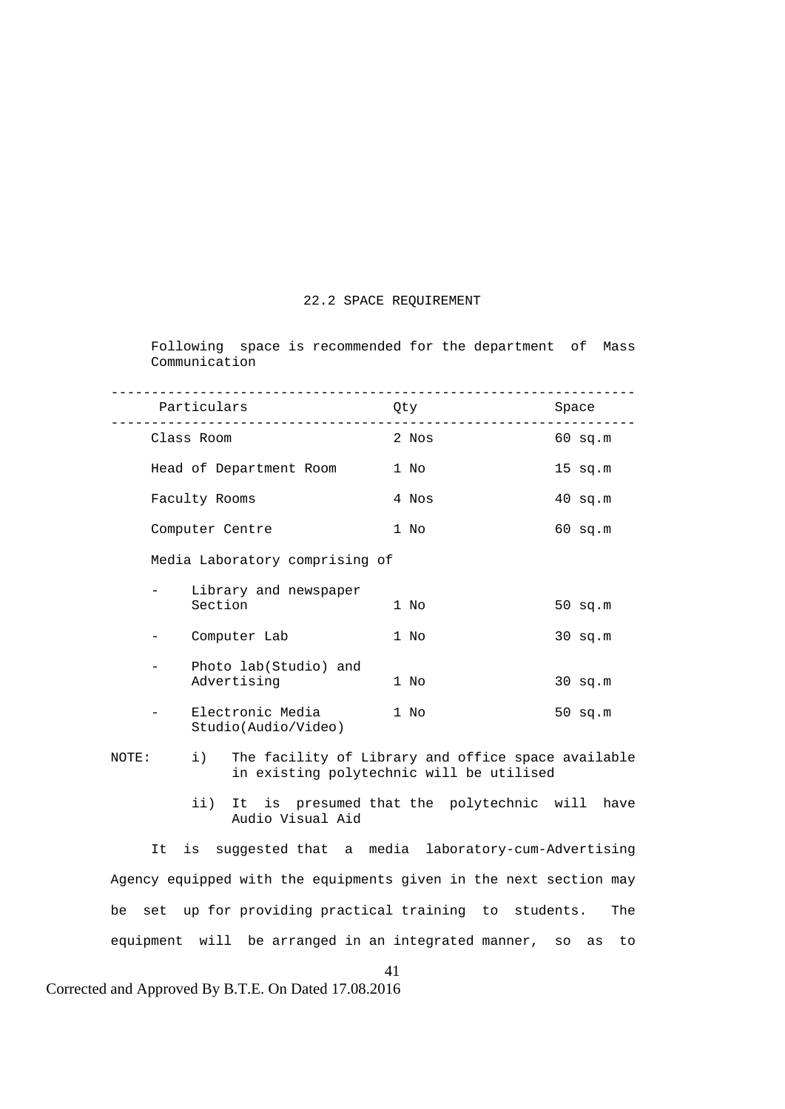#### 22.2 SPACE REQUIREMENT

 Following space is recommended for the department of Mass Communication

|       |                                                        |         | Particulars                             |  | Qty                                                                                            |  | Space     |
|-------|--------------------------------------------------------|---------|-----------------------------------------|--|------------------------------------------------------------------------------------------------|--|-----------|
|       | Class Room<br>Head of Department Room<br>Faculty Rooms |         |                                         |  | 2 Nos                                                                                          |  | $60$ sq.m |
|       |                                                        |         |                                         |  | 1 No                                                                                           |  | $15$ sq.m |
|       |                                                        |         |                                         |  | 4 Nos                                                                                          |  | $40$ sq.m |
|       |                                                        |         | Computer Centre                         |  | 1 No                                                                                           |  | $60$ sq.m |
|       |                                                        |         | Media Laboratory comprising of          |  |                                                                                                |  |           |
|       |                                                        | Section | Library and newspaper                   |  | 1 No                                                                                           |  | $50$ sq.m |
|       |                                                        |         | Computer Lab                            |  | 1 No                                                                                           |  | $30$ sq.m |
|       |                                                        |         | Photo lab(Studio) and<br>Advertising    |  | 1 No                                                                                           |  | $30$ sq.m |
|       |                                                        |         | Electronic Media<br>Studio(Audio/Video) |  | 1 No                                                                                           |  | $50$ sq.m |
| NOTE: |                                                        | $\pm$ ) |                                         |  | The facility of Library and office space available<br>in existing polytechnic will be utilised |  |           |
|       |                                                        | ii)     | Audio Visual Aid                        |  | It is presumed that the polytechnic will have                                                  |  |           |
|       | It                                                     |         |                                         |  | is suggested that a media laboratory-cum-Advertising                                           |  |           |

 Agency equipped with the equipments given in the next section may be set up for providing practical training to students. The equipment will be arranged in an integrated manner, so as to

41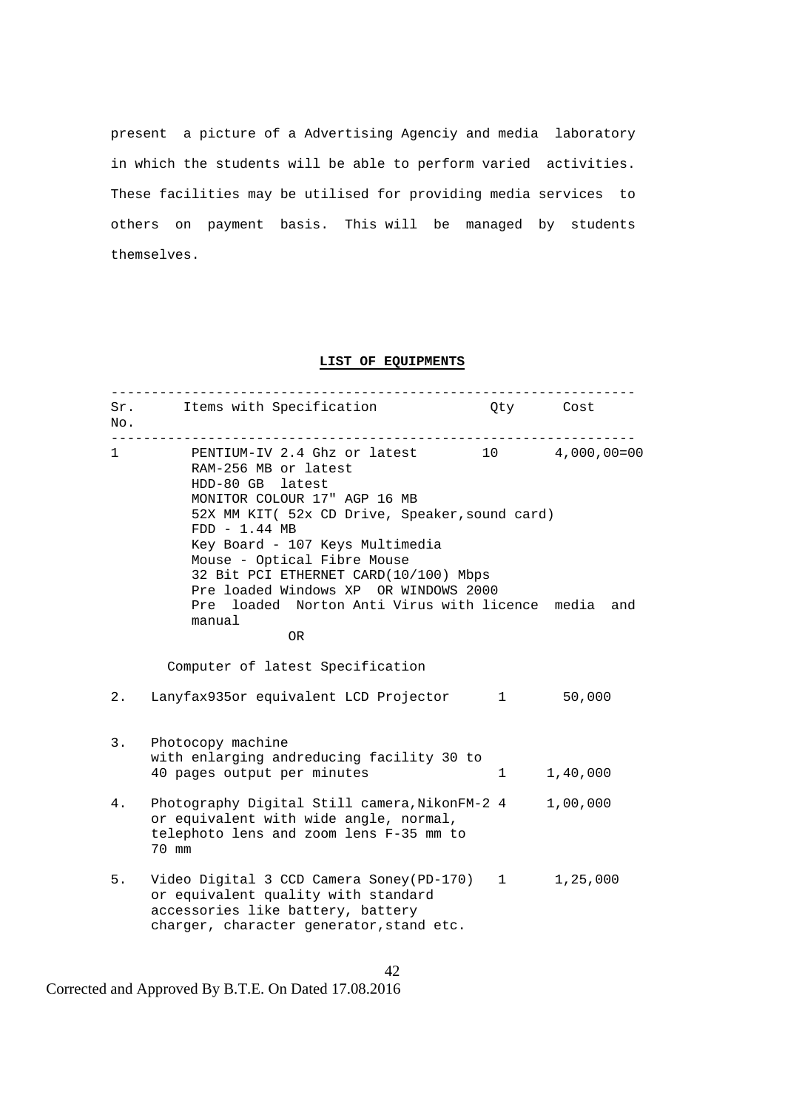present a picture of a Advertising Agenciy and media laboratory in which the students will be able to perform varied activities. These facilities may be utilised for providing media services to others on payment basis. This will be managed by students themselves.

#### **LIST OF EQUIPMENTS**

| No.               | Sr. Items with Specification                                                                                                                                                                                                                                                                                                                                                                                            | Qty Cost         |          |
|-------------------|-------------------------------------------------------------------------------------------------------------------------------------------------------------------------------------------------------------------------------------------------------------------------------------------------------------------------------------------------------------------------------------------------------------------------|------------------|----------|
| $1 \qquad \qquad$ | PENTIUM-IV 2.4 Ghz or latest 10 4,000,00=00<br>RAM-256 MB or latest<br>HDD-80 GB latest<br>MONITOR COLOUR 17" AGP 16 MB<br>52X MM KIT( 52x CD Drive, Speaker, sound card)<br>$FDD - 1.44 MB$<br>Key Board - 107 Keys Multimedia<br>Mouse - Optical Fibre Mouse<br>32 Bit PCI ETHERNET CARD(10/100) Mbps<br>Pre loaded Windows XP OR WINDOWS 2000<br>Pre loaded Norton Anti Virus with licence media and<br>manual<br>0R |                  |          |
|                   | Computer of latest Specification                                                                                                                                                                                                                                                                                                                                                                                        |                  |          |
| 2.                | Lanyfax935or equivalent LCD Projector 1                                                                                                                                                                                                                                                                                                                                                                                 |                  | 50,000   |
| 3.                | Photocopy machine<br>with enlarging andreducing facility 30 to<br>40 pages output per minutes                                                                                                                                                                                                                                                                                                                           | $1 \quad \cdots$ | 1,40,000 |
| 4.                | Photography Digital Still camera, NikonFM-2 4<br>or equivalent with wide angle, normal,<br>telephoto lens and zoom lens F-35 mm to<br>70 mm                                                                                                                                                                                                                                                                             |                  | 1,00,000 |
| 5.                | Video Digital 3 CCD Camera Soney(PD-170) 1 1,25,000<br>or equivalent quality with standard<br>accessories like battery, battery<br>charger, character generator, stand etc.                                                                                                                                                                                                                                             |                  |          |

42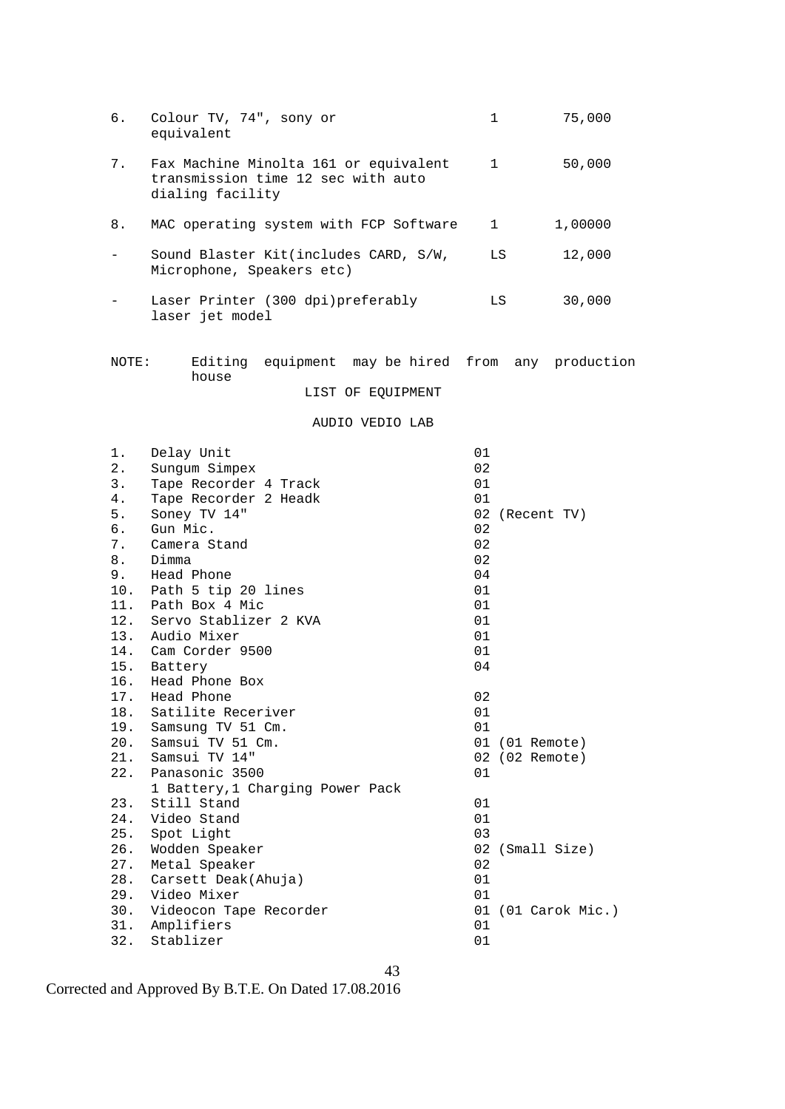| б.                       | Colour TV, 74", sony or<br>equivalent                                                           | 1            | 75,000             |
|--------------------------|-------------------------------------------------------------------------------------------------|--------------|--------------------|
| 7.                       | Fax Machine Minolta 161 or equivalent<br>transmission time 12 sec with auto<br>dialing facility | $\mathbf{1}$ | 50,000             |
| 8.                       | MAC operating system with FCP Software                                                          | $\mathbf{1}$ | 1,00000            |
| $\overline{\phantom{0}}$ | Sound Blaster Kit(includes CARD, S/W,<br>Microphone, Speakers etc)                              | LS           | 12,000             |
|                          | Laser Printer (300 dpi)preferably<br>laser jet model                                            | LS           | 30,000             |
| NOTE:                    | Editing equipment may be hired from any production<br>house<br>LIST OF EQUIPMENT                |              |                    |
|                          | AUDIO VEDIO LAB                                                                                 |              |                    |
| 1.                       | Delay Unit                                                                                      | 01           |                    |
| 2.                       | Sungum Simpex                                                                                   | 02           |                    |
| 3.                       | Tape Recorder 4 Track                                                                           | 01           |                    |
| 4.                       | Tape Recorder 2 Headk                                                                           | 01           |                    |
| 5.                       | Soney TV 14"                                                                                    |              | 02 (Recent TV)     |
| б.                       | Gun Mic.                                                                                        | 02           |                    |
| 7.                       | Camera Stand                                                                                    | 02           |                    |
| 8.                       | Dimma                                                                                           | 02           |                    |
| 9.                       | Head Phone                                                                                      | 04           |                    |
| 10.                      | Path 5 tip 20 lines                                                                             | 01           |                    |
| 11.                      | Path Box 4 Mic                                                                                  | 01           |                    |
| 12.                      | Servo Stablizer 2 KVA                                                                           | 01           |                    |
| 13.                      | Audio Mixer                                                                                     | 01           |                    |
|                          | 14. Cam Corder 9500                                                                             | 01           |                    |
| 15.                      | Battery                                                                                         | 04           |                    |
| 16.                      | Head Phone Box                                                                                  | 02           |                    |
| 18.                      | 17. Head Phone<br>Satilite Receriver                                                            | 01           |                    |
| 19.                      | Samsung TV 51 Cm.                                                                               | 01           |                    |
| 20.                      | Samsui TV 51 Cm.                                                                                |              | 01 (01 Remote)     |
| 21.                      | Samsui TV 14"                                                                                   |              | 02 (02 Remote)     |
| 22.                      | Panasonic 3500                                                                                  | 01           |                    |
|                          | 1 Battery, 1 Charging Power Pack                                                                |              |                    |
| 23.                      | Still Stand                                                                                     | 01           |                    |
| 24.                      | Video Stand                                                                                     | 01           |                    |
| 25.                      | Spot Light                                                                                      | 03           |                    |
| 26.                      | Wodden Speaker                                                                                  | 02           | (Small Size)       |
| 27.                      | Metal Speaker                                                                                   | 02           |                    |
| 28.                      | Carsett Deak(Ahuja)                                                                             | 01           |                    |
| 29.                      | Video Mixer                                                                                     | 01           |                    |
| 30.                      | Videocon Tape Recorder                                                                          |              | 01 (01 Carok Mic.) |
| 31.                      | Amplifiers                                                                                      | 01           |                    |
| 32.                      | Stablizer                                                                                       | 01           |                    |

43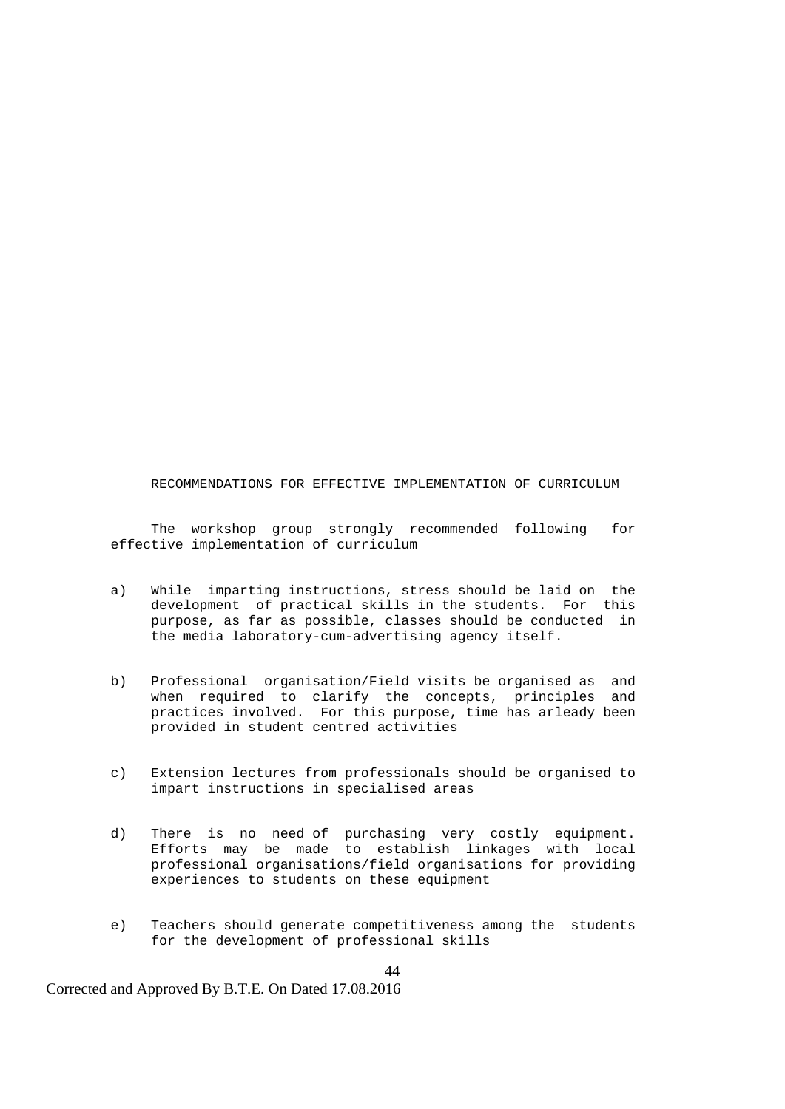RECOMMENDATIONS FOR EFFECTIVE IMPLEMENTATION OF CURRICULUM

 The workshop group strongly recommended following for effective implementation of curriculum

- a) While imparting instructions, stress should be laid on the development of practical skills in the students. For this purpose, as far as possible, classes should be conducted in the media laboratory-cum-advertising agency itself.
- b) Professional organisation/Field visits be organised as and when required to clarify the concepts, principles and practices involved. For this purpose, time has arleady been provided in student centred activities
- c) Extension lectures from professionals should be organised to impart instructions in specialised areas
- d) There is no need of purchasing very costly equipment. Efforts may be made to establish linkages with local professional organisations/field organisations for providing experiences to students on these equipment
	- e) Teachers should generate competitiveness among the students for the development of professional skills

44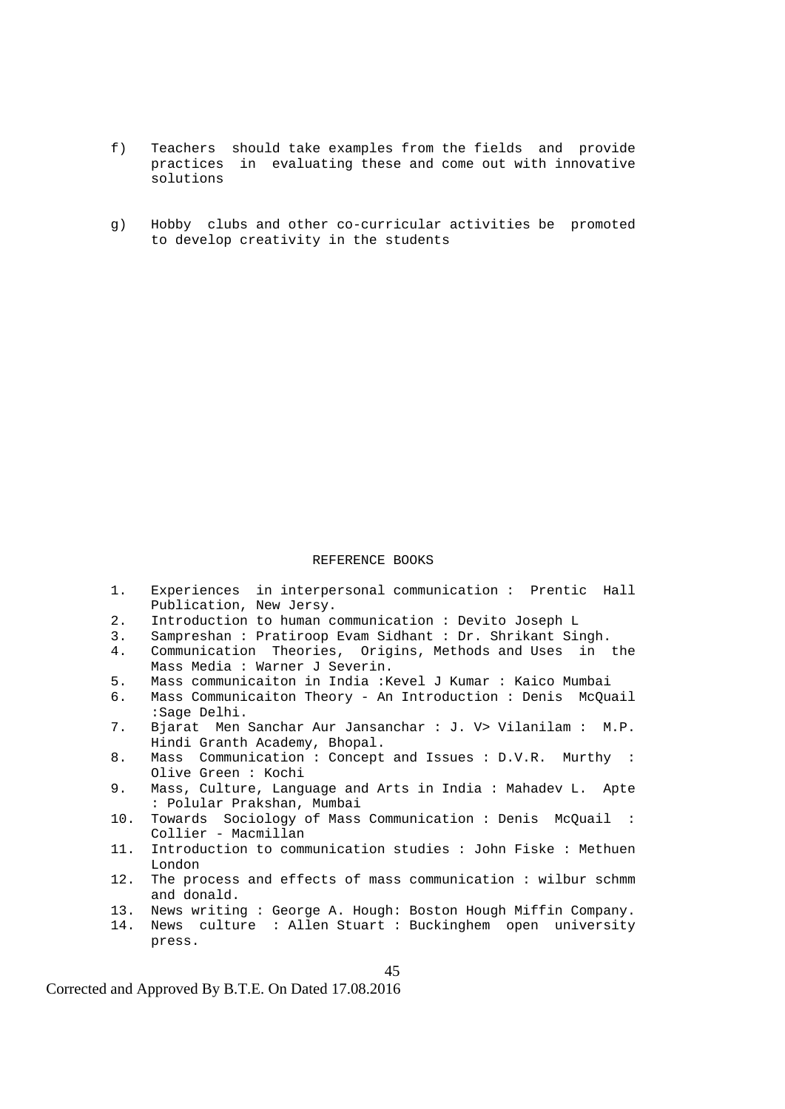- f) Teachers should take examples from the fields and provide practices in evaluating these and come out with innovative solutions
- g) Hobby clubs and other co-curricular activities be promoted to develop creativity in the students

#### REFERENCE BOOKS

- 1. Experiences in interpersonal communication : Prentic Hall Publication, New Jersy. 2. Introduction to human communication : Devito Joseph L 3. Sampreshan : Pratiroop Evam Sidhant : Dr. Shrikant Singh.
- 4. Communication Theories, Origins, Methods and Uses in the Mass Media : Warner J Severin.<br>5. Mass communicaiton in India :K
- 5. Mass communicaiton in India :Kevel J Kumar : Kaico Mumbai
- Mass Communicaiton Theory An Introduction : Denis McQuail :Sage Delhi.
- 7. Bjarat Men Sanchar Aur Jansanchar : J. V> Vilanilam : M.P. Hindi Granth Academy, Bhopal.
- 8. Mass Communication : Concept and Issues : D.V.R. Murthy : Olive Green : Kochi
- 9. Mass, Culture, Language and Arts in India : Mahadev L. Apte : Polular Prakshan, Mumbai
- 10. Towards Sociology of Mass Communication : Denis McQuail : Collier - Macmillan
- 11. Introduction to communication studies : John Fiske : Methuen London
- 12. The process and effects of mass communication : wilbur schmm and donald.
- 13. News writing : George A. Hough: Boston Hough Miffin Company.
- 14. News culture : Allen Stuart : Buckinghem open university press.

45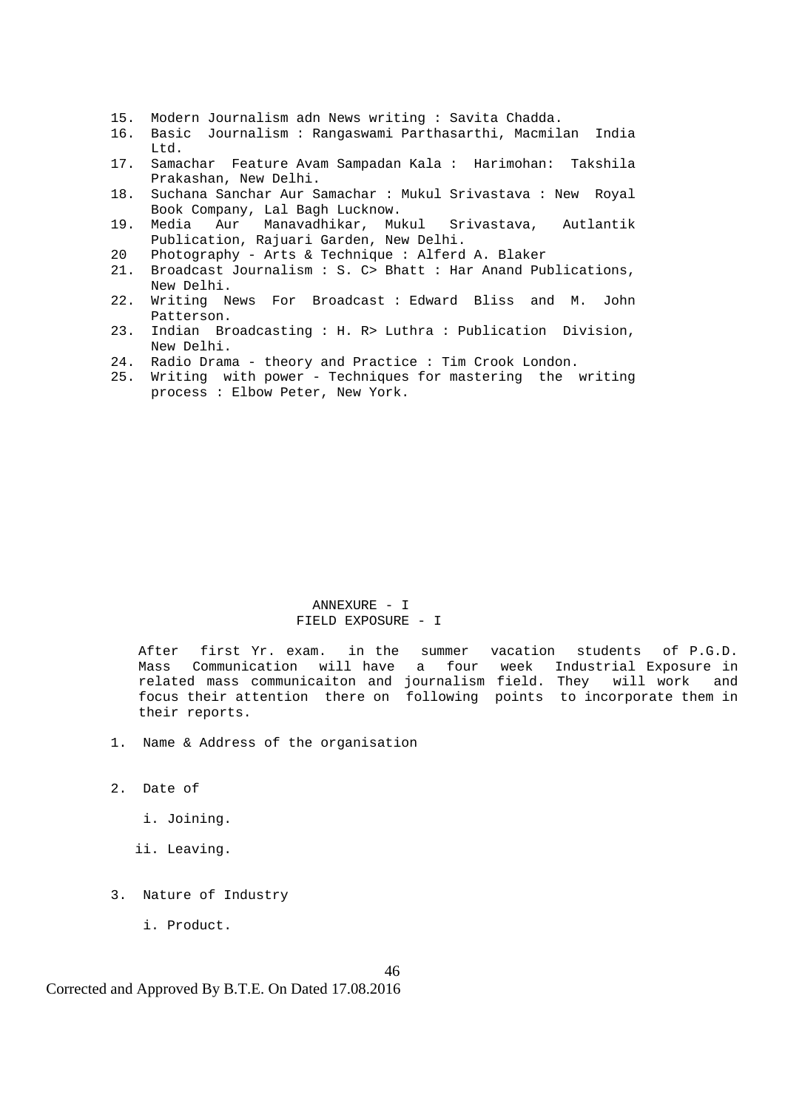- 15. Modern Journalism adn News writing : Savita Chadda.
- 16. Basic Journalism : Rangaswami Parthasarthi, Macmilan India Ltd.
- 17. Samachar Feature Avam Sampadan Kala : Harimohan: Takshila Prakashan, New Delhi.
- 18. Suchana Sanchar Aur Samachar : Mukul Srivastava : New Royal Book Company, Lal Bagh Lucknow.
- 19. Media Aur Manavadhikar, Mukul Srivastava, Autlantik Publication, Rajuari Garden, New Delhi.
- 20 Photography Arts & Technique : Alferd A. Blaker
- 21. Broadcast Journalism : S. C> Bhatt : Har Anand Publications, New Delhi.
- 22. Writing News For Broadcast : Edward Bliss and M. John Patterson.
- 23. Indian Broadcasting : H. R> Luthra : Publication Division, New Delhi.
- 24. Radio Drama theory and Practice : Tim Crook London.
- 25. Writing with power Techniques for mastering the writing process : Elbow Peter, New York.

#### ANNEXURE - I FIELD EXPOSURE - I

After first Yr. exam. in the summer vacation students of P.G.D. Mass Communication will have a four week Industrial Exposure in related mass communicaiton and journalism field. They will work and focus their attention there on following points to incorporate them in their reports.

- 1. Name & Address of the organisation
- 2. Date of
	- i. Joining.
	- ii. Leaving.
- 3. Nature of Industry
	- i. Product.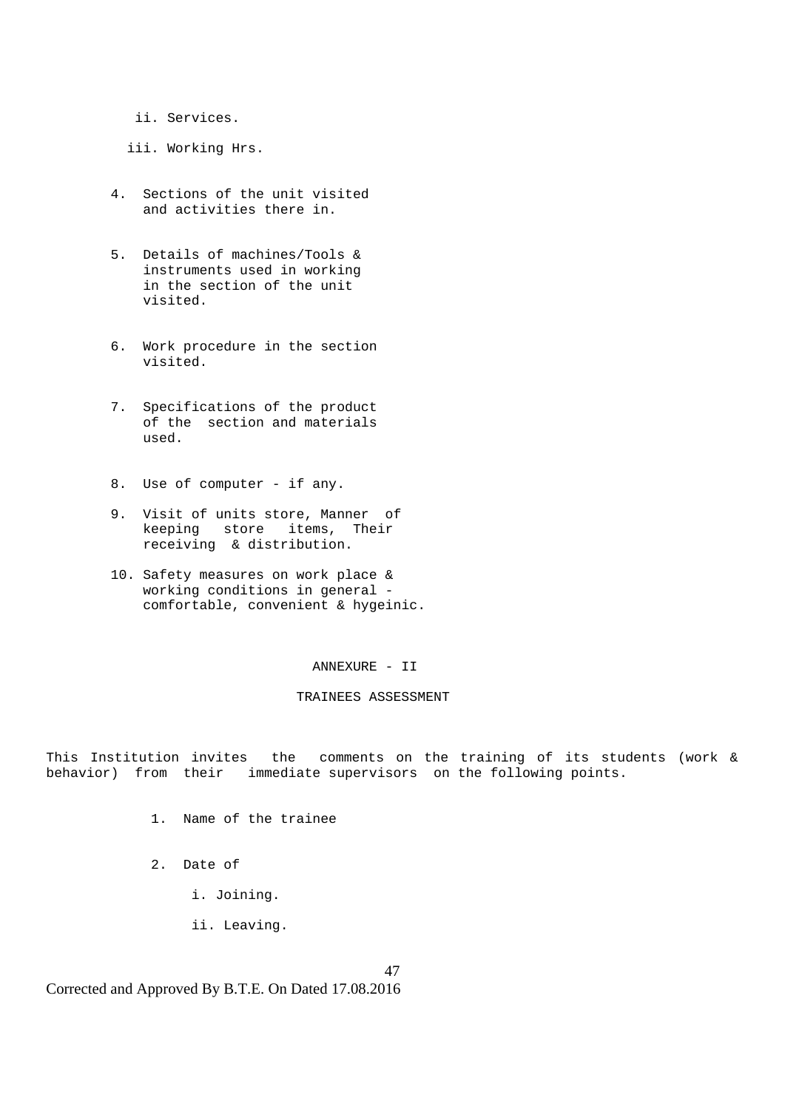- ii. Services.
- iii. Working Hrs.
- 4. Sections of the unit visited and activities there in.
- 5. Details of machines/Tools & instruments used in working in the section of the unit visited.
- 6. Work procedure in the section visited.
- 7. Specifications of the product of the section and materials used.
- 8. Use of computer if any.
- 9. Visit of units store, Manner of keeping store items, Their receiving & distribution.
- 10. Safety measures on work place & working conditions in general comfortable, convenient & hygeinic.

ANNEXURE - II

#### TRAINEES ASSESSMENT

This Institution invites the comments on the training of its students (work & behavior) from their immediate supervisors on the following points.

- 1. Name of the trainee
- 2. Date of
	- i. Joining.
	- ii. Leaving.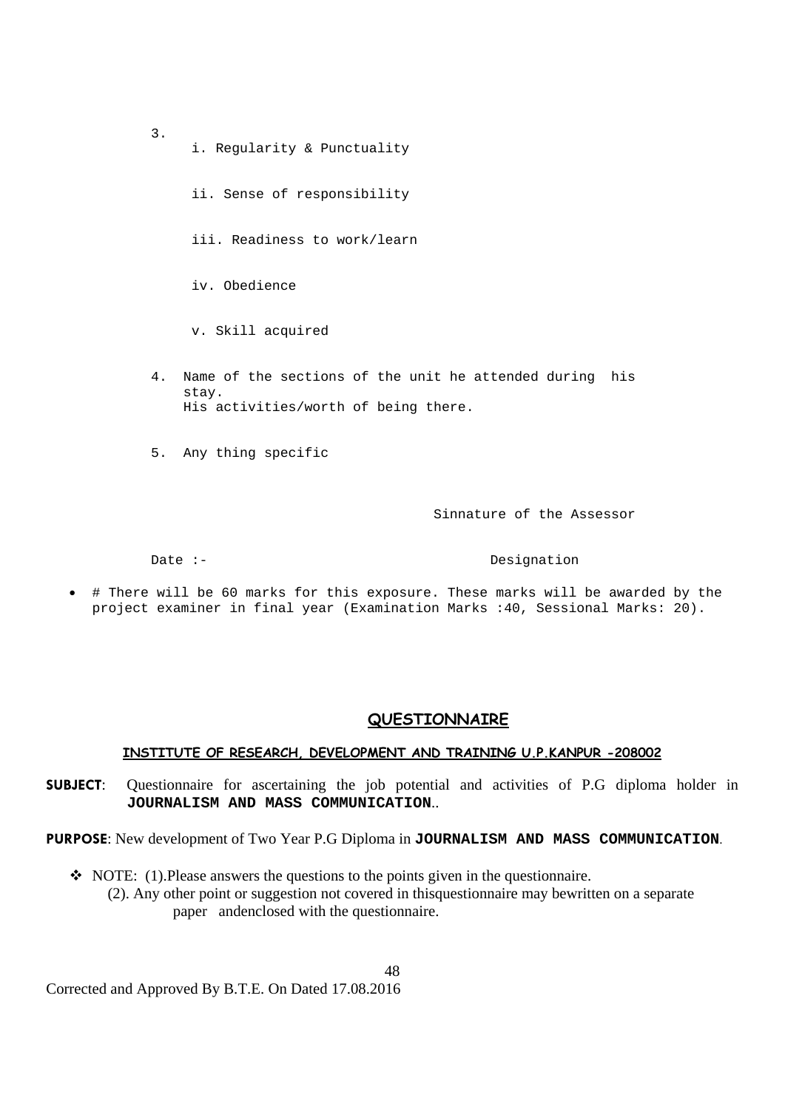- 3. i. Regularity & Punctuality ii. Sense of responsibility iii. Readiness to work/learn iv. Obedience v. Skill acquired
- 4. Name of the sections of the unit he attended during his stay. His activities/worth of being there.
- 5. Any thing specific

Sinnature of the Assessor

Date :-<br>
Designation

 # There will be 60 marks for this exposure. These marks will be awarded by the project examiner in final year (Examination Marks :40, Sessional Marks: 20).

#### **QUESTIONNAIRE**

#### **INSTITUTE OF RESEARCH, DEVELOPMENT AND TRAINING U.P.KANPUR -208002**

**SUBJECT**: Questionnaire for ascertaining the job potential and activities of P.G diploma holder in **JOURNALISM AND MASS COMMUNICATION**..

**PURPOSE**: New development of Two Year P.G Diploma in **JOURNALISM AND MASS COMMUNICATION**.

 NOTE: (1).Please answers the questions to the points given in the questionnaire. (2). Any other point or suggestion not covered in thisquestionnaire may bewritten on a separate paper andenclosed with the questionnaire.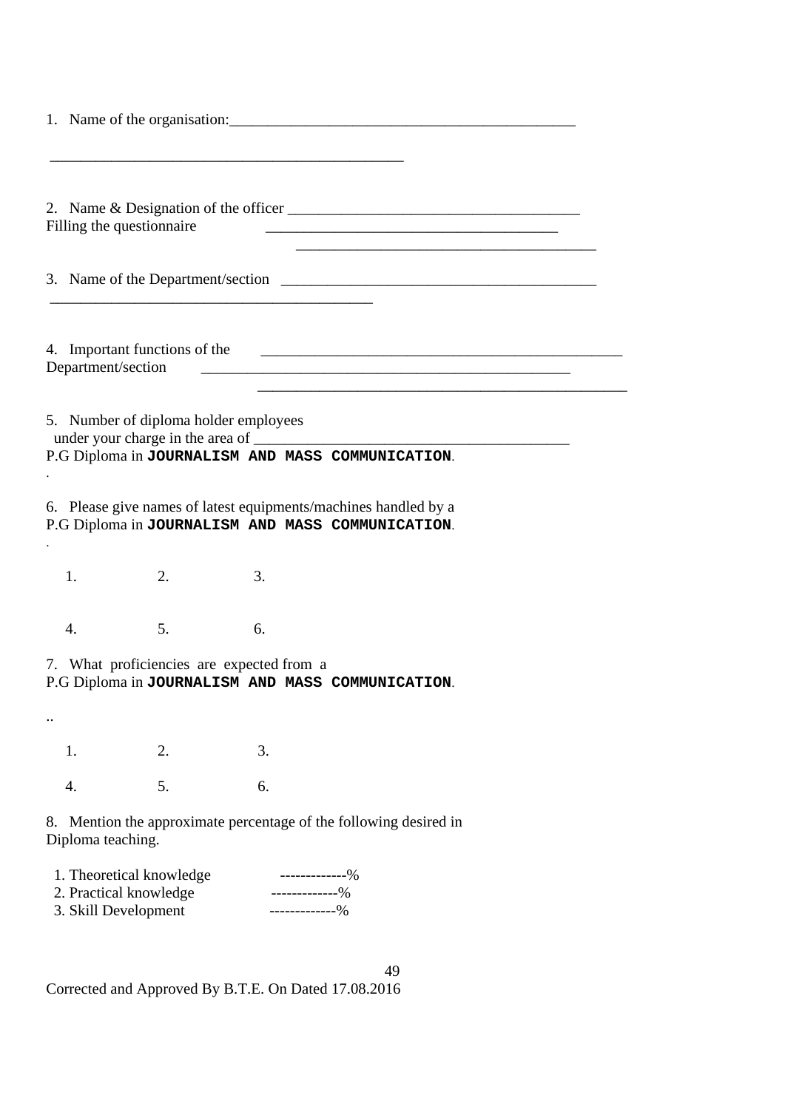| Filling the questionnaire                                                                                                        |                                                                                                                       |  |  |  |  |  |
|----------------------------------------------------------------------------------------------------------------------------------|-----------------------------------------------------------------------------------------------------------------------|--|--|--|--|--|
|                                                                                                                                  |                                                                                                                       |  |  |  |  |  |
|                                                                                                                                  |                                                                                                                       |  |  |  |  |  |
|                                                                                                                                  |                                                                                                                       |  |  |  |  |  |
| 4. Important functions of the<br>Department/section                                                                              | <u> 1980 - Johann Barn, mars and de Branch Barn, mars and de Branch Barn, mars and de Branch Barn, mars and de Br</u> |  |  |  |  |  |
|                                                                                                                                  |                                                                                                                       |  |  |  |  |  |
| 5. Number of diploma holder employees                                                                                            |                                                                                                                       |  |  |  |  |  |
| P.G Diploma in JOURNALISM AND MASS COMMUNICATION.                                                                                |                                                                                                                       |  |  |  |  |  |
| 6. Please give names of latest equipments/machines handled by a<br>P.G Diploma in JOURNALISM AND MASS COMMUNICATION.             |                                                                                                                       |  |  |  |  |  |
| 1.<br>2.<br>3.                                                                                                                   |                                                                                                                       |  |  |  |  |  |
| 5.<br>4.<br>6.                                                                                                                   |                                                                                                                       |  |  |  |  |  |
| 7. What proficiencies are expected from a<br>P.G Diploma in JOURNALISM AND MASS COMMUNICATION.                                   |                                                                                                                       |  |  |  |  |  |
|                                                                                                                                  |                                                                                                                       |  |  |  |  |  |
| 3.<br>2.<br>1.                                                                                                                   |                                                                                                                       |  |  |  |  |  |
| 5.<br>6.<br>4.                                                                                                                   |                                                                                                                       |  |  |  |  |  |
| 8. Mention the approximate percentage of the following desired in<br>Diploma teaching.                                           |                                                                                                                       |  |  |  |  |  |
| 1. Theoretical knowledge<br>-------------%<br>2. Practical knowledge<br>-------------%<br>3. Skill Development<br>-------------% |                                                                                                                       |  |  |  |  |  |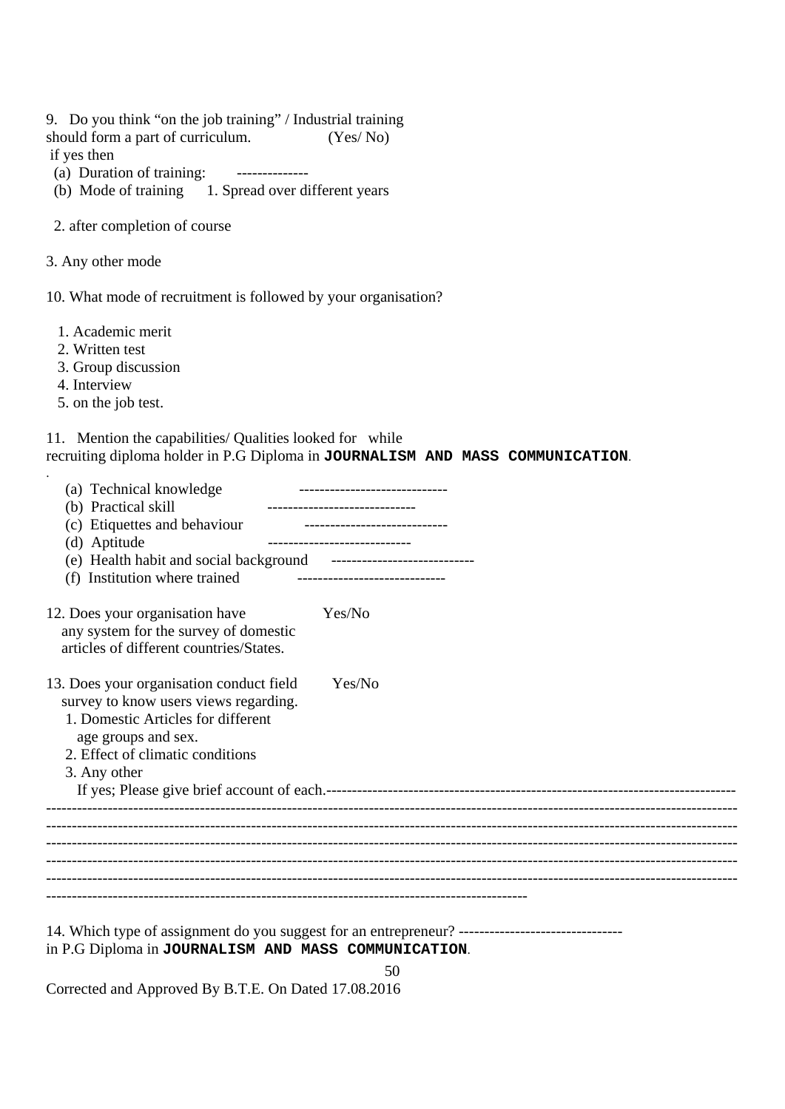9. Do you think "on the job training" / Industrial training

should form a part of curriculum. (Yes/No)

if yes then

- (a) Duration of training: --------------
- (b) Mode of training 1. Spread over different years

2. after completion of course

3. Any other mode

10. What mode of recruitment is followed by your organisation?

1. Academic merit

2. Written test

3. Group discussion

4. Interview

.

5. on the job test.

11. Mention the capabilities/ Qualities looked for while recruiting diploma holder in P.G Diploma in **JOURNALISM AND MASS COMMUNICATION**.

| (a) Technical knowledge<br>(b) Practical skill<br>(c) Etiquettes and behaviour <b>container container container container container </b><br>(d) Aptitude<br>(e) Health habit and social background ----------------------------- | _______________________________ |
|----------------------------------------------------------------------------------------------------------------------------------------------------------------------------------------------------------------------------------|---------------------------------|
| (f) Institution where trained                                                                                                                                                                                                    |                                 |
| 12. Does your organisation have<br>any system for the survey of domestic<br>articles of different countries/States.                                                                                                              | Yes/No                          |
| 13. Does your organisation conduct field<br>survey to know users views regarding.<br>1. Domestic Articles for different<br>age groups and sex.<br>2. Effect of climatic conditions<br>3. Any other                               | Yes/No                          |
|                                                                                                                                                                                                                                  |                                 |
|                                                                                                                                                                                                                                  |                                 |
|                                                                                                                                                                                                                                  |                                 |
|                                                                                                                                                                                                                                  |                                 |
|                                                                                                                                                                                                                                  |                                 |
|                                                                                                                                                                                                                                  |                                 |
| in P.G Diploma in JOURNALISM AND MASS COMMUNICATION.                                                                                                                                                                             |                                 |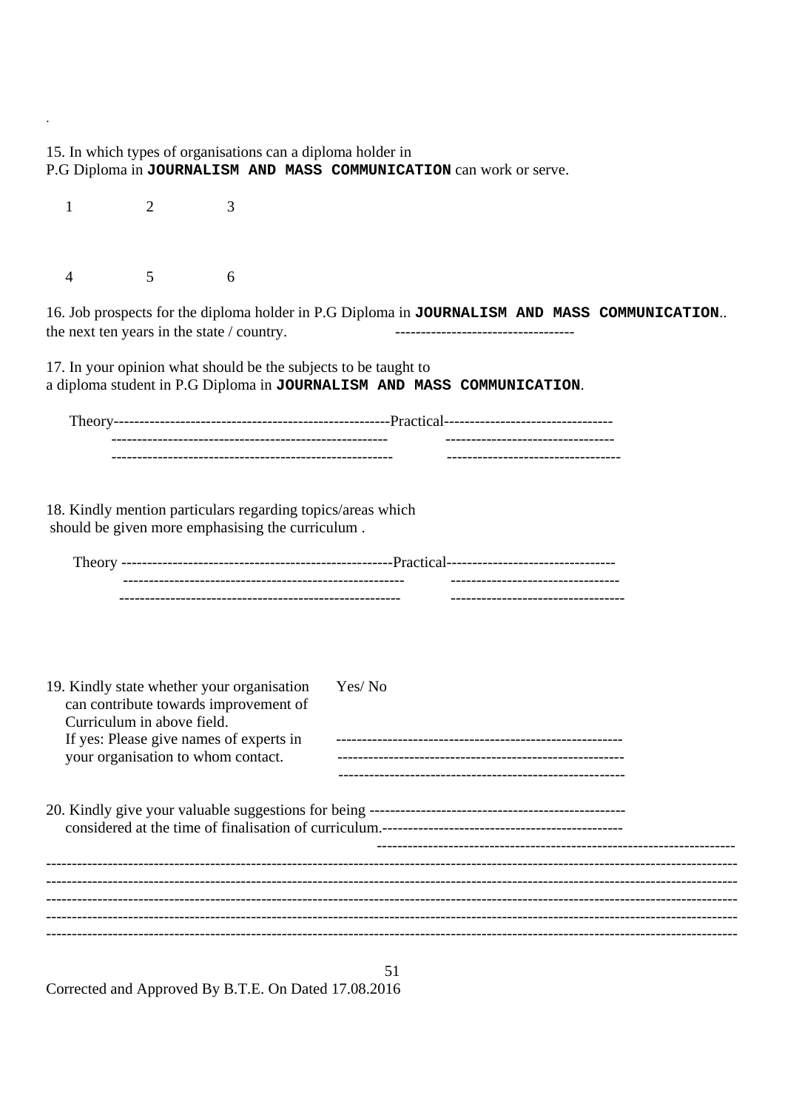51 15. In which types of organisations can a diploma holder in P.G Diploma in **JOURNALISM AND MASS COMMUNICATION** can work or serve. 1 2 3 4 5 6 16. Job prospects for the diploma holder in P.G Diploma in **JOURNALISM AND MASS COMMUNICATION**.. the next ten years in the state  $/$  country. 17. In your opinion what should be the subjects to be taught to a diploma student in P.G Diploma in **JOURNALISM AND MASS COMMUNICATION**. Theory------------------------------------------------------Practical--------------------------------- ------------------------------------------------------ --------------------------------- ------------------------------------------------------- ---------------------------------- 18. Kindly mention particulars regarding topics/areas which should be given more emphasising the curriculum . Theory -----------------------------------------------------Practical--------------------------------- ------------------------------------------------------- --------------------------------- ------------------------------------------------------- ---------------------------------- 19. Kindly state whether your organisation Yes/ No can contribute towards improvement of Curriculum in above field. If yes: Please give names of experts in ------------------------------------------------------- your organisation to whom contact. -------------------------------------------------------- 20. Kindly give your valuable suggestions for being ------------------------------------------------- considered at the time of finalisation of curriculum.-----------------------------------------------  $-$ --------------------------------------------------------------------------------------------------------------------------------------- --------------------------------------------------------------------------------------------------------------------------------------- --------------------------------------------------------------------------------------------------------------------------------------- --------------------------------------------------------------------------------------------------------------------------------------- ---------------------------------------------------------------------------------------------------------------------------------------

Corrected and Approved By B.T.E. On Dated 17.08.2016

.